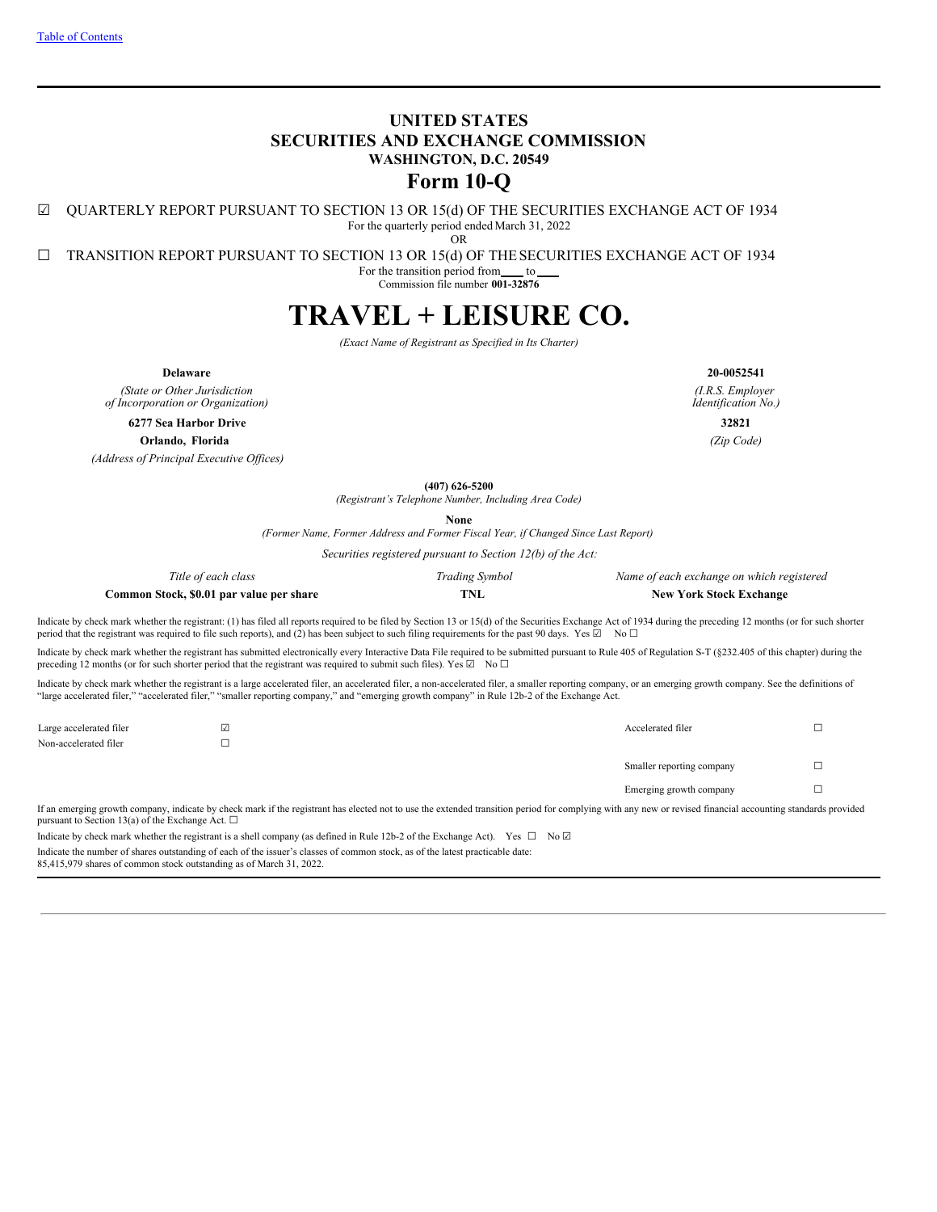# **UNITED STATES SECURITIES AND EXCHANGE COMMISSION WASHINGTON, D.C. 20549 Form 10-Q**

☑ QUARTERLY REPORT PURSUANT TO SECTION 13 OR 15(d) OF THE SECURITIES EXCHANGE ACT OF 1934 For the quarterly period ended March 31, 2022 OR

☐ TRANSITION REPORT PURSUANT TO SECTION 13 OR 15(d) OF THESECURITIES EXCHANGE ACT OF 1934 For the transition period from  $_$ to Commission file number **001-32876**

# **TRAVEL + LEISURE CO.**

*(Exact Name of Registrant as Specified in Its Charter)*

*(State or Other Jurisdiction of Incorporation or Organization)*

**6277 Sea Harbor Drive 32821**

**Orlando, Florida** *(Zip Code)*

*(Address of Principal Executive Of ices)*

**(407) 626-5200**

*(Registrant's Telephone Number, Including Area Code)*

**None**

*(Former Name, Former Address and Former Fiscal Year, if Changed Since Last Report)*

*Securities registered pursuant to Section 12(b) of the Act:*

|                         | Title of each class<br>Common Stock, \$0.01 par value per share                                                                                                                                                                                                                                                                                                                        | <b>Trading Symbol</b><br>TNL | Name of each exchange on which registered<br><b>New York Stock Exchange</b> |   |  |  |  |
|-------------------------|----------------------------------------------------------------------------------------------------------------------------------------------------------------------------------------------------------------------------------------------------------------------------------------------------------------------------------------------------------------------------------------|------------------------------|-----------------------------------------------------------------------------|---|--|--|--|
|                         | Indicate by check mark whether the registrant: (1) has filed all reports required to be filed by Section 13 or 15(d) of the Securities Exchange Act of 1934 during the preceding 12 months (or for such shorter<br>period that the registrant was required to file such reports), and (2) has been subject to such filing requirements for the past 90 days. Yes $\boxtimes$ No $\Box$ |                              |                                                                             |   |  |  |  |
|                         | Indicate by check mark whether the registrant has submitted electronically every Interactive Data File required to be submitted pursuant to Rule 405 of Regulation S-T (§232.405 of this chapter) during the<br>preceding 12 months (or for such shorter period that the registrant was required to submit such files). Yes $\Box$ No $\Box$                                           |                              |                                                                             |   |  |  |  |
|                         | Indicate by check mark whether the registrant is a large accelerated filer, an accelerated filer, a non-accelerated filer, a smaller reporting company, or an emerging growth company. See the definitions of<br>"large accelerated filer," "accelerated filer," "smaller reporting company," and "emerging growth company" in Rule 12b-2 of the Exchange Act.                         |                              |                                                                             |   |  |  |  |
| Large accelerated filer | $\sqrt{2}$                                                                                                                                                                                                                                                                                                                                                                             |                              | Accelerated filer                                                           |   |  |  |  |
| Non-accelerated filer   |                                                                                                                                                                                                                                                                                                                                                                                        |                              |                                                                             |   |  |  |  |
|                         |                                                                                                                                                                                                                                                                                                                                                                                        |                              | Smaller reporting company                                                   |   |  |  |  |
|                         |                                                                                                                                                                                                                                                                                                                                                                                        |                              | Emerging growth company                                                     | □ |  |  |  |
|                         | If an emerging growth company, indicate by check mark if the registrant has elected not to use the extended transition period for complying with any new or revised financial accounting standards provided<br>pursuant to Section 13(a) of the Exchange Act. $\Box$                                                                                                                   |                              |                                                                             |   |  |  |  |

Indicate by check mark whether the registrant is a shell company (as defined in Rule 12b-2 of the Exchange Act). Yes  $\Box$  No  $\Box$ Indicate the number of shares outstanding of each of the issuer's classes of common stock, as of the latest practicable date:

<span id="page-0-0"></span>85,415,979 shares of common stock outstanding as of March 31, 2022.

Non-a

pursua

**Delaware 20-0052541** *(I.R.S. Employer Identification No.)*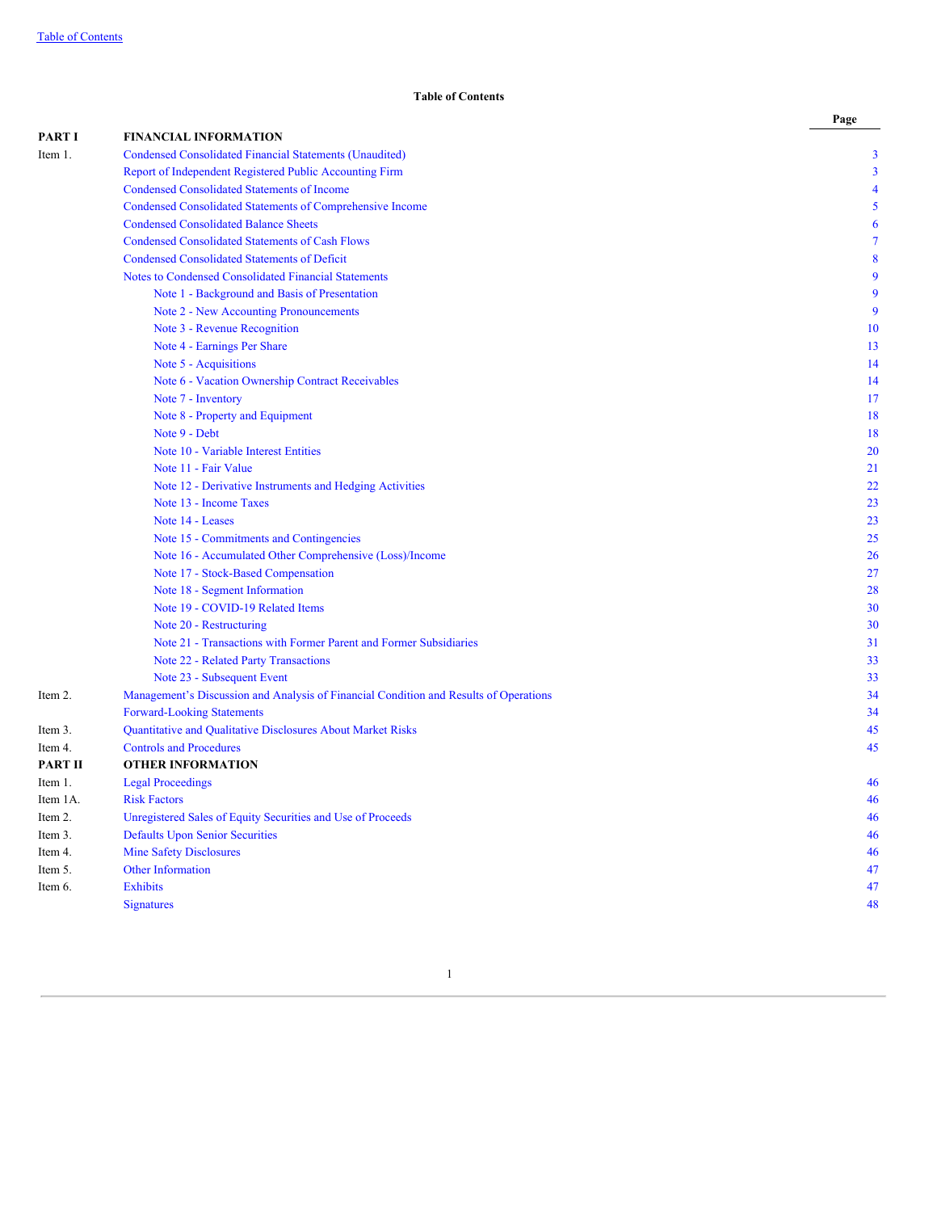# **Table of Contents**

|                |                                                                                       | Page           |
|----------------|---------------------------------------------------------------------------------------|----------------|
| PART I         | <b>FINANCIAL INFORMATION</b>                                                          |                |
| Item 1.        | Condensed Consolidated Financial Statements (Unaudited)                               | 3              |
|                | Report of Independent Registered Public Accounting Firm                               | 3              |
|                | <b>Condensed Consolidated Statements of Income</b>                                    | $\overline{4}$ |
|                | Condensed Consolidated Statements of Comprehensive Income                             | 5              |
|                | <b>Condensed Consolidated Balance Sheets</b>                                          | 6              |
|                | <b>Condensed Consolidated Statements of Cash Flows</b>                                | $\overline{7}$ |
|                | <b>Condensed Consolidated Statements of Deficit</b>                                   | 8              |
|                | Notes to Condensed Consolidated Financial Statements                                  | 9              |
|                | Note 1 - Background and Basis of Presentation                                         | 9              |
|                | <b>Note 2 - New Accounting Pronouncements</b>                                         | 9              |
|                | Note 3 - Revenue Recognition                                                          | 10             |
|                | Note 4 - Earnings Per Share                                                           | 13             |
|                | Note 5 - Acquisitions                                                                 | 14             |
|                | Note 6 - Vacation Ownership Contract Receivables                                      | 14             |
|                | Note 7 - Inventory                                                                    | 17             |
|                | Note 8 - Property and Equipment                                                       | 18             |
|                | Note 9 - Debt                                                                         | 18             |
|                | Note 10 - Variable Interest Entities                                                  | 20             |
|                | Note 11 - Fair Value                                                                  | 21             |
|                | Note 12 - Derivative Instruments and Hedging Activities                               | 22             |
|                | Note 13 - Income Taxes                                                                | 23             |
|                | Note 14 - Leases                                                                      | 23             |
|                | Note 15 - Commitments and Contingencies                                               | 25             |
|                | Note 16 - Accumulated Other Comprehensive (Loss)/Income                               | 26             |
|                | Note 17 - Stock-Based Compensation                                                    | 27             |
|                | Note 18 - Segment Information                                                         | 28             |
|                | Note 19 - COVID-19 Related Items                                                      | 30             |
|                | Note 20 - Restructuring                                                               | 30             |
|                | Note 21 - Transactions with Former Parent and Former Subsidiaries                     | 31             |
|                | Note 22 - Related Party Transactions                                                  | 33             |
|                | Note 23 - Subsequent Event                                                            | 33             |
| Item 2.        | Management's Discussion and Analysis of Financial Condition and Results of Operations | 34             |
|                | <b>Forward-Looking Statements</b>                                                     | 34             |
| Item 3.        | Quantitative and Qualitative Disclosures About Market Risks                           | 45             |
| Item 4.        | <b>Controls and Procedures</b>                                                        | 45             |
| <b>PART II</b> | <b>OTHER INFORMATION</b>                                                              |                |
| Item 1.        | <b>Legal Proceedings</b>                                                              | 46             |
| Item 1A.       | <b>Risk Factors</b>                                                                   | 46             |
| Item 2.        | Unregistered Sales of Equity Securities and Use of Proceeds                           | 46             |
| Item 3.        | <b>Defaults Upon Senior Securities</b>                                                | 46             |
| Item 4.        | <b>Mine Safety Disclosures</b>                                                        | 46             |
| Item 5.        | <b>Other Information</b>                                                              | 47             |
| Item 6.        | <b>Exhibits</b>                                                                       | 47             |
|                | <b>Signatures</b>                                                                     | 48             |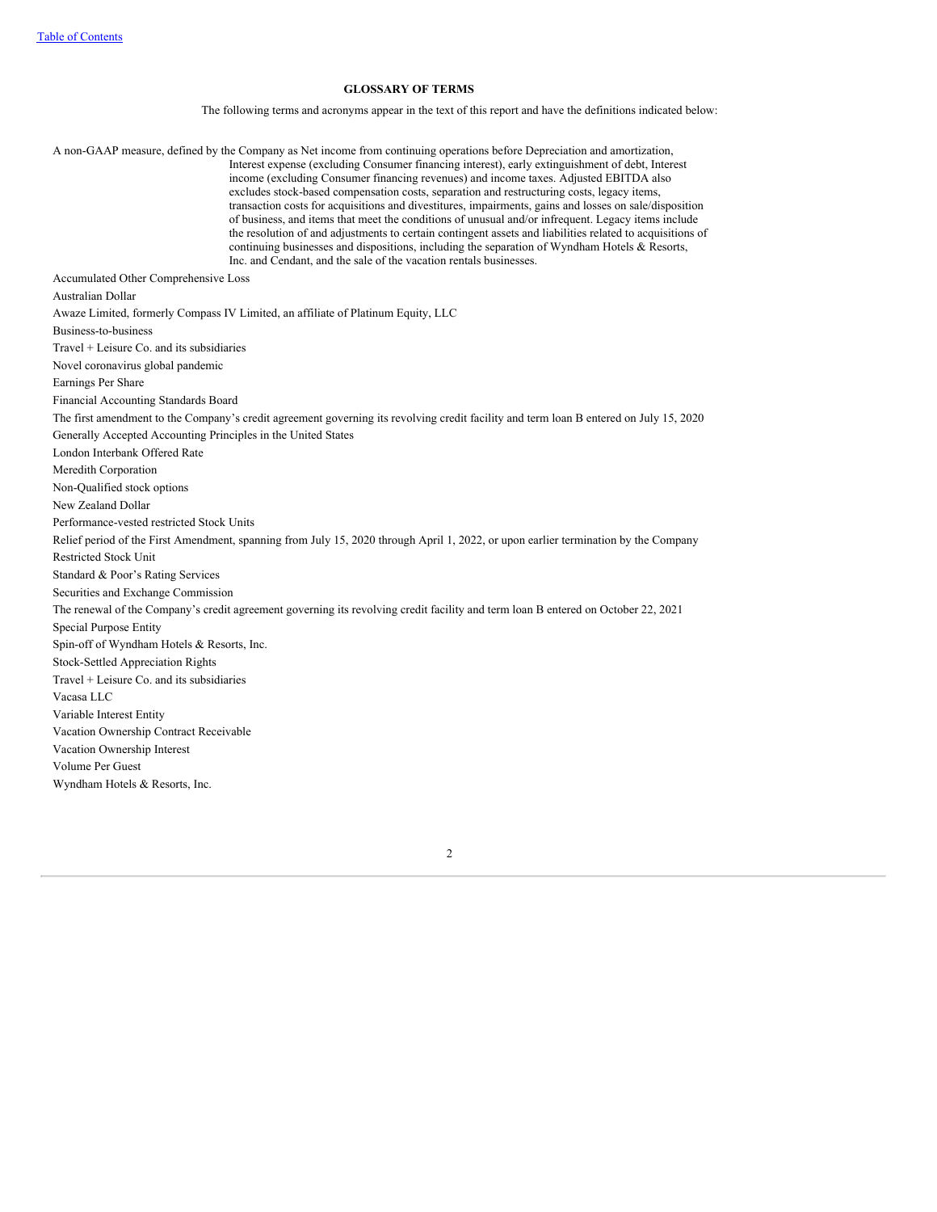# **GLOSSARY OF TERMS**

The following terms and acronyms appear in the text of this report and have the definitions indicated below:

A non-GAAP measure, defined by the Company as Net income from continuing operations before Depreciation and amortization, Interest expense (excluding Consumer financing interest), early extinguishment of debt, Interest income (excluding Consumer financing revenues) and income taxes. Adjusted EBITDA also excludes stock-based compensation costs, separation and restructuring costs, legacy items, transaction costs for acquisitions and divestitures, impairments, gains and losses on sale/disposition of business, and items that meet the conditions of unusual and/or infrequent. Legacy items include the resolution of and adjustments to certain contingent assets and liabilities related to acquisitions of continuing businesses and dispositions, including the separation of Wyndham Hotels & Resorts, Inc. and Cendant, and the sale of the vacation rentals businesses. Accumulated Other Comprehensive Loss Australian Dollar Awaze Limited, formerly Compass IV Limited, an affiliate of Platinum Equity, LLC Business-to-business Travel + Leisure Co. and its subsidiaries Novel coronavirus global pandemic Earnings Per Share Financial Accounting Standards Board The first amendment to the Company's credit agreement governing its revolving credit facility and term loan B entered on July 15, 2020 Generally Accepted Accounting Principles in the United States London Interbank Offered Rate Meredith Corporation Non-Qualified stock options New Zealand Dollar Performance-vested restricted Stock Units Relief period of the First Amendment, spanning from July 15, 2020 through April 1, 2022, or upon earlier termination by the Company Restricted Stock Unit Standard & Poor's Rating Services Securities and Exchange Commission The renewal of the Company's credit agreement governing its revolving credit facility and term loan B entered on October 22, 2021 Special Purpose Entity Spin-off of Wyndham Hotels & Resorts, Inc. Stock-Settled Appreciation Rights Travel + Leisure Co. and its subsidiaries Vacasa LLC Variable Interest Entity Vacation Ownership Contract Receivable Vacation Ownership Interest Volume Per Guest Wyndham Hotels & Resorts, Inc.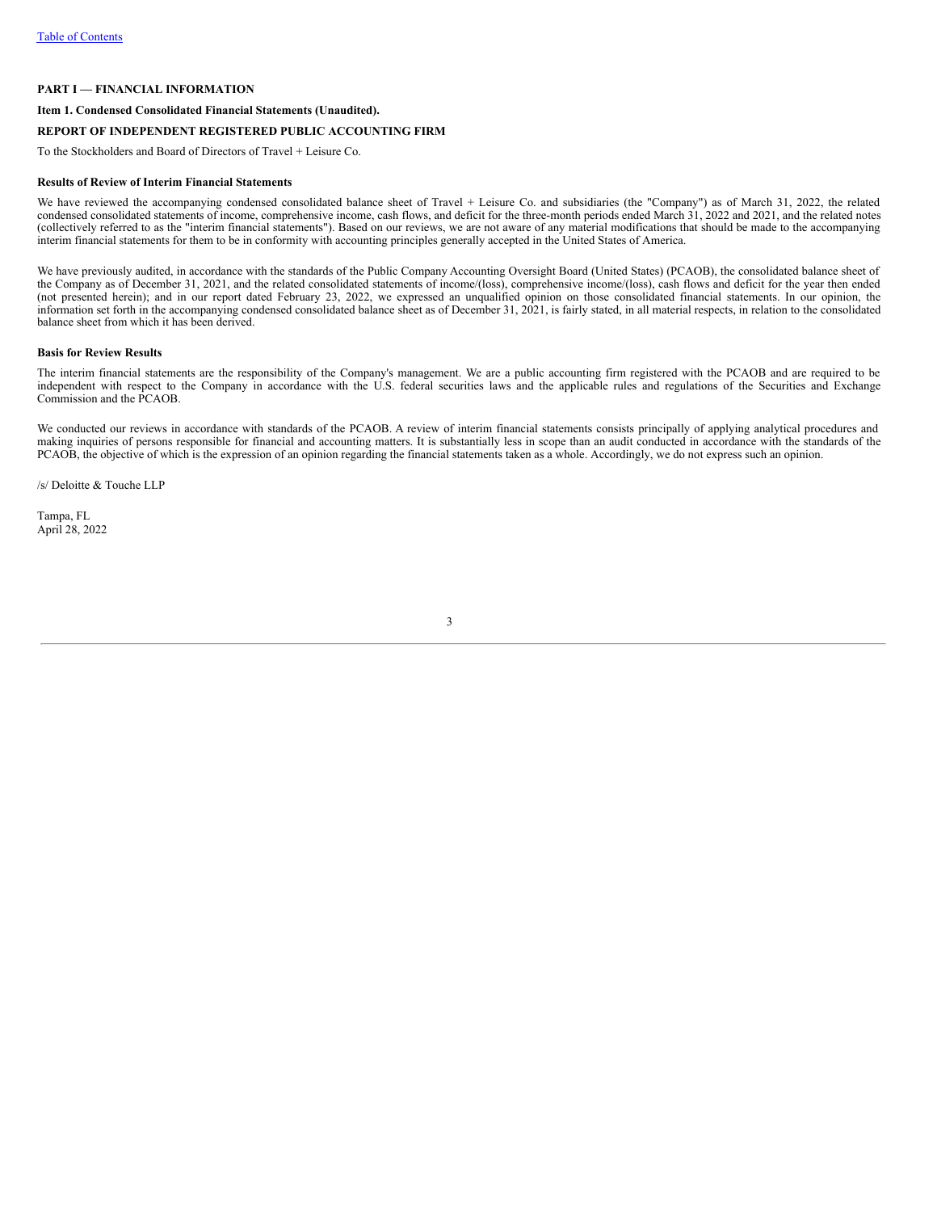#### **PART I — FINANCIAL INFORMATION**

#### <span id="page-3-0"></span>**Item 1. Condensed Consolidated Financial Statements (Unaudited).**

### <span id="page-3-1"></span>**REPORT OF INDEPENDENT REGISTERED PUBLIC ACCOUNTING FIRM**

To the Stockholders and Board of Directors of Travel + Leisure Co.

#### **Results of Review of Interim Financial Statements**

We have reviewed the accompanying condensed consolidated balance sheet of Travel + Leisure Co. and subsidiaries (the "Company") as of March 31, 2022, the related condensed consolidated statements of income, comprehensive income, cash flows, and deficit for the three-month periods ended March 31, 2022 and 2021, and the related notes (collectively referred to as the "interim financial statements"). Based on our reviews, we are not aware of any material modifications that should be made to the accompanying interim financial statements for them to be in conformity with accounting principles generally accepted in the United States of America.

We have previously audited, in accordance with the standards of the Public Company Accounting Oversight Board (United States) (PCAOB), the consolidated balance sheet of the Company as of December 31, 2021, and the related consolidated statements of income/(loss), comprehensive income/(loss), cash flows and deficit for the year then ended (not presented herein); and in our report dated February 23, 2022, we expressed an unqualified opinion on those consolidated financial statements. In our opinion, the information set forth in the accompanying condensed consolidated balance sheet as of December 31, 2021, is fairly stated, in all material respects, in relation to the consolidated balance sheet from which it has been derived.

#### **Basis for Review Results**

The interim financial statements are the responsibility of the Company's management. We are a public accounting firm registered with the PCAOB and are required to be independent with respect to the Company in accordance with the U.S. federal securities laws and the applicable rules and regulations of the Securities and Exchange Commission and the PCAOB.

We conducted our reviews in accordance with standards of the PCAOB. A review of interim financial statements consists principally of applying analytical procedures and making inquiries of persons responsible for financial and accounting matters. It is substantially less in scope than an audit conducted in accordance with the standards of the PCAOB, the objective of which is the expression of an opinion regarding the financial statements taken as a whole. Accordingly, we do not express such an opinion.

/s/ Deloitte & Touche LLP

<span id="page-3-2"></span>Tampa, FL April 28, 2022

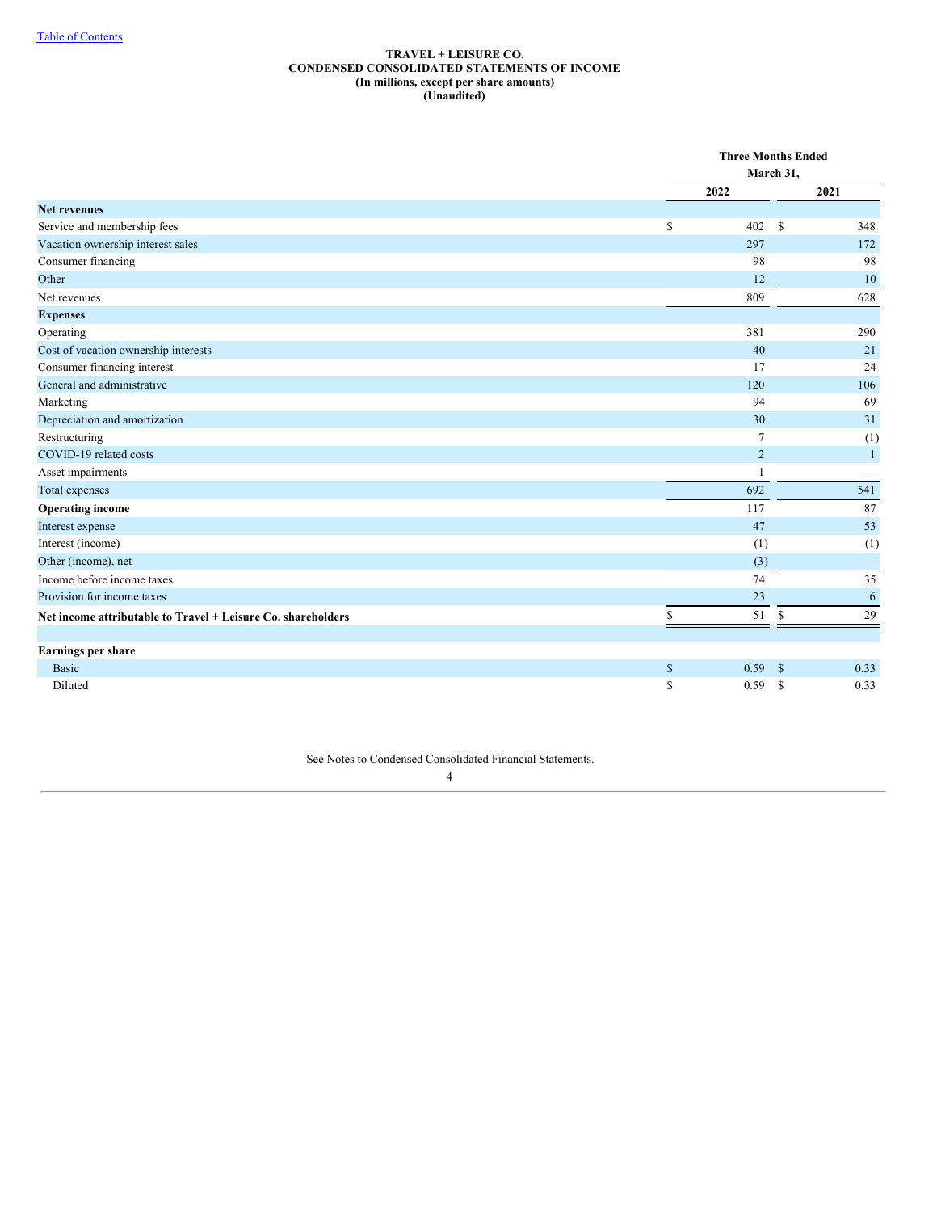# **TRAVEL + LEISURE CO. CONDENSED CONSOLIDATED STATEMENTS OF INCOME (In millions, except per share amounts) (Unaudited)**

|                                                              |              | <b>Three Months Ended</b>      |
|--------------------------------------------------------------|--------------|--------------------------------|
|                                                              |              | March 31,                      |
|                                                              | 2022         | 2021                           |
| <b>Net revenues</b>                                          |              |                                |
| Service and membership fees                                  | \$<br>402    | $\mathbf S$<br>348             |
| Vacation ownership interest sales                            | 297          | 172                            |
| Consumer financing                                           |              | 98<br>98                       |
| Other                                                        |              | 10<br>12                       |
| Net revenues                                                 | 809          | 628                            |
| <b>Expenses</b>                                              |              |                                |
| Operating                                                    | 381          | 290                            |
| Cost of vacation ownership interests                         |              | 40<br>21                       |
| Consumer financing interest                                  |              | 17<br>24                       |
| General and administrative                                   | 120          | 106                            |
| Marketing                                                    |              | 94<br>69                       |
| Depreciation and amortization                                |              | 31<br>30                       |
| Restructuring                                                |              | 7<br>(1)                       |
| COVID-19 related costs                                       |              | $\overline{2}$<br>$\mathbf{1}$ |
| Asset impairments                                            |              | 1                              |
| Total expenses                                               | 692          | 541                            |
| <b>Operating income</b>                                      | 117          | 87                             |
| Interest expense                                             |              | 47<br>53                       |
| Interest (income)                                            |              | (1)<br>(1)                     |
| Other (income), net                                          |              | (3)<br>-                       |
| Income before income taxes                                   |              | 74<br>35                       |
| Provision for income taxes                                   |              | 23<br>6                        |
| Net income attributable to Travel + Leisure Co. shareholders | \$           | 51<br>29<br>$\mathbf{s}$       |
| Earnings per share                                           |              |                                |
| <b>Basic</b>                                                 | $\$$<br>0.59 | <sup>S</sup><br>0.33           |
| Diluted                                                      | \$<br>0.59   | $\mathbb{S}$<br>0.33           |

<span id="page-4-0"></span>See Notes to Condensed Consolidated Financial Statements.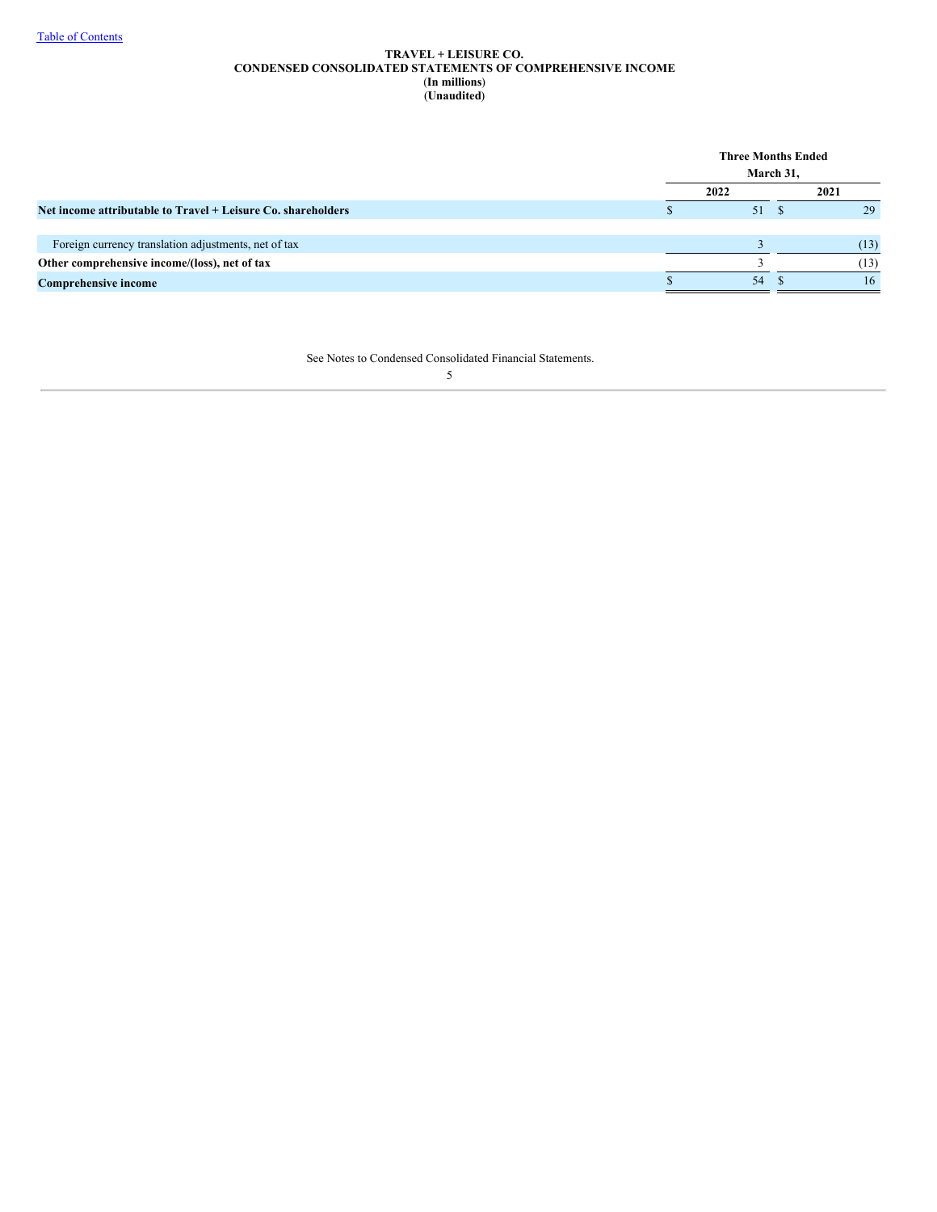# **TRAVEL + LEISURE CO. CONDENSED CONSOLIDATED STATEMENTS OF COMPREHENSIVE INCOME** (**In millions**) (**Unaudited**)

<span id="page-5-0"></span>

|                                                              | <b>Three Months Ended</b> |       |           |      |  |
|--------------------------------------------------------------|---------------------------|-------|-----------|------|--|
|                                                              |                           |       | March 31, |      |  |
|                                                              | 2022                      |       |           | 2021 |  |
| Net income attributable to Travel + Leisure Co. shareholders |                           | 51 \$ |           | 29   |  |
|                                                              |                           |       |           |      |  |
| Foreign currency translation adjustments, net of tax         |                           |       |           | (13) |  |
| Other comprehensive income/(loss), net of tax                |                           |       |           | (13) |  |
| <b>Comprehensive income</b>                                  |                           | 54    |           | 16   |  |

See Notes to Condensed Consolidated Financial Statements.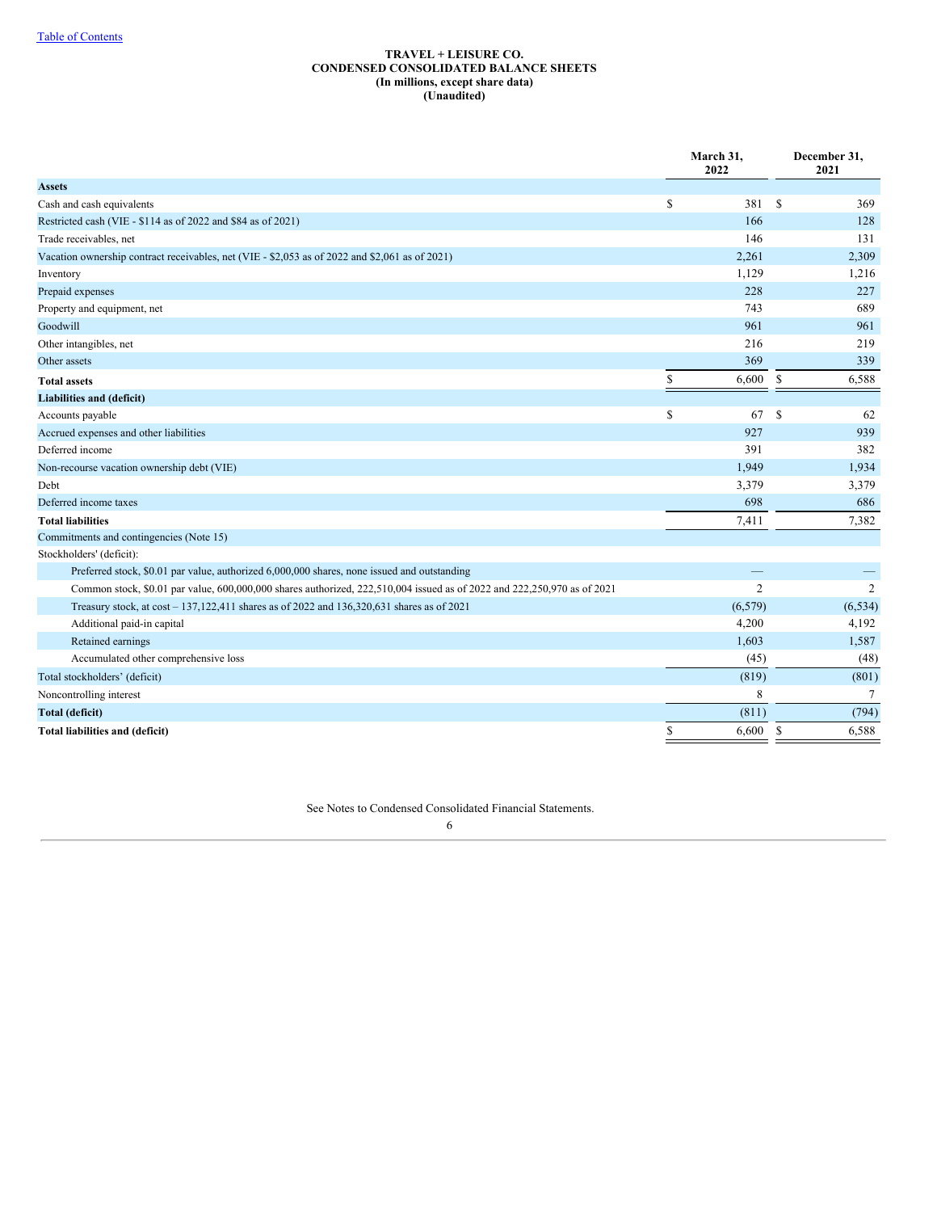# **TRAVEL + LEISURE CO. CONDENSED CONSOLIDATED BALANCE SHEETS (In millions, except share data) (Unaudited)**

|                                                                                                                         | March 31,<br>2022 |               | December 31,<br>2021 |
|-------------------------------------------------------------------------------------------------------------------------|-------------------|---------------|----------------------|
| Assets                                                                                                                  |                   |               |                      |
| Cash and cash equivalents                                                                                               | \$<br>381         | <sup>\$</sup> | 369                  |
| Restricted cash (VIE - \$114 as of 2022 and \$84 as of 2021)                                                            | 166               |               | 128                  |
| Trade receivables, net                                                                                                  | 146               |               | 131                  |
| Vacation ownership contract receivables, net (VIE - \$2,053 as of 2022 and \$2,061 as of 2021)                          | 2,261             |               | 2,309                |
| Inventory                                                                                                               | 1,129             |               | 1,216                |
| Prepaid expenses                                                                                                        | 228               |               | 227                  |
| Property and equipment, net                                                                                             | 743               |               | 689                  |
| Goodwill                                                                                                                | 961               |               | 961                  |
| Other intangibles, net                                                                                                  | 216               |               | 219                  |
| Other assets                                                                                                            | 369               |               | 339                  |
| <b>Total assets</b>                                                                                                     | \$<br>6,600       | -S            | 6,588                |
| <b>Liabilities and (deficit)</b>                                                                                        |                   |               |                      |
| Accounts payable                                                                                                        | \$<br>67          | -S            | 62                   |
| Accrued expenses and other liabilities                                                                                  | 927               |               | 939                  |
| Deferred income                                                                                                         | 391               |               | 382                  |
| Non-recourse vacation ownership debt (VIE)                                                                              | 1,949             |               | 1,934                |
| Debt                                                                                                                    | 3,379             |               | 3,379                |
| Deferred income taxes                                                                                                   | 698               |               | 686                  |
| <b>Total liabilities</b>                                                                                                | 7,411             |               | 7,382                |
| Commitments and contingencies (Note 15)                                                                                 |                   |               |                      |
| Stockholders' (deficit):                                                                                                |                   |               |                      |
| Preferred stock, \$0.01 par value, authorized 6,000,000 shares, none issued and outstanding                             |                   |               |                      |
| Common stock, \$0.01 par value, 600,000,000 shares authorized, 222,510,004 issued as of 2022 and 222,250,970 as of 2021 | $\overline{2}$    |               | 2                    |
| Treasury stock, at cost - 137,122,411 shares as of 2022 and 136,320,631 shares as of 2021                               | (6, 579)          |               | (6, 534)             |
| Additional paid-in capital                                                                                              | 4,200             |               | 4,192                |
| Retained earnings                                                                                                       | 1,603             |               | 1,587                |
| Accumulated other comprehensive loss                                                                                    | (45)              |               | (48)                 |
| Total stockholders' (deficit)                                                                                           | (819)             |               | (801)                |
| Noncontrolling interest                                                                                                 | 8                 |               |                      |
| <b>Total (deficit)</b>                                                                                                  | (811)             |               | (794)                |
| Total liabilities and (deficit)                                                                                         | \$<br>6,600 S     |               | 6,588                |

<span id="page-6-0"></span>See Notes to Condensed Consolidated Financial Statements.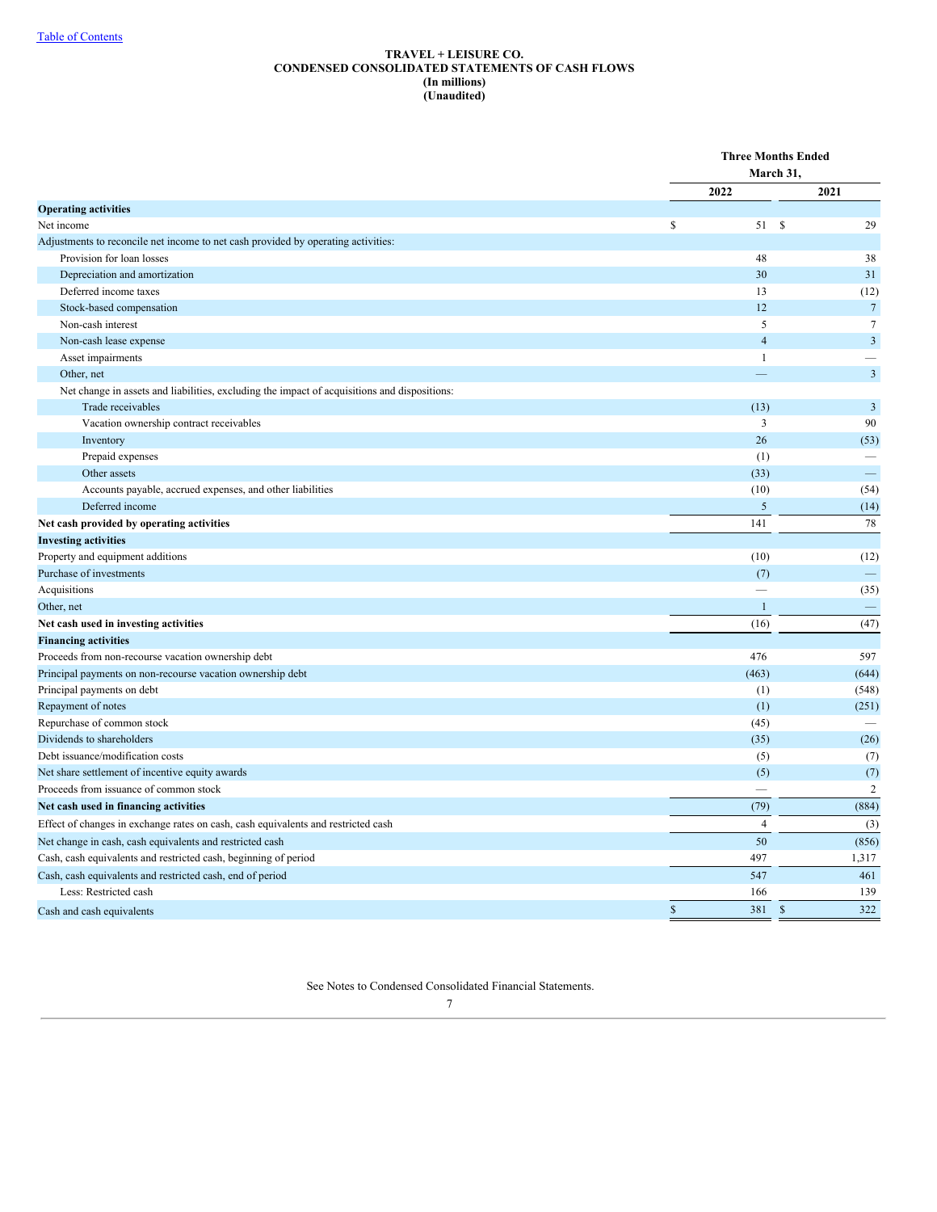# **TRAVEL + LEISURE CO. CONDENSED CONSOLIDATED STATEMENTS OF CASH FLOWS (In millions) (Unaudited)**

|                                                                                              | <b>Three Months Ended</b> |                          |  |
|----------------------------------------------------------------------------------------------|---------------------------|--------------------------|--|
|                                                                                              |                           | March 31,                |  |
|                                                                                              | 2022                      | 2021                     |  |
| <b>Operating activities</b>                                                                  |                           |                          |  |
| Net income                                                                                   | \$                        | 51 \$<br>29              |  |
| Adjustments to reconcile net income to net cash provided by operating activities:            |                           |                          |  |
| Provision for loan losses                                                                    | 48                        | 38                       |  |
| Depreciation and amortization                                                                | 30                        | 31                       |  |
| Deferred income taxes                                                                        | 13                        | (12)                     |  |
| Stock-based compensation                                                                     | 12                        | $\overline{7}$           |  |
| Non-cash interest                                                                            | 5                         | $7\phantom{.0}$          |  |
| Non-cash lease expense                                                                       | $\overline{4}$            | $\mathfrak{Z}$           |  |
| Asset impairments                                                                            | $\mathbf{1}$              |                          |  |
| Other, net                                                                                   |                           | $\overline{3}$           |  |
| Net change in assets and liabilities, excluding the impact of acquisitions and dispositions: |                           |                          |  |
| Trade receivables                                                                            | (13)                      | $\overline{\mathbf{3}}$  |  |
| Vacation ownership contract receivables                                                      | 3                         | 90                       |  |
| Inventory                                                                                    | 26                        | (53)                     |  |
| Prepaid expenses                                                                             | (1)                       | $\overline{\phantom{a}}$ |  |
| Other assets                                                                                 | (33)                      | $\frac{1}{2}$            |  |
| Accounts payable, accrued expenses, and other liabilities                                    | (10)                      | (54)                     |  |
| Deferred income                                                                              | $\mathfrak{S}$            | (14)                     |  |
| Net cash provided by operating activities                                                    | 141                       | 78                       |  |
| <b>Investing activities</b>                                                                  |                           |                          |  |
| Property and equipment additions                                                             | (10)                      | (12)                     |  |
| Purchase of investments                                                                      | (7)                       | $\overline{\phantom{0}}$ |  |
| Acquisitions                                                                                 |                           | (35)                     |  |
| Other, net                                                                                   | $\mathbf{1}$              | $\longrightarrow$        |  |
| Net cash used in investing activities                                                        | (16)                      | (47)                     |  |
| <b>Financing activities</b>                                                                  |                           |                          |  |
| Proceeds from non-recourse vacation ownership debt                                           | 476                       | 597                      |  |
| Principal payments on non-recourse vacation ownership debt                                   | (463)                     | (644)                    |  |
| Principal payments on debt                                                                   | (1)                       | (548)                    |  |
| Repayment of notes                                                                           | (1)                       | (251)                    |  |
| Repurchase of common stock                                                                   | (45)                      |                          |  |
| Dividends to shareholders                                                                    | (35)                      | (26)                     |  |
| Debt issuance/modification costs                                                             | (5)                       | (7)                      |  |
| Net share settlement of incentive equity awards                                              | (5)                       | (7)                      |  |
| Proceeds from issuance of common stock                                                       |                           | 2                        |  |
| Net cash used in financing activities                                                        | (79)                      | (884)                    |  |
| Effect of changes in exchange rates on cash, cash equivalents and restricted cash            | $\overline{4}$            | (3)                      |  |
| Net change in cash, cash equivalents and restricted cash                                     | 50                        | (856)                    |  |
| Cash, cash equivalents and restricted cash, beginning of period                              | 497                       | 1,317                    |  |
| Cash, cash equivalents and restricted cash, end of period                                    | 547                       | 461                      |  |
| Less: Restricted cash                                                                        | 166                       | 139                      |  |
| Cash and cash equivalents                                                                    | \$<br>381                 | $\mathbb{S}$<br>322      |  |

<span id="page-7-0"></span>See Notes to Condensed Consolidated Financial Statements.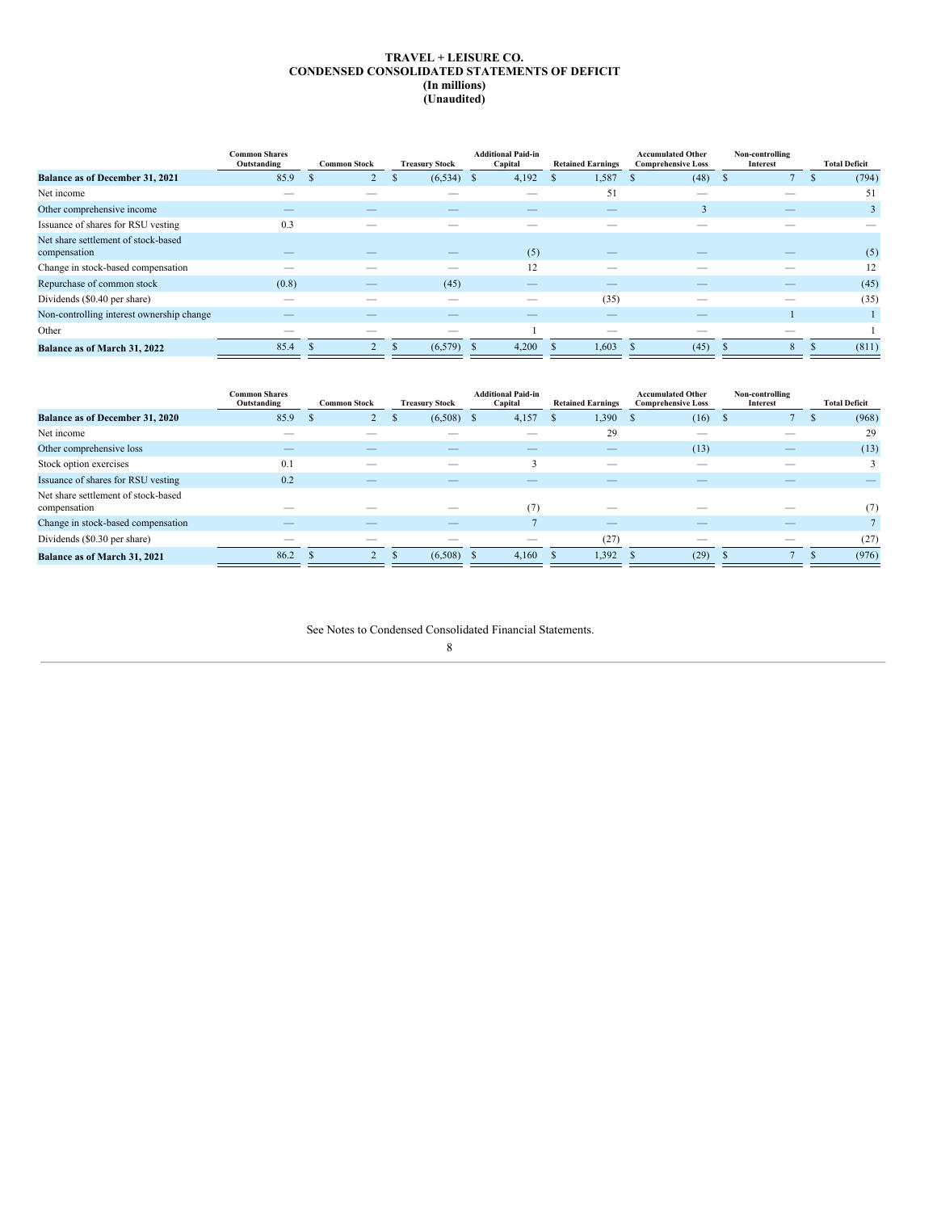# **TRAVEL + LEISURE CO. CONDENSED CONSOLIDATED STATEMENTS OF DEFICIT (In millions) (Unaudited)**

|                                                     | <b>Common Shares</b><br>Outstanding | <b>Common Stock</b> |          | <b>Treasury Stock</b>    | <b>Additional Paid-in</b><br>Capital |    | <b>Retained Earnings</b> |      | <b>Accumulated Other</b><br><b>Comprehensive Loss</b> | Non-controlling<br><b>Interest</b> |      | <b>Total Deficit</b> |
|-----------------------------------------------------|-------------------------------------|---------------------|----------|--------------------------|--------------------------------------|----|--------------------------|------|-------------------------------------------------------|------------------------------------|------|----------------------|
| <b>Balance as of December 31, 2021</b>              | 85.9                                |                     | <b>S</b> | $(6,534)$ \$             | 4,192                                | -8 | 1,587                    | - 35 | (48)                                                  |                                    |      | (794)                |
| Net income                                          |                                     |                     |          |                          |                                      |    | 51                       |      |                                                       |                                    |      | 51                   |
| Other comprehensive income                          |                                     |                     |          |                          |                                      |    |                          |      |                                                       |                                    |      | $\overline{3}$       |
| Issuance of shares for RSU vesting                  | 0.3                                 |                     |          |                          |                                      |    |                          |      |                                                       |                                    |      |                      |
| Net share settlement of stock-based<br>compensation |                                     |                     |          |                          | (5)                                  |    |                          |      |                                                       |                                    |      | (5)                  |
| Change in stock-based compensation                  |                                     |                     |          |                          | 12                                   |    |                          |      |                                                       |                                    |      | 12                   |
| Repurchase of common stock                          | (0.8)                               |                     |          | (45)                     |                                      |    |                          |      |                                                       |                                    |      | (45)                 |
| Dividends (\$0.40 per share)                        | _                                   |                     |          |                          |                                      |    | (35)                     |      |                                                       |                                    |      | (35)                 |
| Non-controlling interest ownership change           |                                     |                     |          |                          |                                      |    |                          |      |                                                       |                                    |      |                      |
| Other                                               |                                     | --                  |          | $\overline{\phantom{m}}$ |                                      |    |                          |      | $\overline{\phantom{a}}$                              | $\overline{\phantom{m}}$           |      |                      |
| Balance as of March 31, 2022                        | 85.4                                |                     | ъ        | $(6,579)$ \$             | 4,200                                |    | 1,603                    |      | (45)                                                  | 8                                  | - 39 | (811)                |

<span id="page-8-0"></span>

|                                                     | <b>Common Shares</b><br>Outstanding | <b>Common Stock</b>      | <b>Treasury Stock</b>    | <b>Additional Paid-in</b><br>Capital | <b>Retained Earnings</b> | <b>Accumulated Other</b><br><b>Comprehensive Loss</b> | Non-controlling<br><b>Interest</b> | <b>Total Deficit</b> |  |
|-----------------------------------------------------|-------------------------------------|--------------------------|--------------------------|--------------------------------------|--------------------------|-------------------------------------------------------|------------------------------------|----------------------|--|
| <b>Balance as of December 31, 2020</b>              | 85.9                                | - 33                     | $(6,508)$ \$<br>- 39     | 4,157                                | 1,390<br>- 55            | (16)<br>- 55                                          |                                    | (968)<br>$\cdot$     |  |
| Net income                                          | --                                  |                          |                          |                                      | 29                       |                                                       |                                    | 29                   |  |
| Other comprehensive loss                            |                                     |                          |                          |                                      |                          | (13)                                                  | __                                 | (13)                 |  |
| Stock option exercises                              | 0.1                                 | __                       | $\overline{\phantom{a}}$ |                                      | $\overline{\phantom{a}}$ | $\overline{\phantom{a}}$                              |                                    |                      |  |
| Issuance of shares for RSU vesting                  | 0.2                                 | $\overline{\phantom{a}}$ |                          |                                      |                          |                                                       |                                    |                      |  |
| Net share settlement of stock-based<br>compensation | _                                   |                          |                          | (7)                                  | $\overline{\phantom{m}}$ |                                                       |                                    | (7)                  |  |
| Change in stock-based compensation                  |                                     |                          |                          |                                      |                          |                                                       | $\overline{\phantom{a}}$           |                      |  |
| Dividends (\$0.30 per share)                        | __                                  |                          |                          |                                      | (27)                     |                                                       |                                    | (27)                 |  |
| Balance as of March 31, 2021                        | 86.2                                |                          | (6,508)                  | 4,160                                | 1,392                    | (29)                                                  |                                    | (976)                |  |

See Notes to Condensed Consolidated Financial Statements.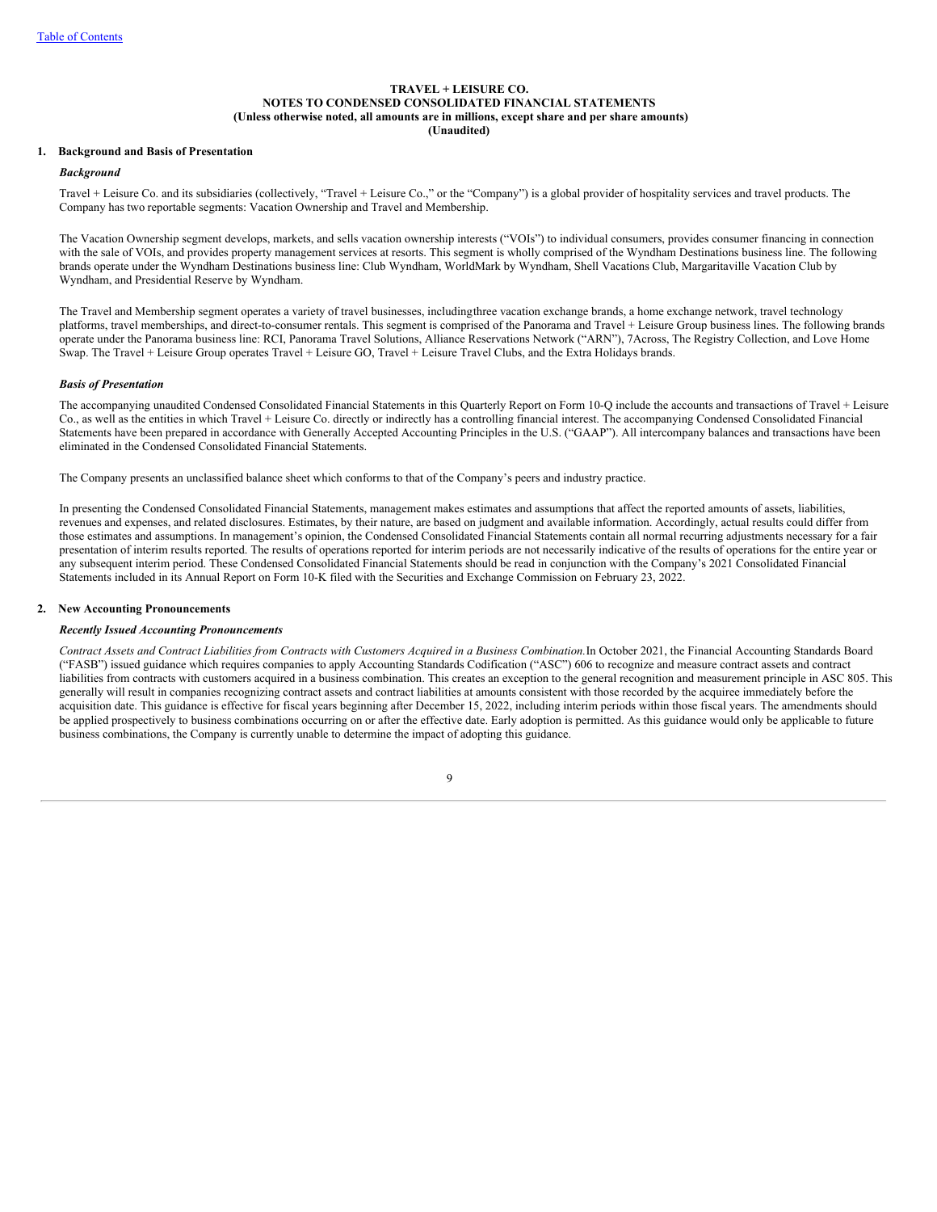### **TRAVEL + LEISURE CO. NOTES TO CONDENSED CONSOLIDATED FINANCIAL STATEMENTS (Unless otherwise noted, all amounts are in millions, except share and per share amounts) (Unaudited)**

#### <span id="page-9-0"></span>**1. Background and Basis of Presentation**

#### *Background*

Travel + Leisure Co. and its subsidiaries (collectively, "Travel + Leisure Co.," or the "Company") is a global provider of hospitality services and travel products. The Company has two reportable segments: Vacation Ownership and Travel and Membership.

The Vacation Ownership segment develops, markets, and sells vacation ownership interests ("VOIs") to individual consumers, provides consumer financing in connection with the sale of VOIs, and provides property management services at resorts. This segment is wholly comprised of the Wyndham Destinations business line. The following brands operate under the Wyndham Destinations business line: Club Wyndham, WorldMark by Wyndham, Shell Vacations Club, Margaritaville Vacation Club by Wyndham, and Presidential Reserve by Wyndham.

The Travel and Membership segment operates a variety of travel businesses, includingthree vacation exchange brands, a home exchange network, travel technology platforms, travel memberships, and direct-to-consumer rentals. This segment is comprised of the Panorama and Travel + Leisure Group business lines. The following brands operate under the Panorama business line: RCI, Panorama Travel Solutions, Alliance Reservations Network ("ARN"), 7Across, The Registry Collection, and Love Home Swap. The Travel + Leisure Group operates Travel + Leisure GO, Travel + Leisure Travel Clubs, and the Extra Holidays brands.

#### *Basis of Presentation*

The accompanying unaudited Condensed Consolidated Financial Statements in this Quarterly Report on Form 10-Q include the accounts and transactions of Travel + Leisure Co., as well as the entities in which Travel + Leisure Co. directly or indirectly has a controlling financial interest. The accompanying Condensed Consolidated Financial Statements have been prepared in accordance with Generally Accepted Accounting Principles in the U.S. ("GAAP"). All intercompany balances and transactions have been eliminated in the Condensed Consolidated Financial Statements.

The Company presents an unclassified balance sheet which conforms to that of the Company's peers and industry practice.

In presenting the Condensed Consolidated Financial Statements, management makes estimates and assumptions that affect the reported amounts of assets, liabilities, revenues and expenses, and related disclosures. Estimates, by their nature, are based on judgment and available information. Accordingly, actual results could differ from those estimates and assumptions. In management's opinion, the Condensed Consolidated Financial Statements contain all normal recurring adjustments necessary for a fair presentation of interim results reported. The results of operations reported for interim periods are not necessarily indicative of the results of operations for the entire year or any subsequent interim period. These Condensed Consolidated Financial Statements should be read in conjunction with the Company's 2021 Consolidated Financial Statements included in its Annual Report on Form 10-K filed with the Securities and Exchange Commission on February 23, 2022.

#### <span id="page-9-1"></span>**2. New Accounting Pronouncements**

# *Recently Issued Accounting Pronouncements*

Contract Assets and Contract Liabilities from Contracts with Customers Acquired in a Business Combination. In October 2021, the Financial Accounting Standards Board ("FASB") issued guidance which requires companies to apply Accounting Standards Codification ("ASC") 606 to recognize and measure contract assets and contract liabilities from contracts with customers acquired in a business combination. This creates an exception to the general recognition and measurement principle in ASC 805. This generally will result in companies recognizing contract assets and contract liabilities at amounts consistent with those recorded by the acquiree immediately before the acquisition date. This guidance is effective for fiscal years beginning after December 15, 2022, including interim periods within those fiscal years. The amendments should be applied prospectively to business combinations occurring on or after the effective date. Early adoption is permitted. As this guidance would only be applicable to future business combinations, the Company is currently unable to determine the impact of adopting this guidance.

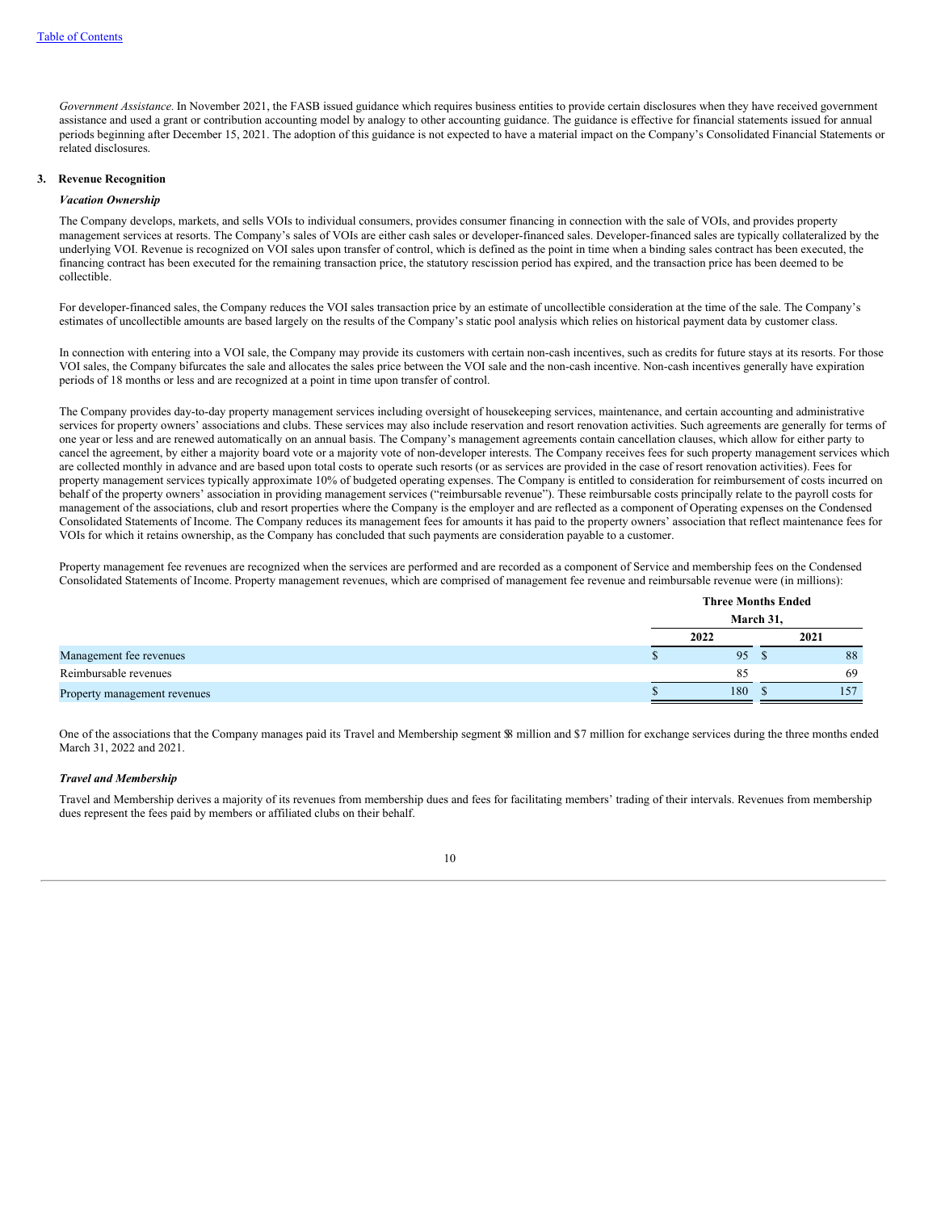*Government Assistance.* In November 2021, the FASB issued guidance which requires business entities to provide certain disclosures when they have received government assistance and used a grant or contribution accounting model by analogy to other accounting guidance. The guidance is effective for financial statements issued for annual periods beginning after December 15, 2021. The adoption of this guidance is not expected to have a material impact on the Company's Consolidated Financial Statements or related disclosures.

#### <span id="page-10-0"></span>**3. Revenue Recognition**

#### *Vacation Ownership*

The Company develops, markets, and sells VOIs to individual consumers, provides consumer financing in connection with the sale of VOIs, and provides property management services at resorts. The Company's sales of VOIs are either cash sales or developer-financed sales. Developer-financed sales are typically collateralized by the underlying VOI. Revenue is recognized on VOI sales upon transfer of control, which is defined as the point in time when a binding sales contract has been executed, the financing contract has been executed for the remaining transaction price, the statutory rescission period has expired, and the transaction price has been deemed to be collectible.

For developer-financed sales, the Company reduces the VOI sales transaction price by an estimate of uncollectible consideration at the time of the sale. The Company's estimates of uncollectible amounts are based largely on the results of the Company's static pool analysis which relies on historical payment data by customer class.

In connection with entering into a VOI sale, the Company may provide its customers with certain non-cash incentives, such as credits for future stays at its resorts. For those VOI sales, the Company bifurcates the sale and allocates the sales price between the VOI sale and the non-cash incentive. Non-cash incentives generally have expiration periods of 18 months or less and are recognized at a point in time upon transfer of control.

The Company provides day-to-day property management services including oversight of housekeeping services, maintenance, and certain accounting and administrative services for property owners' associations and clubs. These services may also include reservation and resort renovation activities. Such agreements are generally for terms of one year or less and are renewed automatically on an annual basis. The Company's management agreements contain cancellation clauses, which allow for either party to cancel the agreement, by either a majority board vote or a majority vote of non-developer interests. The Company receives fees for such property management services which are collected monthly in advance and are based upon total costs to operate such resorts (or as services are provided in the case of resort renovation activities). Fees for property management services typically approximate 10% of budgeted operating expenses. The Company is entitled to consideration for reimbursement of costs incurred on behalf of the property owners' association in providing management services ("reimbursable revenue"). These reimbursable costs principally relate to the payroll costs for management of the associations, club and resort properties where the Company is the employer and are reflected as a component of Operating expenses on the Condensed Consolidated Statements of Income. The Company reduces its management fees for amounts it has paid to the property owners' association that reflect maintenance fees for VOIs for which it retains ownership, as the Company has concluded that such payments are consideration payable to a customer.

Property management fee revenues are recognized when the services are performed and are recorded as a component of Service and membership fees on the Condensed Consolidated Statements of Income. Property management revenues, which are comprised of management fee revenue and reimbursable revenue were (in millions):

|                              | <b>Three Months Ended</b> |    |      |  |
|------------------------------|---------------------------|----|------|--|
|                              | March 31,                 |    |      |  |
|                              | 2022                      |    | 2021 |  |
| Management fee revenues      | 95                        |    | 88   |  |
| Reimbursable revenues        | 85                        |    | 69   |  |
| Property management revenues | 180                       | -S | 157  |  |

One of the associations that the Company manages paid its Travel and Membership segment \$8 million and \$7 million for exchange services during the three months ended March 31, 2022 and 2021.

### *Travel and Membership*

Travel and Membership derives a majority of its revenues from membership dues and fees for facilitating members' trading of their intervals. Revenues from membership dues represent the fees paid by members or affiliated clubs on their behalf.

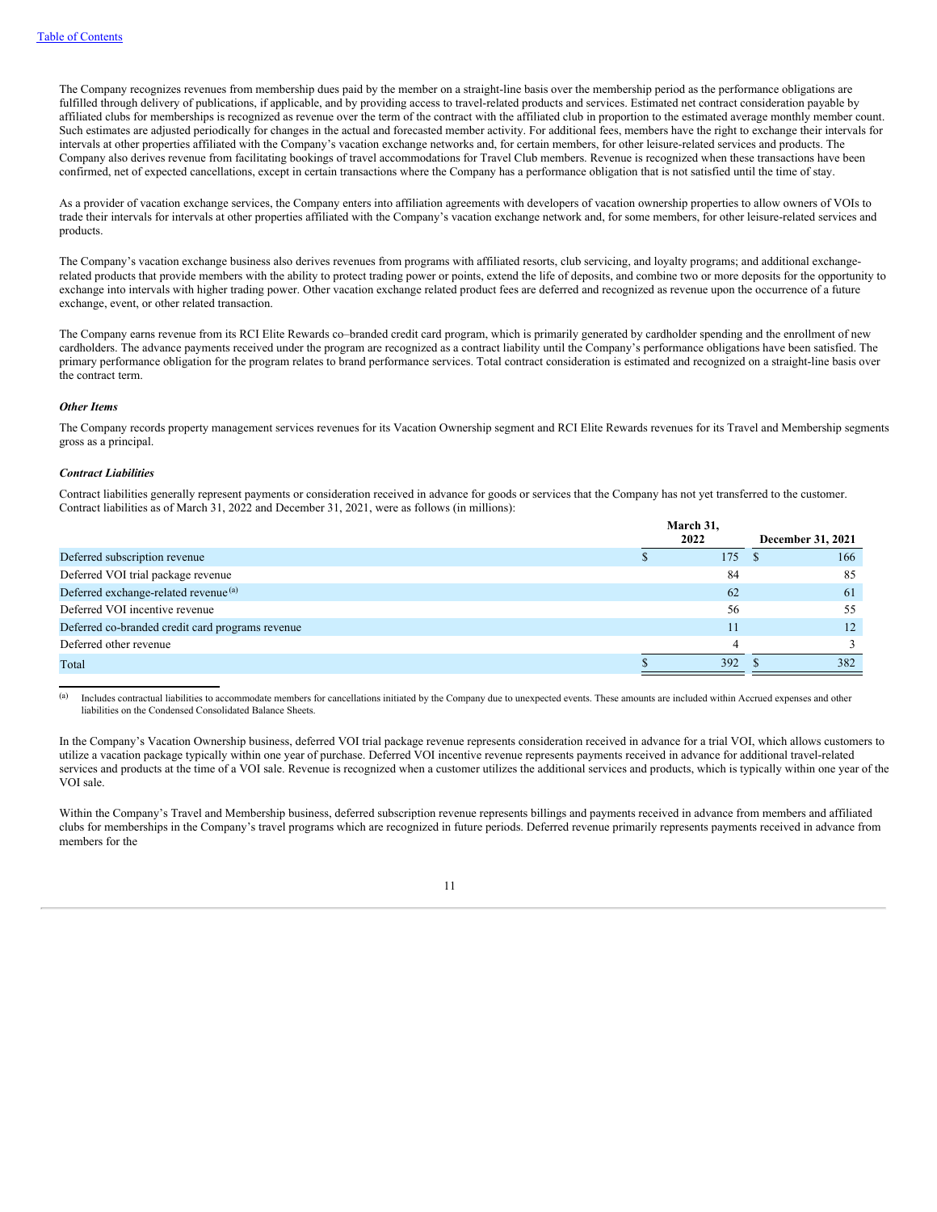The Company recognizes revenues from membership dues paid by the member on a straight-line basis over the membership period as the performance obligations are fulfilled through delivery of publications, if applicable, and by providing access to travel-related products and services. Estimated net contract consideration payable by affiliated clubs for memberships is recognized as revenue over the term of the contract with the affiliated club in proportion to the estimated average monthly member count. Such estimates are adjusted periodically for changes in the actual and forecasted member activity. For additional fees, members have the right to exchange their intervals for intervals at other properties affiliated with the Company's vacation exchange networks and, for certain members, for other leisure-related services and products. The Company also derives revenue from facilitating bookings of travel accommodations for Travel Club members. Revenue is recognized when these transactions have been confirmed, net of expected cancellations, except in certain transactions where the Company has a performance obligation that is not satisfied until the time of stay.

As a provider of vacation exchange services, the Company enters into affiliation agreements with developers of vacation ownership properties to allow owners of VOIs to trade their intervals for intervals at other properties affiliated with the Company's vacation exchange network and, for some members, for other leisure-related services and products.

The Company's vacation exchange business also derives revenues from programs with affiliated resorts, club servicing, and loyalty programs; and additional exchangerelated products that provide members with the ability to protect trading power or points, extend the life of deposits, and combine two or more deposits for the opportunity to exchange into intervals with higher trading power. Other vacation exchange related product fees are deferred and recognized as revenue upon the occurrence of a future exchange, event, or other related transaction.

The Company earns revenue from its RCI Elite Rewards co-branded credit card program, which is primarily generated by cardholder spending and the enrollment of new cardholders. The advance payments received under the program are recognized as a contract liability until the Company's performance obligations have been satisfied. The primary performance obligation for the program relates to brand performance services. Total contract consideration is estimated and recognized on a straight-line basis over the contract term.

#### *Other Items*

The Company records property management services revenues for its Vacation Ownership segment and RCI Elite Rewards revenues for its Travel and Membership segments gross as a principal.

#### *Contract Liabilities*

Contract liabilities generally represent payments or consideration received in advance for goods or services that the Company has not yet transferred to the customer. Contract liabilities as of March 31, 2022 and December 31, 2021, were as follows (in millions):

|                                                  |  | December 31, 2021 |  |     |
|--------------------------------------------------|--|-------------------|--|-----|
| Deferred subscription revenue                    |  | 175               |  | 166 |
| Deferred VOI trial package revenue               |  | 84                |  | 85  |
| Deferred exchange-related revenue <sup>(a)</sup> |  | 62                |  | 61  |
| Deferred VOI incentive revenue                   |  | 56                |  | 55  |
| Deferred co-branded credit card programs revenue |  |                   |  | 12  |
| Deferred other revenue                           |  |                   |  |     |
| Total                                            |  | 392               |  | 382 |

Includes contractual liabilities to accommodate members for cancellations initiated by the Company due to unexpected events. These amounts are included within Accrued expenses and other liabilities on the Condensed Consolidated Balance Sheets. (a)

In the Company's Vacation Ownership business, deferred VOI trial package revenue represents consideration received in advance for a trial VOI, which allows customers to utilize a vacation package typically within one year of purchase. Deferred VOI incentive revenue represents payments received in advance for additional travel-related services and products at the time of a VOI sale. Revenue is recognized when a customer utilizes the additional services and products, which is typically within one year of the VOI sale.

Within the Company's Travel and Membership business, deferred subscription revenue represents billings and payments received in advance from members and affiliated clubs for memberships in the Company's travel programs which are recognized in future periods. Deferred revenue primarily represents payments received in advance from members for the

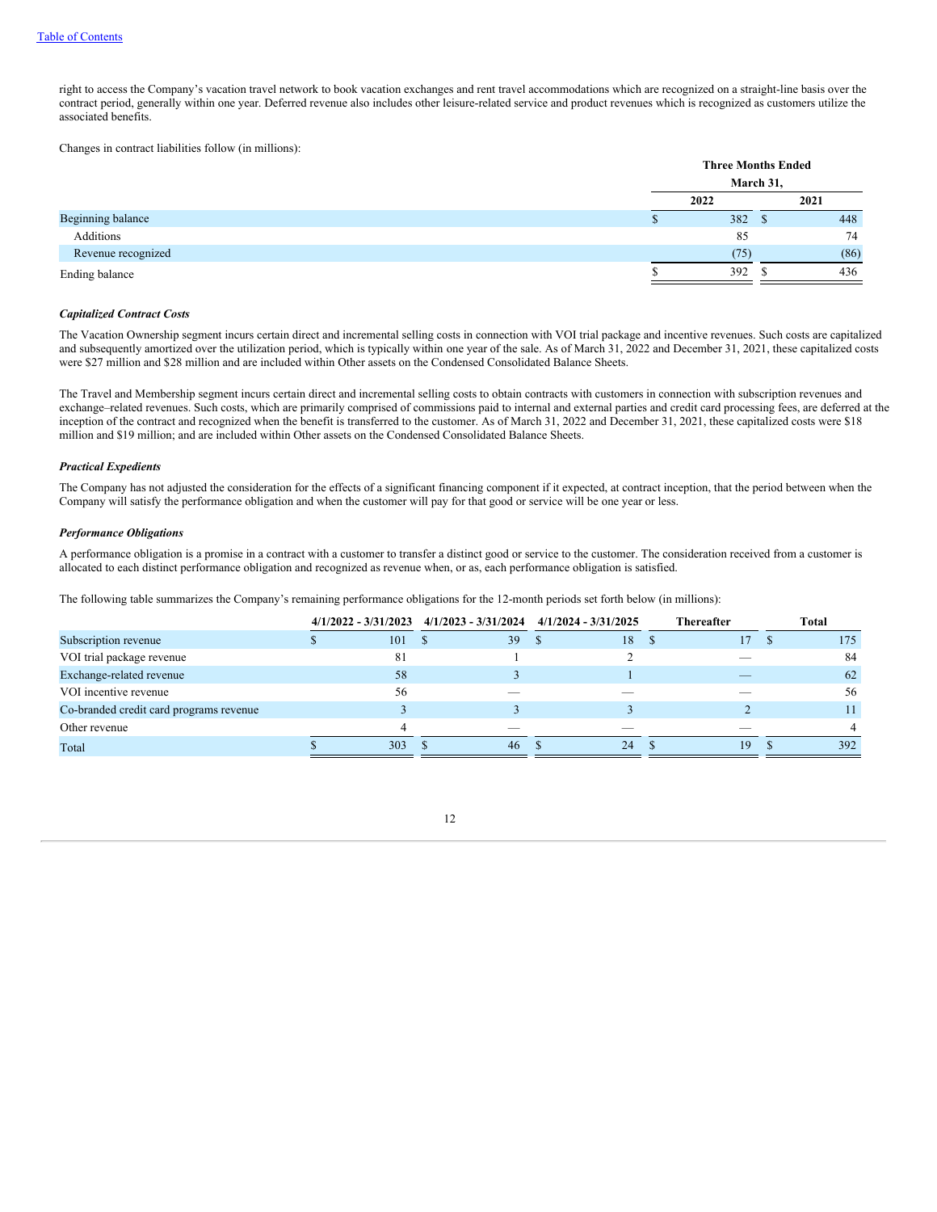right to access the Company's vacation travel network to book vacation exchanges and rent travel accommodations which are recognized on a straight-line basis over the contract period, generally within one year. Deferred revenue also includes other leisure-related service and product revenues which is recognized as customers utilize the associated benefits.

Changes in contract liabilities follow (in millions):

|                    | <b>Three Months Ended</b> |        |           |      |
|--------------------|---------------------------|--------|-----------|------|
|                    |                           |        | March 31, |      |
|                    |                           | 2022   |           | 2021 |
| Beginning balance  |                           | 382 \$ |           | 448  |
| Additions          |                           | 85     |           | 74   |
| Revenue recognized |                           | (75)   |           | (86) |
| Ending balance     |                           | 392 \$ |           | 436  |

#### *Capitalized Contract Costs*

The Vacation Ownership segment incurs certain direct and incremental selling costs in connection with VOI trial package and incentive revenues. Such costs are capitalized and subsequently amortized over the utilization period, which is typically within one year of the sale. As of March 31, 2022 and December 31, 2021, these capitalized costs were \$27 million and \$28 million and are included within Other assets on the Condensed Consolidated Balance Sheets.

The Travel and Membership segment incurs certain direct and incremental selling costs to obtain contracts with customers in connection with subscription revenues and exchange–related revenues. Such costs, which are primarily comprised of commissions paid to internal and external parties and credit card processing fees, are deferred at the inception of the contract and recognized when the benefit is transferred to the customer. As of March 31, 2022 and December 31, 2021, these capitalized costs were \$18 million and \$19 million; and are included within Other assets on the Condensed Consolidated Balance Sheets.

#### *Practical Expedients*

The Company has not adjusted the consideration for the effects of a significant financing component if it expected, at contract inception, that the period between when the Company will satisfy the performance obligation and when the customer will pay for that good or service will be one year or less.

# *Performance Obligations*

A performance obligation is a promise in a contract with a customer to transfer a distinct good or service to the customer. The consideration received from a customer is allocated to each distinct performance obligation and recognized as revenue when, or as, each performance obligation is satisfied.

The following table summarizes the Company's remaining performance obligations for the 12-month periods set forth below (in millions):

|                                         |     | $4/1/2022 - 3/31/2023$ $4/1/2023 - 3/31/2024$ $4/1/2024 - 3/31/2025$ |    | <b>Thereafter</b> | Total |
|-----------------------------------------|-----|----------------------------------------------------------------------|----|-------------------|-------|
| Subscription revenue                    | 101 | 39                                                                   | 18 |                   | 175   |
| VOI trial package revenue               | 81  |                                                                      |    |                   | 84    |
| Exchange-related revenue                | 58  |                                                                      |    |                   | 62    |
| VOI incentive revenue                   | 56  | __                                                                   |    |                   | 56    |
| Co-branded credit card programs revenue |     |                                                                      |    |                   |       |
| Other revenue                           |     | __                                                                   |    |                   | 4     |
| Total                                   | 303 | 46                                                                   | 24 | 19                | 392   |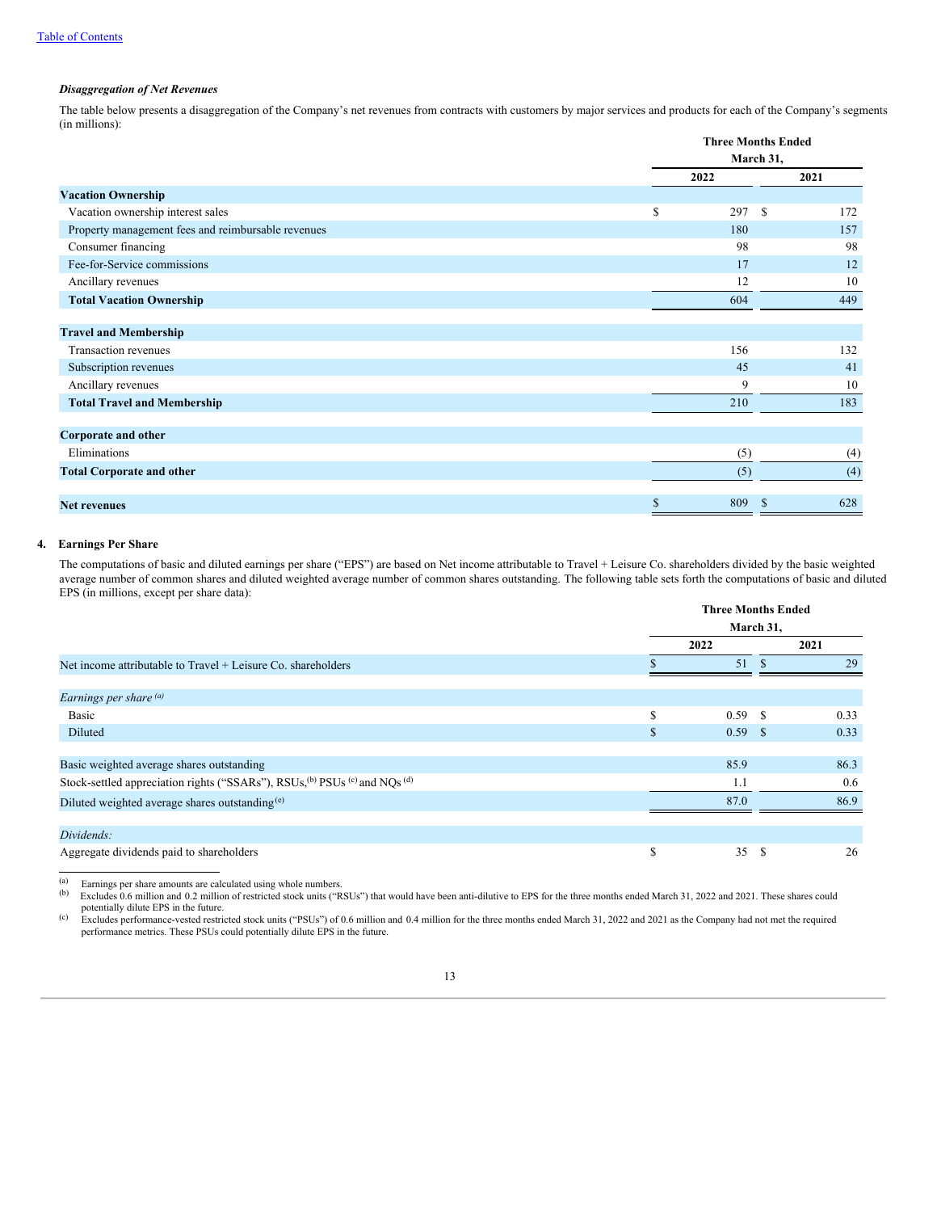# *Disaggregation of Net Revenues*

The table below presents a disaggregation of the Company's net revenues from contracts with customers by major services and products for each of the Company's segments (in millions):

|                                                    |           | <b>Three Months Ended</b> |
|----------------------------------------------------|-----------|---------------------------|
|                                                    |           | March 31,                 |
|                                                    | 2022      | 2021                      |
| <b>Vacation Ownership</b>                          |           |                           |
| Vacation ownership interest sales                  | \$<br>297 | -S<br>172                 |
| Property management fees and reimbursable revenues | 180       | 157                       |
| Consumer financing                                 | 98        | 98                        |
| Fee-for-Service commissions                        | 17        | 12                        |
| Ancillary revenues                                 | 12        | 10                        |
| <b>Total Vacation Ownership</b>                    | 604       | 449                       |
|                                                    |           |                           |
| <b>Travel and Membership</b>                       |           |                           |
| <b>Transaction revenues</b>                        | 156       | 132                       |
| Subscription revenues                              | 45        | 41                        |
| Ancillary revenues                                 | 9         | 10                        |
| <b>Total Travel and Membership</b>                 | 210       | 183                       |
|                                                    |           |                           |
| Corporate and other                                |           |                           |
| Eliminations                                       | (5)       | (4)                       |
| <b>Total Corporate and other</b>                   | (5)       | (4)                       |
|                                                    |           |                           |
| <b>Net revenues</b>                                | \$<br>809 | 628<br><b>S</b>           |

# <span id="page-13-0"></span>**4. Earnings Per Share**

The computations of basic and diluted earnings per share ("EPS") are based on Net income attributable to Travel + Leisure Co. shareholders divided by the basic weighted average number of common shares and diluted weighted average number of common shares outstanding. The following table sets forth the computations of basic and diluted EPS (in millions, except per share data):

|                                                                             |              | <b>Three Months Ended</b> |      |      |  |
|-----------------------------------------------------------------------------|--------------|---------------------------|------|------|--|
|                                                                             |              | March 31,                 |      |      |  |
|                                                                             | 2022         |                           |      | 2021 |  |
| Net income attributable to Travel + Leisure Co. shareholders                |              | 51                        |      | 29   |  |
|                                                                             |              |                           |      |      |  |
| Earnings per share (a)                                                      |              |                           |      |      |  |
| Basic                                                                       | \$           | 0.59                      | - \$ | 0.33 |  |
| Diluted                                                                     | $\mathbb{S}$ | $0.59$ \$                 |      | 0.33 |  |
|                                                                             |              |                           |      |      |  |
| Basic weighted average shares outstanding                                   |              | 85.9                      |      | 86.3 |  |
| Stock-settled appreciation rights ("SSARs"), RSUs, (b) PSUs (c) and NQs (d) |              | 1.1                       |      | 0.6  |  |
| Diluted weighted average shares outstanding <sup>(e)</sup>                  |              | 87.0                      |      | 86.9 |  |
|                                                                             |              |                           |      |      |  |
| Dividends:                                                                  |              |                           |      |      |  |
| Aggregate dividends paid to shareholders                                    | S            | 35                        | -S   | 26   |  |

Earnings per share amounts are calculated using whole numbers. (a)

Excludes 0.6 million and 0.2 million of restricted stock units ("RSUs") that would have been anti-dilutive to EPS for the three months ended March 31, 2022 and 2021. These shares could potentially dilute EPS in the future.<br>Excludes performance-vested restricted stock units ("PSUs") of 0.6 million and 0.4 million for the three months ended March 31, 2022 and 2021 as the Company had not met the required (b)

performance metrics. These PSUs could potentially dilute EPS in the future. (c)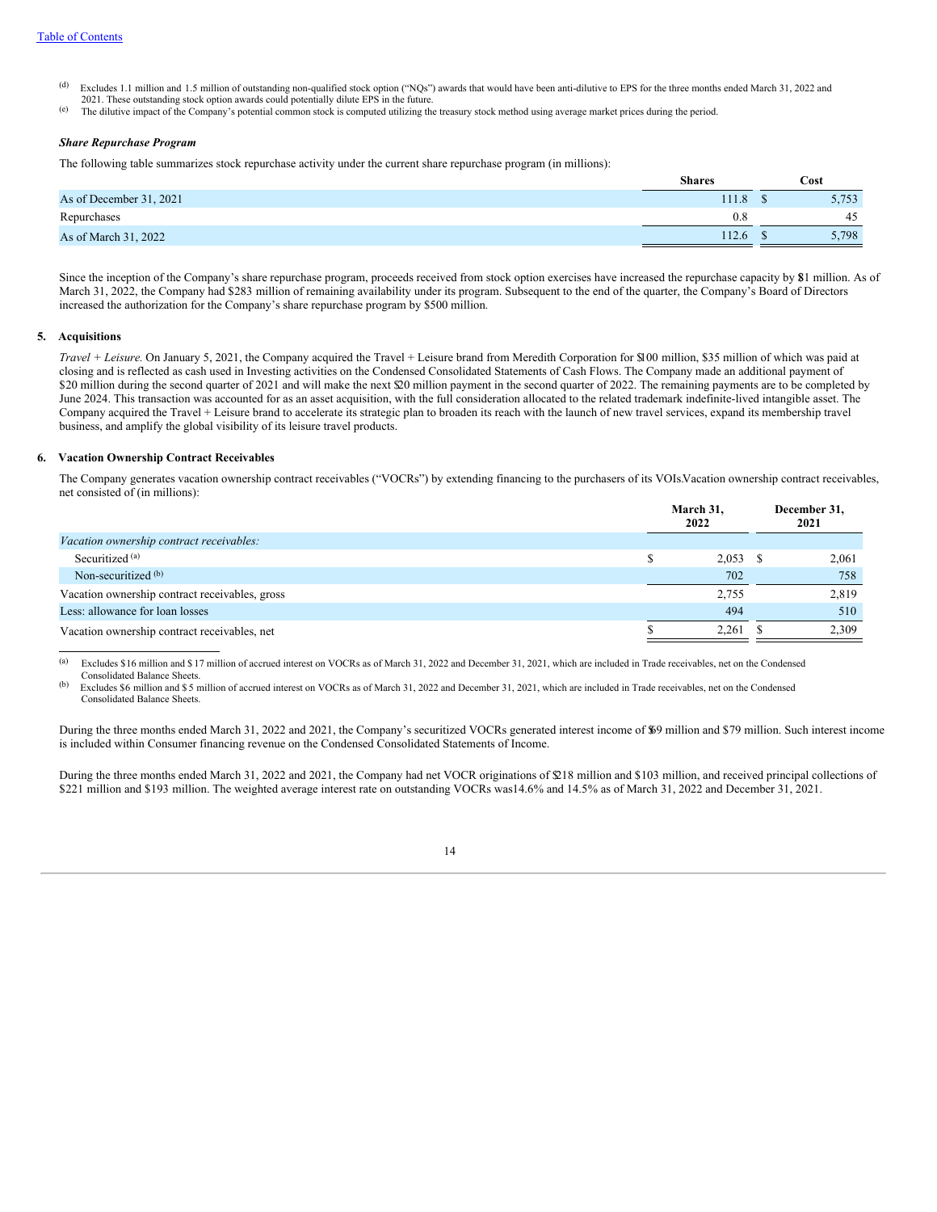- Excludes 1.1 million and 1.5 million of outstanding non-qualified stock option ("NQs") awards that would have been anti-dilutive to EPS for the three months ended March 31, 2022 and 2021. These outstanding stock option awards could potentially dilute EPS in the future. (d)
- The dilutive impact of the Company's potential common stock is computed utilizing the treasury stock method using average market prices during the period. (e)

#### *Share Repurchase Program*

The following table summarizes stock repurchase activity under the current share repurchase program (in millions):

|                         | <b>Shares</b> | Cost  |
|-------------------------|---------------|-------|
| As of December 31, 2021 | 11.8          | 5,753 |
| Repurchases             | 0.8           | 45    |
| As of March 31, 2022    | 12.6          | 5,798 |

Since the inception of the Company's share repurchase program, proceeds received from stock option exercises have increased the repurchase capacity by \$1 million. As of March 31, 2022, the Company had \$283 million of remaining availability under its program. Subsequent to the end of the quarter, the Company's Board of Directors increased the authorization for the Company's share repurchase program by \$500 million.

#### <span id="page-14-0"></span>**5. Acquisitions**

*Travel + Leisure.* On January 5, 2021, the Company acquired the Travel + Leisure brand from Meredith Corporation for \$100 million, \$35 million of which was paid at closing and is reflected as cash used in Investing activities on the Condensed Consolidated Statements of Cash Flows. The Company made an additional payment of \$20 million during the second quarter of 2021 and will make the next \$20 million payment in the second quarter of 2022. The remaining payments are to be completed by June 2024. This transaction was accounted for as an asset acquisition, with the full consideration allocated to the related trademark indefinite-lived intangible asset. The Company acquired the Travel + Leisure brand to accelerate its strategic plan to broaden its reach with the launch of new travel services, expand its membership travel business, and amplify the global visibility of its leisure travel products.

#### <span id="page-14-1"></span>**6. Vacation Ownership Contract Receivables**

The Company generates vacation ownership contract receivables ("VOCRs") by extending financing to the purchasers of its VOIs.Vacation ownership contract receivables, net consisted of (in millions):

|                                                | March 31,<br>2022 |  |       |
|------------------------------------------------|-------------------|--|-------|
| Vacation ownership contract receivables:       |                   |  |       |
| Securitized <sup>(a)</sup>                     | 2,053             |  | 2,061 |
| Non-securitized (b)                            | 702               |  | 758   |
| Vacation ownership contract receivables, gross | 2,755             |  | 2,819 |
| Less: allowance for loan losses                | 494               |  | 510   |
| Vacation ownership contract receivables, net   | 2,261             |  | 2,309 |

Excludes \$16 million and \$ 17 million of accrued interest on VOCRs as of March 31, 2022 and December 31, 2021, which are included in Trade receivables, net on the Condensed Consolidated Balance Sheets. (a)

Excludes \$6 million and \$ 5 million of accrued interest on VOCRs as of March 31, 2022 and December 31, 2021, which are included in Trade receivables, net on the Condensed Consolidated Balance Sheets. (b)

During the three months ended March 31, 2022 and 2021, the Company's securitized VOCRs generated interest income of \$69 million and \$79 million. Such interest income is included within Consumer financing revenue on the Condensed Consolidated Statements of Income.

During the three months ended March 31, 2022 and 2021, the Company had net VOCR originations of \$218 million and \$103 million, and received principal collections of \$221 million and \$193 million. The weighted average interest rate on outstanding VOCRs was14.6% and 14.5% as of March 31, 2022 and December 31, 2021.

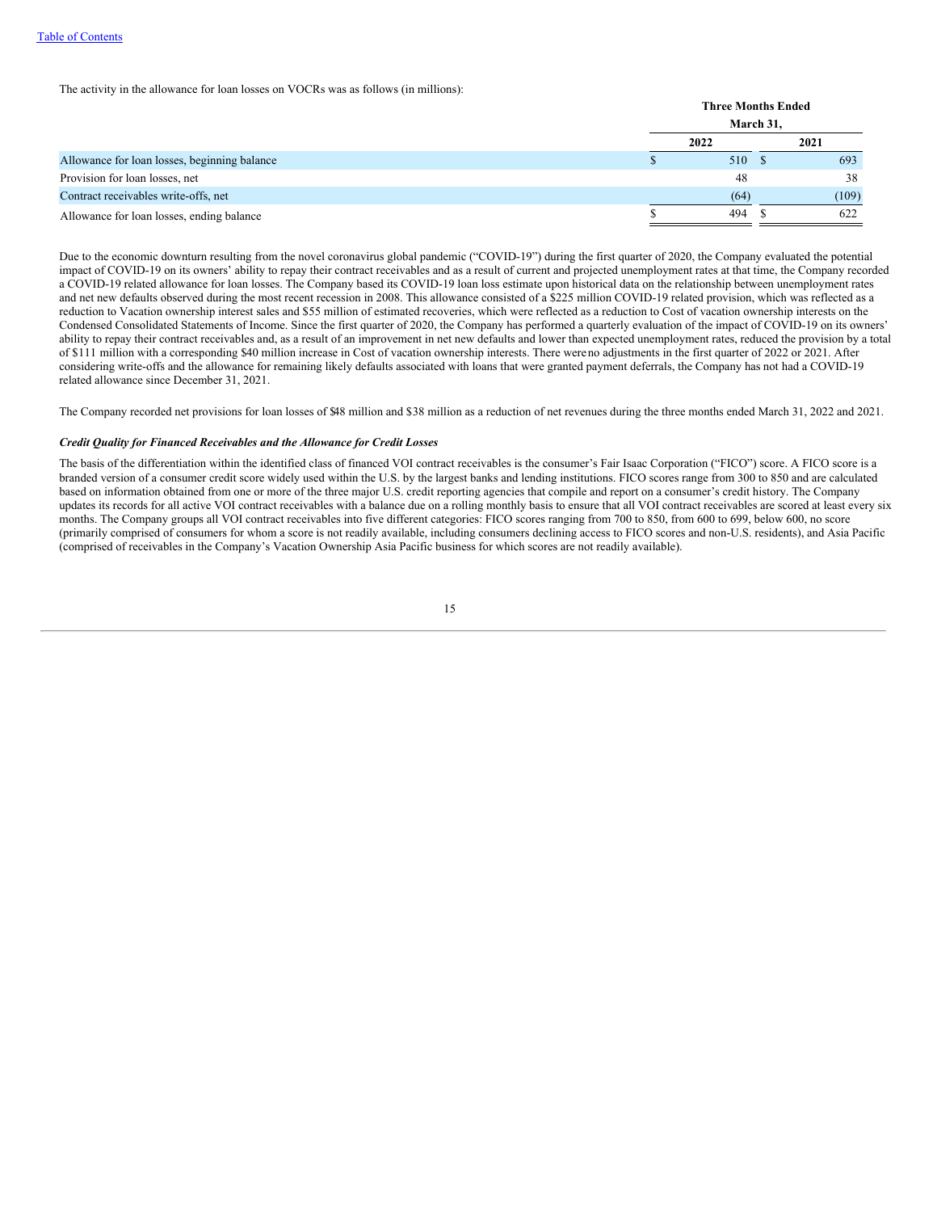The activity in the allowance for loan losses on VOCRs was as follows (in millions):

|                                              | <b>Three Months Ended</b> |           |  |       |
|----------------------------------------------|---------------------------|-----------|--|-------|
|                                              |                           | March 31. |  |       |
|                                              |                           | 2022      |  | 2021  |
| Allowance for loan losses, beginning balance |                           | 510 \$    |  | 693   |
| Provision for loan losses, net               |                           | 48        |  | 38    |
| Contract receivables write-offs, net         |                           | (64)      |  | (109) |
| Allowance for loan losses, ending balance    |                           | 494       |  | 622   |

Due to the economic downturn resulting from the novel coronavirus global pandemic ("COVID-19") during the first quarter of 2020, the Company evaluated the potential impact of COVID-19 on its owners' ability to repay their contract receivables and as a result of current and projected unemployment rates at that time, the Company recorded a COVID-19 related allowance for loan losses. The Company based its COVID-19 loan loss estimate upon historical data on the relationship between unemployment rates and net new defaults observed during the most recent recession in 2008. This allowance consisted of a \$225 million COVID-19 related provision, which was reflected as a reduction to Vacation ownership interest sales and \$55 million of estimated recoveries, which were reflected as a reduction to Cost of vacation ownership interests on the Condensed Consolidated Statements of Income. Since the first quarter of 2020, the Company has performed a quarterly evaluation of the impact of COVID-19 on its owners' ability to repay their contract receivables and, as a result of an improvement in net new defaults and lower than expected unemployment rates, reduced the provision by a total of \$111 million with a corresponding \$40 million increase in Cost of vacation ownership interests. There wereno adjustments in the first quarter of 2022 or 2021. After considering write-offs and the allowance for remaining likely defaults associated with loans that were granted payment deferrals, the Company has not had a COVID-19 related allowance since December 31, 2021.

The Company recorded net provisions for loan losses of \$48 million and \$38 million as a reduction of net revenues during the three months ended March 31, 2022 and 2021.

#### *Credit Quality for Financed Receivables and the Allowance for Credit Losses*

The basis of the differentiation within the identified class of financed VOI contract receivables is the consumer's Fair Isaac Corporation ("FICO") score. A FICO score is a branded version of a consumer credit score widely used within the U.S. by the largest banks and lending institutions. FICO scores range from 300 to 850 and are calculated based on information obtained from one or more of the three major U.S. credit reporting agencies that compile and report on a consumer's credit history. The Company updates its records for all active VOI contract receivables with a balance due on a rolling monthly basis to ensure that all VOI contract receivables are scored at least every six months. The Company groups all VOI contract receivables into five different categories: FICO scores ranging from 700 to 850, from 600 to 699, below 600, no score (primarily comprised of consumers for whom a score is not readily available, including consumers declining access to FICO scores and non-U.S. residents), and Asia Pacific (comprised of receivables in the Company's Vacation Ownership Asia Pacific business for which scores are not readily available).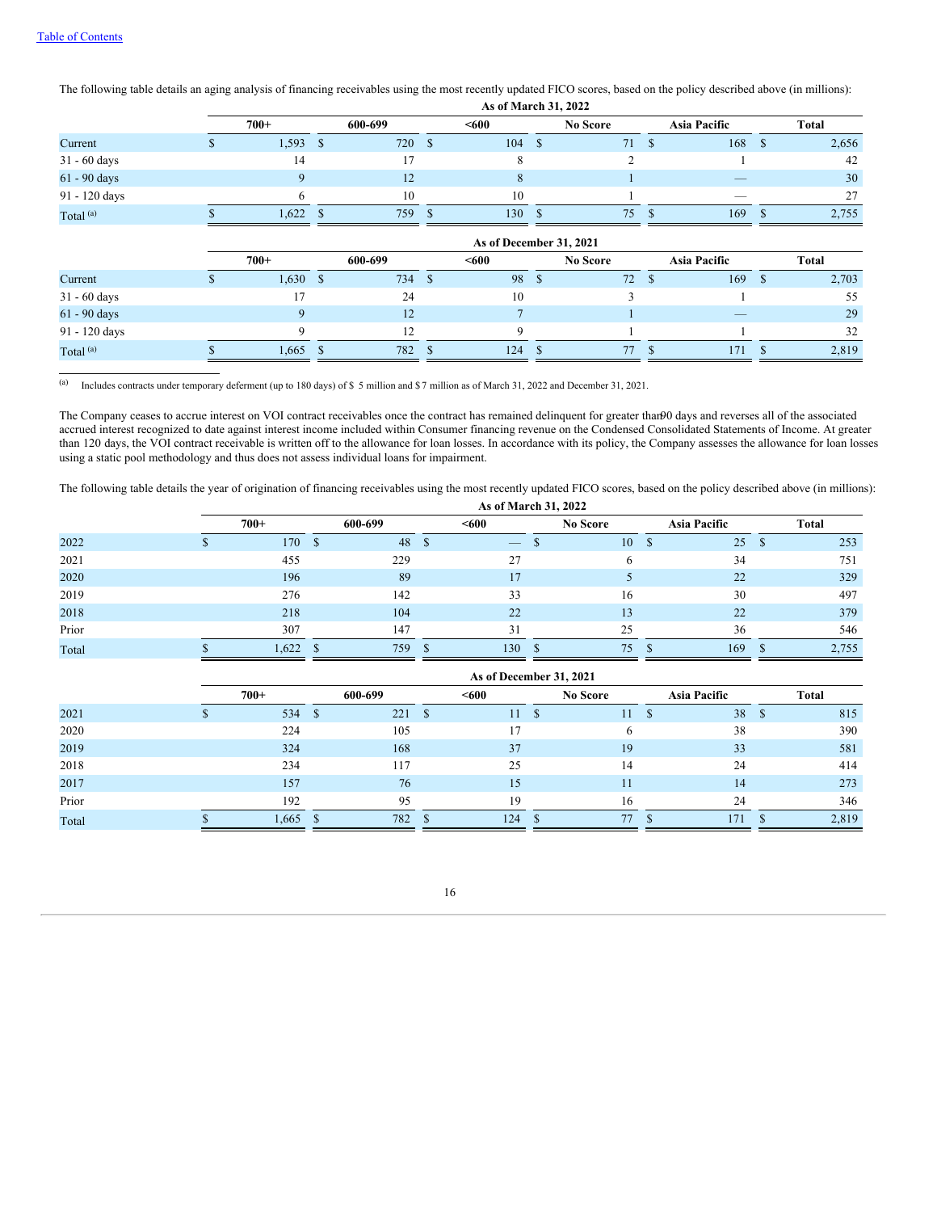The following table details an aging analysis of financing receivables using the most recently updated FICO scores, based on the policy described above (in millions): **As of March 31, 2022**

|                |    |            |               |         |               | AS 01 MATCH 31, 2022    |               |              |               |                     |               |              |
|----------------|----|------------|---------------|---------|---------------|-------------------------|---------------|--------------|---------------|---------------------|---------------|--------------|
|                |    | $700+$     |               | 600-699 |               | $600$                   |               | No Score     |               | <b>Asia Pacific</b> |               | <b>Total</b> |
| Current        | S. | 1,593      | -\$           | 720     | -S            | 104                     | S             | 71           | $\mathcal{S}$ | 168                 | <sup>\$</sup> | 2,656        |
| $31 - 60$ days |    | 14         |               | 17      |               | 8                       |               | 2            |               |                     |               | 42           |
| $61 - 90$ days |    | 9          |               | 12      |               | 8                       |               |              |               |                     |               | 30           |
| 91 - 120 days  |    | 6          |               | 10      |               | 10                      |               |              |               |                     |               | 27           |
| Total $(a)$    |    | $1,622$ \$ |               | 759     | $\sqrt{S}$    | 130                     | - \$          | 75           | <sup>\$</sup> | 169                 | <sup>\$</sup> | 2,755        |
|                |    |            |               |         |               | As of December 31, 2021 |               |              |               |                     |               |              |
|                |    | $700+$     |               | 600-699 |               | $600$                   |               | No Score     |               | <b>Asia Pacific</b> |               | <b>Total</b> |
| Current        | S. | $1,630$ \$ |               | 734     | -S            | 98                      | - S           | 72           | \$            | 169                 | <sup>\$</sup> | 2,703        |
| $31 - 60$ days |    | 17         |               | 24      |               | 10                      |               | $\mathbf{3}$ |               |                     |               | 55           |
| $61 - 90$ days |    | 9          |               | 12      |               |                         |               |              |               |                     |               | 29           |
| 91 - 120 days  |    | 9          |               | 12      |               | 9                       |               |              |               |                     |               | 32           |
| Total $(a)$    |    | 1,665      | <sup>\$</sup> | 782     | <sup>\$</sup> | 124                     | <sup>\$</sup> | 77           | \$            | 171                 | <sup>\$</sup> | 2,819        |

Includes contracts under temporary deferment (up to 180 days) of \$ 5 million and \$ 7 million as of March 31, 2022 and December 31, 2021. (a)

The Company ceases to accrue interest on VOI contract receivables once the contract has remained delinquent for greater than90 days and reverses all of the associated accrued interest recognized to date against interest income included within Consumer financing revenue on the Condensed Consolidated Statements of Income. At greater than 120 days, the VOI contract receivable is written off to the allowance for loan losses. In accordance with its policy, the Company assesses the allowance for loan losses using a static pool methodology and thus does not assess individual loans for impairment.

The following table details the year of origination of financing receivables using the most recently updated FICO scores, based on the policy described above (in millions): **As of March 31, 2022**

|       |        |              |         |    | AS 01 MARCH 31, 2022            |          |      |              |              |       |
|-------|--------|--------------|---------|----|---------------------------------|----------|------|--------------|--------------|-------|
|       | $700+$ |              | 600-699 |    | $600$                           | No Score |      | Asia Pacific |              | Total |
| 2022  | 170    | $\mathbf{S}$ | 48      | .D | $\hspace{0.1mm}-\hspace{0.1mm}$ | 10       | - \$ | 25           | <sup>8</sup> | 253   |
| 2021  | 455    |              | 229     |    | 27                              |          |      | 34           |              | 751   |
| 2020  | 196    |              | 89      |    | 17                              |          |      | 22           |              | 329   |
| 2019  | 276    |              | 142     |    | 33                              | 16       |      | 30           |              | 497   |
| 2018  | 218    |              | 104     |    | 22                              | 13       |      | 22           |              | 379   |
| Prior | 307    |              | 147     |    | 31                              | 25       |      | 36           |              | 546   |
| Total | 1,622  |              | 759     |    | 130                             | 75       |      | 169          |              | 2,755 |

<span id="page-16-0"></span>

|       | As of December 31, 2021 |     |         |              |       |   |                 |   |              |    |       |
|-------|-------------------------|-----|---------|--------------|-------|---|-----------------|---|--------------|----|-------|
|       | $700+$                  |     | 600-699 |              | < 600 |   | <b>No Score</b> |   | Asia Pacific |    | Total |
| 2021  | 534                     | - S | 221     | <sup>S</sup> | 11    | S | 11              | S | 38           | -S | 815   |
| 2020  | 224                     |     | 105     |              | 17    |   | 6               |   | 38           |    | 390   |
| 2019  | 324                     |     | 168     |              | 37    |   | 19              |   | 33           |    | 581   |
| 2018  | 234                     |     | 117     |              | 25    |   | 14              |   | 24           |    | 414   |
| 2017  | 157                     |     | 76      |              | 15    |   | 11              |   | 14           |    | 273   |
| Prior | 192                     |     | 95      |              | 19    |   | 16              |   | 24           |    | 346   |
| Total | 1,665                   |     | 782     |              | 124   |   | 77              |   | 171          |    | 2,819 |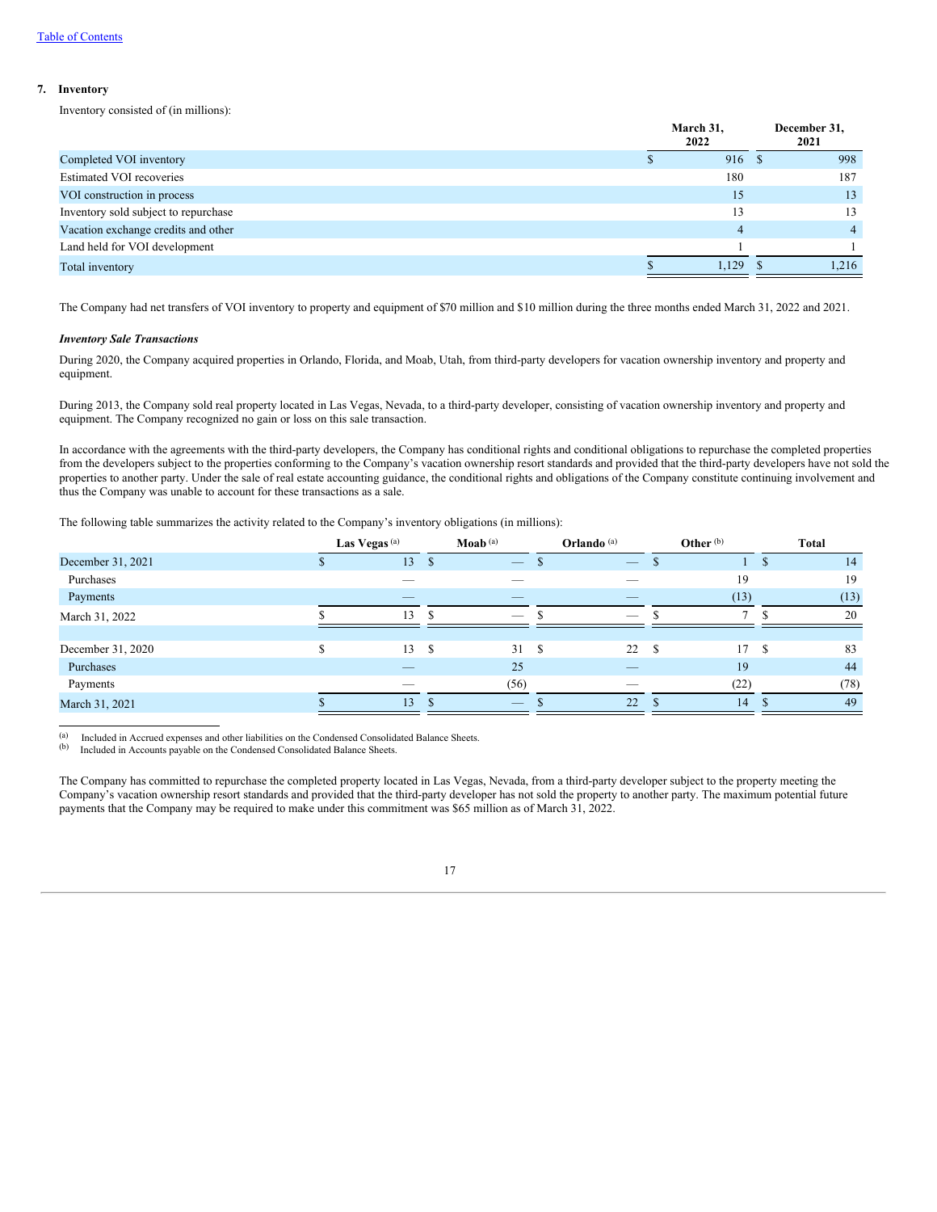#### **7. Inventory**

Inventory consisted of (in millions):

|                                      | March 31,<br>2022 |      | December 31,<br>2021 |
|--------------------------------------|-------------------|------|----------------------|
| Completed VOI inventory              | 916               | - \$ | 998                  |
| <b>Estimated VOI recoveries</b>      | 180               |      | 187                  |
| VOI construction in process          | 15                |      | 13                   |
| Inventory sold subject to repurchase | 13                |      | 13                   |
| Vacation exchange credits and other  | Δ                 |      | 4                    |
| Land held for VOI development        |                   |      |                      |
| Total inventory                      | 1.129             |      | 1,216                |

The Company had net transfers of VOI inventory to property and equipment of \$70 million and \$10 million during the three months ended March 31, 2022 and 2021.

# *Inventory Sale Transactions*

During 2020, the Company acquired properties in Orlando, Florida, and Moab, Utah, from third-party developers for vacation ownership inventory and property and equipment.

During 2013, the Company sold real property located in Las Vegas, Nevada, to a third-party developer, consisting of vacation ownership inventory and property and equipment. The Company recognized no gain or loss on this sale transaction.

In accordance with the agreements with the third-party developers, the Company has conditional rights and conditional obligations to repurchase the completed properties from the developers subject to the properties conforming to the Company's vacation ownership resort standards and provided that the third-party developers have not sold the properties to another party. Under the sale of real estate accounting guidance, the conditional rights and obligations of the Company constitute continuing involvement and thus the Company was unable to account for these transactions as a sale.

The following table summarizes the activity related to the Company's inventory obligations (in millions):

|                   | Las Vegas <sup>(a)</sup> | Moab $(a)$                                | Orlando <sup>(a)</sup>   | Other $(b)$ | <b>Total</b> |
|-------------------|--------------------------|-------------------------------------------|--------------------------|-------------|--------------|
| December 31, 2021 | 13<br>Φ                  | <sup>\$</sup><br>$\qquad \qquad - \qquad$ | $\overline{\phantom{m}}$ |             | 14           |
| Purchases         | $\overline{\phantom{a}}$ | $\overline{\phantom{a}}$                  | $\overline{\phantom{a}}$ | 19          | 19           |
| Payments          |                          |                                           |                          | (13)        | (13)         |
| March 31, 2022    | 13                       | $\overline{\phantom{a}}$                  |                          |             | 20           |
|                   |                          |                                           |                          |             |              |
| December 31, 2020 | S<br>13                  | - \$<br>31S                               | 22                       | 17S<br>- \$ | 83           |
| Purchases         |                          | 25                                        |                          | 19          | 44           |
| Payments          |                          | (56)                                      |                          | (22)        | (78)         |
| March 31, 2021    | 13                       | $\overline{\phantom{a}}$                  | 22                       | 14          | 49           |

Included in Accrued expenses and other liabilities on the Condensed Consolidated Balance Sheets. (a)

Included in Accounts payable on the Condensed Consolidated Balance Sheets. (b)

<span id="page-17-0"></span>The Company has committed to repurchase the completed property located in Las Vegas, Nevada, from a third-party developer subject to the property meeting the Company's vacation ownership resort standards and provided that the third-party developer has not sold the property to another party. The maximum potential future payments that the Company may be required to make under this commitment was \$65 million as of March 31, 2022.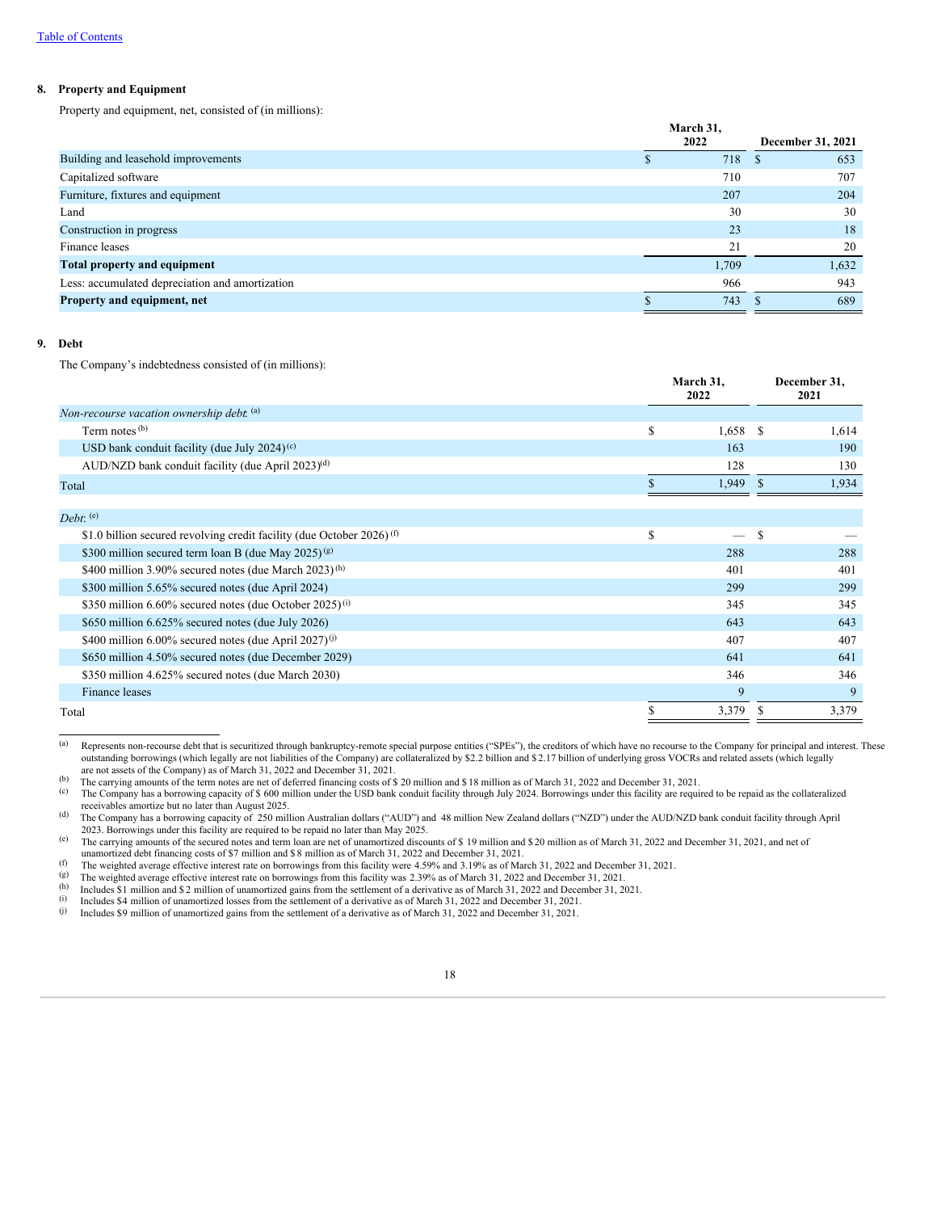# **8. Property and Equipment**

Property and equipment, net, consisted of (in millions):

|                                                 |    | March 31, |               |                   |
|-------------------------------------------------|----|-----------|---------------|-------------------|
|                                                 |    | 2022      |               | December 31, 2021 |
| Building and leasehold improvements             | ٠D | 718       | <sup>\$</sup> | 653               |
| Capitalized software                            |    | 710       |               | 707               |
| Furniture, fixtures and equipment               |    | 207       |               | 204               |
| Land                                            |    | 30        |               | 30                |
| Construction in progress                        |    | 23        |               | 18                |
| Finance leases                                  |    | 21        |               | 20                |
| <b>Total property and equipment</b>             |    | 1,709     |               | 1,632             |
| Less: accumulated depreciation and amortization |    | 966       |               | 943               |
| Property and equipment, net                     |    | 743       |               | 689               |
|                                                 |    |           |               |                   |

# <span id="page-18-0"></span>**9. Debt**

The Company's indebtedness consisted of (in millions):

|                                                                                   |    | March 31,<br>2022 |    | December 31,<br>2021 |
|-----------------------------------------------------------------------------------|----|-------------------|----|----------------------|
| Non-recourse vacation ownership debt. (a)                                         |    |                   |    |                      |
| Term notes (b)                                                                    | \$ | 1,658 \$          |    | 1,614                |
| USD bank conduit facility (due July 2024) $(c)$                                   |    | 163               |    | 190                  |
| AUD/NZD bank conduit facility (due April 2023) <sup>(d)</sup>                     |    | 128               |    | 130                  |
| Total                                                                             |    | 1,949             | -S | 1,934                |
|                                                                                   |    |                   |    |                      |
| Debt: $(e)$                                                                       |    |                   |    |                      |
| \$1.0 billion secured revolving credit facility (due October 2026) <sup>(f)</sup> | S  |                   | S  |                      |
| \$300 million secured term loan B (due May 2025) $(8)$                            |    | 288               |    | 288                  |
| \$400 million 3.90% secured notes (due March 2023) <sup>(h)</sup>                 |    | 401               |    | 401                  |
| \$300 million 5.65% secured notes (due April 2024)                                |    | 299               |    | 299                  |
| \$350 million 6.60% secured notes (due October 2025) <sup>(i)</sup>               |    | 345               |    | 345                  |
| \$650 million 6.625% secured notes (due July 2026)                                |    | 643               |    | 643                  |
| \$400 million 6.00% secured notes (due April 2027) $($ i)                         |    | 407               |    | 407                  |
| \$650 million 4.50% secured notes (due December 2029)                             |    | 641               |    | 641                  |
| \$350 million 4.625% secured notes (due March 2030)                               |    | 346               |    | 346                  |
| Finance leases                                                                    |    | 9                 |    | 9                    |
| Total                                                                             |    | 3,379             |    | 3,379                |

Represents non-recourse debt that is securitized through bankruptcy-remote special purpose entities ("SPEs"), the creditors of which have no recourse to the Company for principal and interest. These outstanding borrowings (which legally are not liabilities of the Company) are collateralized by \$2.2 billion and \$ 2.17 billion of underlying gross VOCRs and related assets (which legally are not assets of the Company) as of March 31, 2022 and December 31, 2021. (a)

The carrying amounts of the term notes are net of deferred financing costs of \$ 20 million and \$ 18 million as of March 31, 2022 and December 31, 2021. (b)

The Company has a borrowing capacity of \$ 600 million under the USD bank conduit facility through July 2024. Borrowings under this facility are required to be repaid as the collateralized receivables amortize but no later than August 2025. (c)

The Company has a borrowing capacity of 250 million Australian dollars ("AUD") and 48 million New Zealand dollars ("NZD") under the AUD/NZD bank conduit facility through April 2023. Borrowings under this facility are required to be repaid no later than May 2025.<br>The carrying amounts of the secured notes and term loan are net of unamortized discounts of \$19 million and \$20 million as of March 31, (d)

unamortized debt financing costs of \$7 million and \$ 8 million as of March 31, 2022 and December 31, 2021. (e)

The weighted average effective interest rate on borrowings from this facility were 4.59% and 3.19% as of March 31, 2022 and December 31, 2021. (f)

The weighted average effective interest rate on borrowings from this facility was 2.39% as of March 31, 2022 and December 31, 2021. (g)

Includes \$1 million and \$ 2 million of unamortized gains from the settlement of a derivative as of March 31, 2022 and December 31, 2021. (h)

Includes \$4 million of unamortized losses from the settlement of a derivative as of March 31, 2022 and December 31, 2021. (i)

Includes \$9 million of unamortized gains from the settlement of a derivative as of March 31, 2022 and December 31, 2021. (j)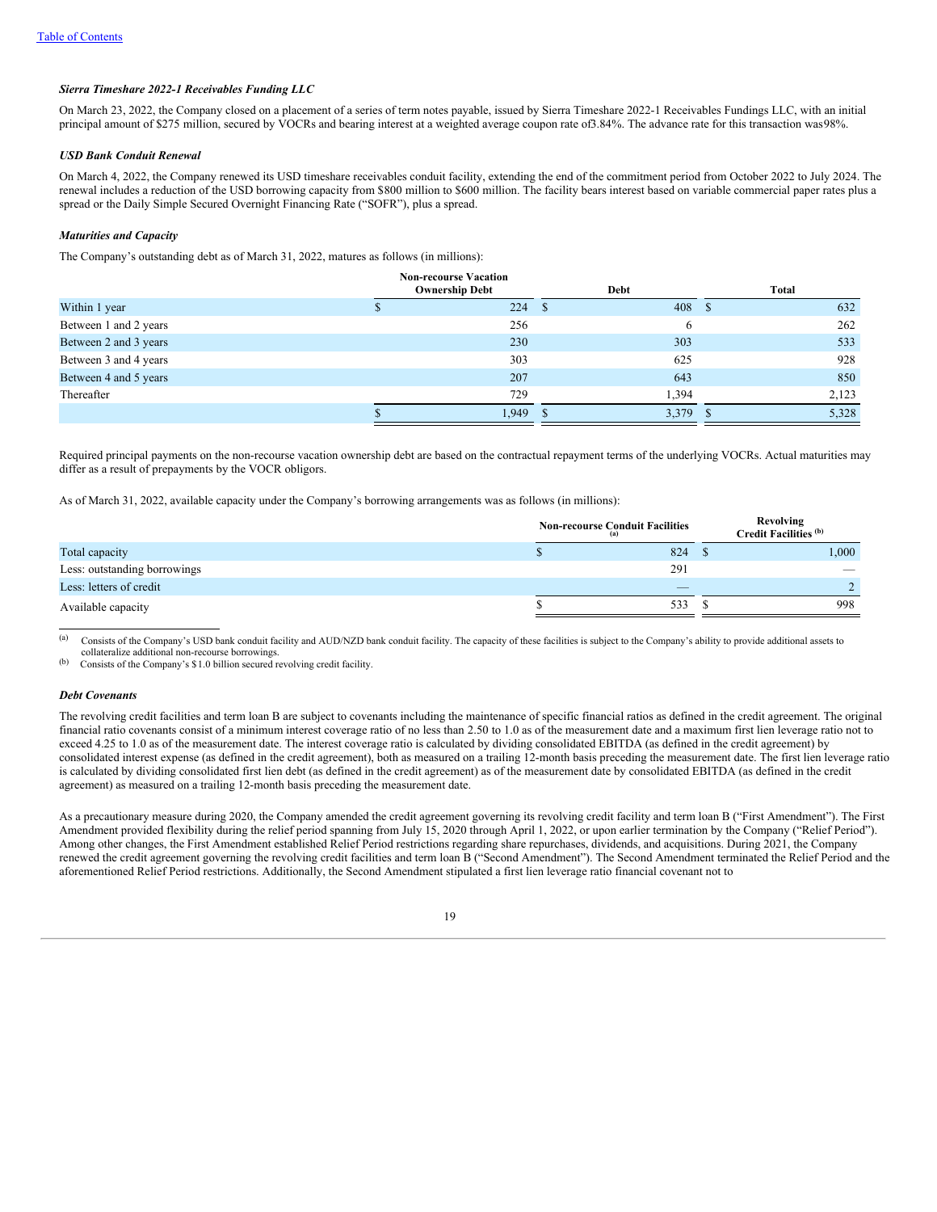#### *Sierra Timeshare 2022-1 Receivables Funding LLC*

On March 23, 2022, the Company closed on a placement of a series of term notes payable, issued by Sierra Timeshare 2022-1 Receivables Fundings LLC, with an initial principal amount of \$275 million, secured by VOCRs and bearing interest at a weighted average coupon rate of3.84%. The advance rate for this transaction was98%.

# *USD Bank Conduit Renewal*

On March 4, 2022, the Company renewed its USD timeshare receivables conduit facility, extending the end of the commitment period from October 2022 to July 2024. The renewal includes a reduction of the USD borrowing capacity from \$800 million to \$600 million. The facility bears interest based on variable commercial paper rates plus a spread or the Daily Simple Secured Overnight Financing Rate ("SOFR"), plus a spread.

### *Maturities and Capacity*

The Company's outstanding debt as of March 31, 2022, matures as follows (in millions):

|                       | <b>Non-recourse Vacation</b><br><b>Ownership Debt</b> | Debt      | Total       |
|-----------------------|-------------------------------------------------------|-----------|-------------|
| Within 1 year         | 224                                                   | 408<br>-S | 632<br>- 55 |
| Between 1 and 2 years | 256                                                   | 6         | 262         |
| Between 2 and 3 years | 230                                                   | 303       | 533         |
| Between 3 and 4 years | 303                                                   | 625       | 928         |
| Between 4 and 5 years | 207                                                   | 643       | 850         |
| Thereafter            | 729                                                   | 1,394     | 2.123       |
|                       | 1,949                                                 | 3,379     | 5,328       |

Required principal payments on the non-recourse vacation ownership debt are based on the contractual repayment terms of the underlying VOCRs. Actual maturities may differ as a result of prepayments by the VOCR obligors.

As of March 31, 2022, available capacity under the Company's borrowing arrangements was as follows (in millions):

|                              | <b>Non-recourse Conduit Facilities</b><br>(a) | Revolving<br><b>Credit Facilities</b> (b) |
|------------------------------|-----------------------------------------------|-------------------------------------------|
| Total capacity               | 824                                           | 1,000                                     |
| Less: outstanding borrowings | 291                                           | $\overline{\phantom{a}}$                  |
| Less: letters of credit      | $\overline{\phantom{a}}$                      | 2 <sup>1</sup>                            |
| Available capacity           | 533                                           | 998                                       |

Consists of the Company's USD bank conduit facility and AUD/NZD bank conduit facility. The capacity of these facilities is subject to the Company's ability to provide additional assets to collateralize additional non-recourse borrowings. (a)

Consists of the Company's \$1.0 billion secured revolving credit facility. (b)

#### *Debt Covenants*

The revolving credit facilities and term loan B are subject to covenants including the maintenance of specific financial ratios as defined in the credit agreement. The original financial ratio covenants consist of a minimum interest coverage ratio of no less than 2.50 to 1.0 as of the measurement date and a maximum first lien leverage ratio not to exceed 4.25 to 1.0 as of the measurement date. The interest coverage ratio is calculated by dividing consolidated EBITDA (as defined in the credit agreement) by consolidated interest expense (as defined in the credit agreement), both as measured on a trailing 12-month basis preceding the measurement date. The first lien leverage ratio is calculated by dividing consolidated first lien debt (as defined in the credit agreement) as of the measurement date by consolidated EBITDA (as defined in the credit agreement) as measured on a trailing 12-month basis preceding the measurement date.

As a precautionary measure during 2020, the Company amended the credit agreement governing its revolving credit facility and term loan B ("First Amendment"). The First Amendment provided flexibility during the relief period spanning from July 15, 2020 through April 1, 2022, or upon earlier termination by the Company ("Relief Period"). Among other changes, the First Amendment established Relief Period restrictions regarding share repurchases, dividends, and acquisitions. During 2021, the Company renewed the credit agreement governing the revolving credit facilities and term loan B ("Second Amendment"). The Second Amendment terminated the Relief Period and the aforementioned Relief Period restrictions. Additionally, the Second Amendment stipulated a first lien leverage ratio financial covenant not to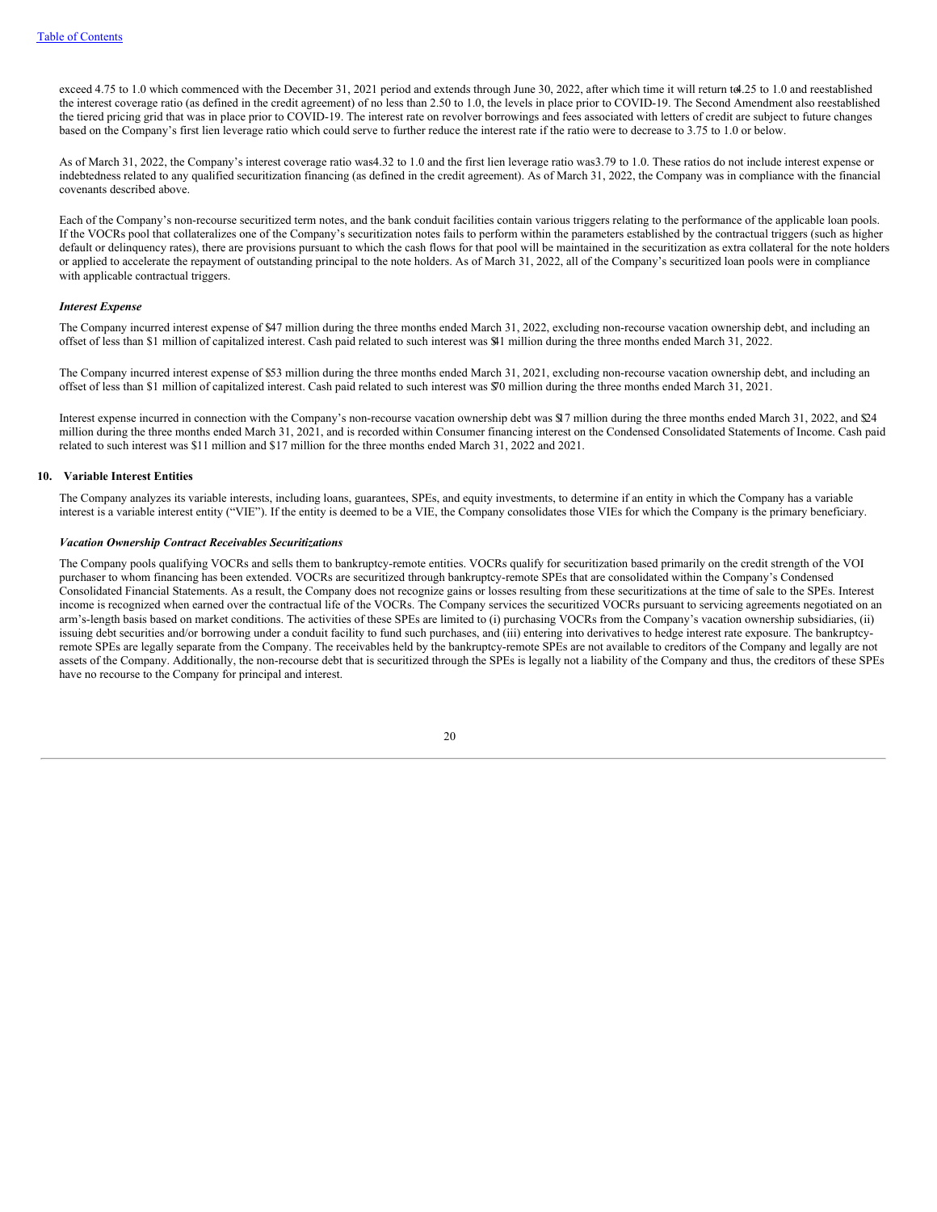exceed 4.75 to 1.0 which commenced with the December 31, 2021 period and extends through June 30, 2022, after which time it will return to 4.25 to 1.0 and reestablished the interest coverage ratio (as defined in the credit agreement) of no less than 2.50 to 1.0, the levels in place prior to COVID-19. The Second Amendment also reestablished the tiered pricing grid that was in place prior to COVID-19. The interest rate on revolver borrowings and fees associated with letters of credit are subject to future changes based on the Company's first lien leverage ratio which could serve to further reduce the interest rate if the ratio were to decrease to 3.75 to 1.0 or below.

As of March 31, 2022, the Company's interest coverage ratio was4.32 to 1.0 and the first lien leverage ratio was3.79 to 1.0. These ratios do not include interest expense or indebtedness related to any qualified securitization financing (as defined in the credit agreement). As of March 31, 2022, the Company was in compliance with the financial covenants described above.

Each of the Company's non-recourse securitized term notes, and the bank conduit facilities contain various triggers relating to the performance of the applicable loan pools. If the VOCRs pool that collateralizes one of the Company's securitization notes fails to perform within the parameters established by the contractual triggers (such as higher default or delinquency rates), there are provisions pursuant to which the cash flows for that pool will be maintained in the securitization as extra collateral for the note holders or applied to accelerate the repayment of outstanding principal to the note holders. As of March 31, 2022, all of the Company's securitized loan pools were in compliance with applicable contractual triggers.

#### *Interest Expense*

The Company incurred interest expense of \$47 million during the three months ended March 31, 2022, excluding non-recourse vacation ownership debt, and including an offset of less than \$1 million of capitalized interest. Cash paid related to such interest was \$41 million during the three months ended March 31, 2022.

The Company incurred interest expense of \$53 million during the three months ended March 31, 2021, excluding non-recourse vacation ownership debt, and including an offset of less than \$1 million of capitalized interest. Cash paid related to such interest was \$70 million during the three months ended March 31, 2021.

Interest expense incurred in connection with the Company's non-recourse vacation ownership debt was \$17 million during the three months ended March 31, 2022, and \$24 million during the three months ended March 31, 2021, and is recorded within Consumer financing interest on the Condensed Consolidated Statements of Income. Cash paid related to such interest was \$11 million and \$17 million for the three months ended March 31, 2022 and 2021.

#### <span id="page-20-0"></span>**10. Variable Interest Entities**

The Company analyzes its variable interests, including loans, guarantees, SPEs, and equity investments, to determine if an entity in which the Company has a variable interest is a variable interest entity ("VIE"). If the entity is deemed to be a VIE, the Company consolidates those VIEs for which the Company is the primary beneficiary.

#### *Vacation Ownership Contract Receivables Securitizations*

The Company pools qualifying VOCRs and sells them to bankruptcy-remote entities. VOCRs qualify for securitization based primarily on the credit strength of the VOI purchaser to whom financing has been extended. VOCRs are securitized through bankruptcy-remote SPEs that are consolidated within the Company's Condensed Consolidated Financial Statements. As a result, the Company does not recognize gains or losses resulting from these securitizations at the time of sale to the SPEs. Interest income is recognized when earned over the contractual life of the VOCRs. The Company services the securitized VOCRs pursuant to servicing agreements negotiated on an arm's-length basis based on market conditions. The activities of these SPEs are limited to (i) purchasing VOCRs from the Company's vacation ownership subsidiaries, (ii) issuing debt securities and/or borrowing under a conduit facility to fund such purchases, and (iii) entering into derivatives to hedge interest rate exposure. The bankruptcyremote SPEs are legally separate from the Company. The receivables held by the bankruptcy-remote SPEs are not available to creditors of the Company and legally are not assets of the Company. Additionally, the non-recourse debt that is securitized through the SPEs is legally not a liability of the Company and thus, the creditors of these SPEs have no recourse to the Company for principal and interest.

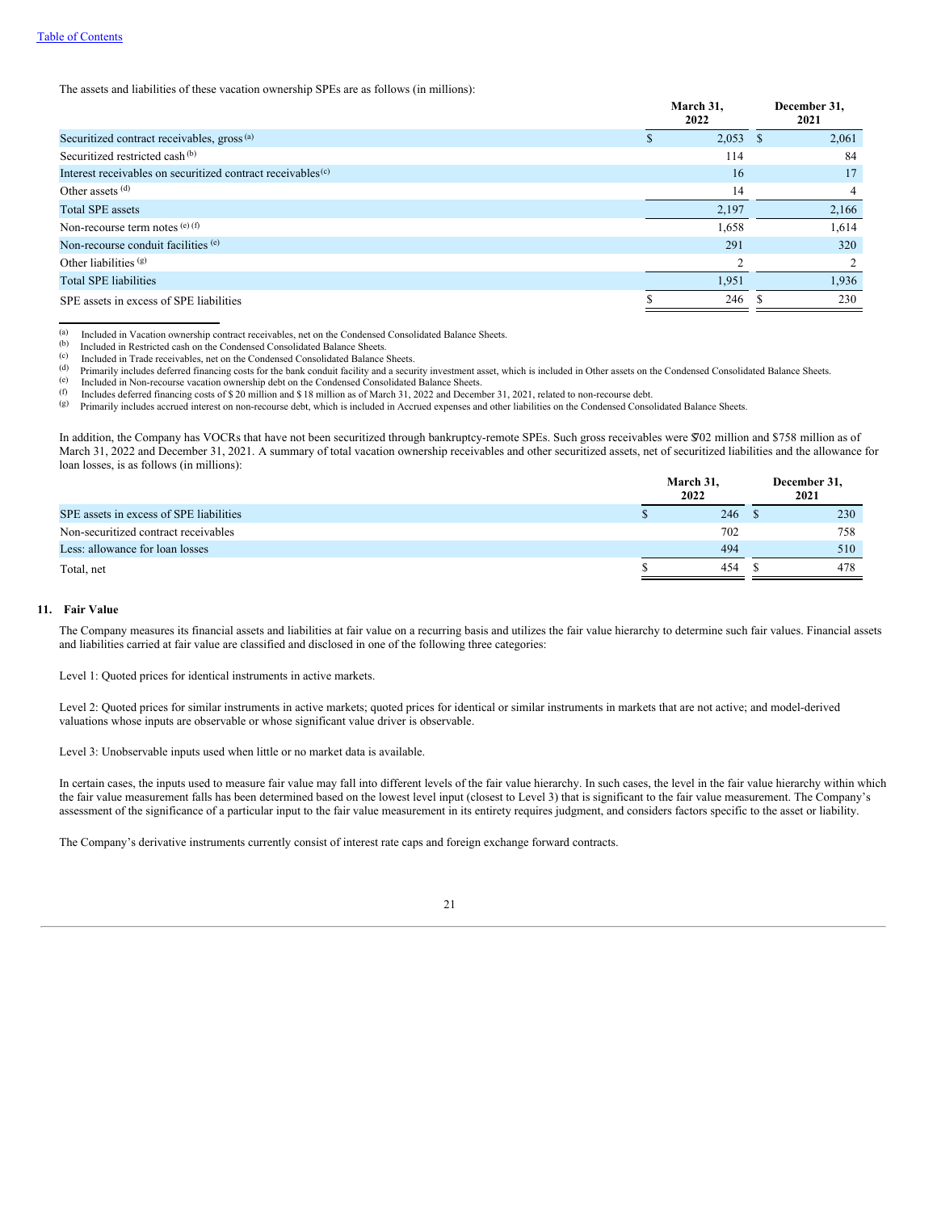The assets and liabilities of these vacation ownership SPEs are as follows (in millions):

|                                                                         | March 31,<br>2022 | December 31,<br>2021 |
|-------------------------------------------------------------------------|-------------------|----------------------|
| Securitized contract receivables, gross <sup>(a)</sup>                  | $2,053$ \$        | 2,061                |
| Securitized restricted cash <sup>(b)</sup>                              | 114               | 84                   |
| Interest receivables on securitized contract receivables <sup>(c)</sup> | 16                | 17                   |
| Other assets $(d)$                                                      | 14                | $\overline{4}$       |
| <b>Total SPE assets</b>                                                 | 2,197             | 2,166                |
| Non-recourse term notes $(e)$ (f)                                       | 1,658             | 1,614                |
| Non-recourse conduit facilities (e)                                     | 291               | 320                  |
| Other liabilities $(g)$                                                 |                   | 2                    |
| <b>Total SPE liabilities</b>                                            | 1,951             | 1,936                |
| SPE assets in excess of SPE liabilities                                 | 246               | 230                  |

Included in Vacation ownership contract receivables, net on the Condensed Consolidated Balance Sheets. (a)

Included in Restricted cash on the Condensed Consolidated Balance Sheets. (b)

Included in Trade receivables, net on the Condensed Consolidated Balance Sheets. (c)

Primarily includes deferred financing costs for the bank conduit facility and a security investment asset, which is included in Other assets on the Condensed Consolidated Balance Sheets. (d)

Included in Non-recourse vacation ownership debt on the Condensed Consolidated Balance Sheets. (e)

Includes deferred financing costs of \$ 20 million and \$ 18 million as of March 31, 2022 and December 31, 2021, related to non-recourse debt. (f)

Primarily includes accrued interest on non-recourse debt, which is included in Accrued expenses and other liabilities on the Condensed Consolidated Balance Sheets. (g)

In addition, the Company has VOCRs that have not been securitized through bankruptcy-remote SPEs. Such gross receivables were \$702 million and \$758 million as of March 31, 2022 and December 31, 2021. A summary of total vacation ownership receivables and other securitized assets, net of securitized liabilities and the allowance for loan losses, is as follows (in millions):

|                                         | March 31,<br>2022 | December 31,<br>2021 |
|-----------------------------------------|-------------------|----------------------|
| SPE assets in excess of SPE liabilities | 246               | 230                  |
| Non-securitized contract receivables    | 702               | 758                  |
| Less: allowance for loan losses         | 494               | 510                  |
| Total, net                              | 454               | 478                  |

#### <span id="page-21-0"></span>**11. Fair Value**

The Company measures its financial assets and liabilities at fair value on a recurring basis and utilizes the fair value hierarchy to determine such fair values. Financial assets and liabilities carried at fair value are classified and disclosed in one of the following three categories:

Level 1: Quoted prices for identical instruments in active markets.

Level 2: Quoted prices for similar instruments in active markets; quoted prices for identical or similar instruments in markets that are not active; and model-derived valuations whose inputs are observable or whose significant value driver is observable.

Level 3: Unobservable inputs used when little or no market data is available.

In certain cases, the inputs used to measure fair value may fall into different levels of the fair value hierarchy. In such cases, the level in the fair value hierarchy within which the fair value measurement falls has been determined based on the lowest level input (closest to Level 3) that is significant to the fair value measurement. The Company's assessment of the significance of a particular input to the fair value measurement in its entirety requires judgment, and considers factors specific to the asset or liability.

The Company's derivative instruments currently consist of interest rate caps and foreign exchange forward contracts.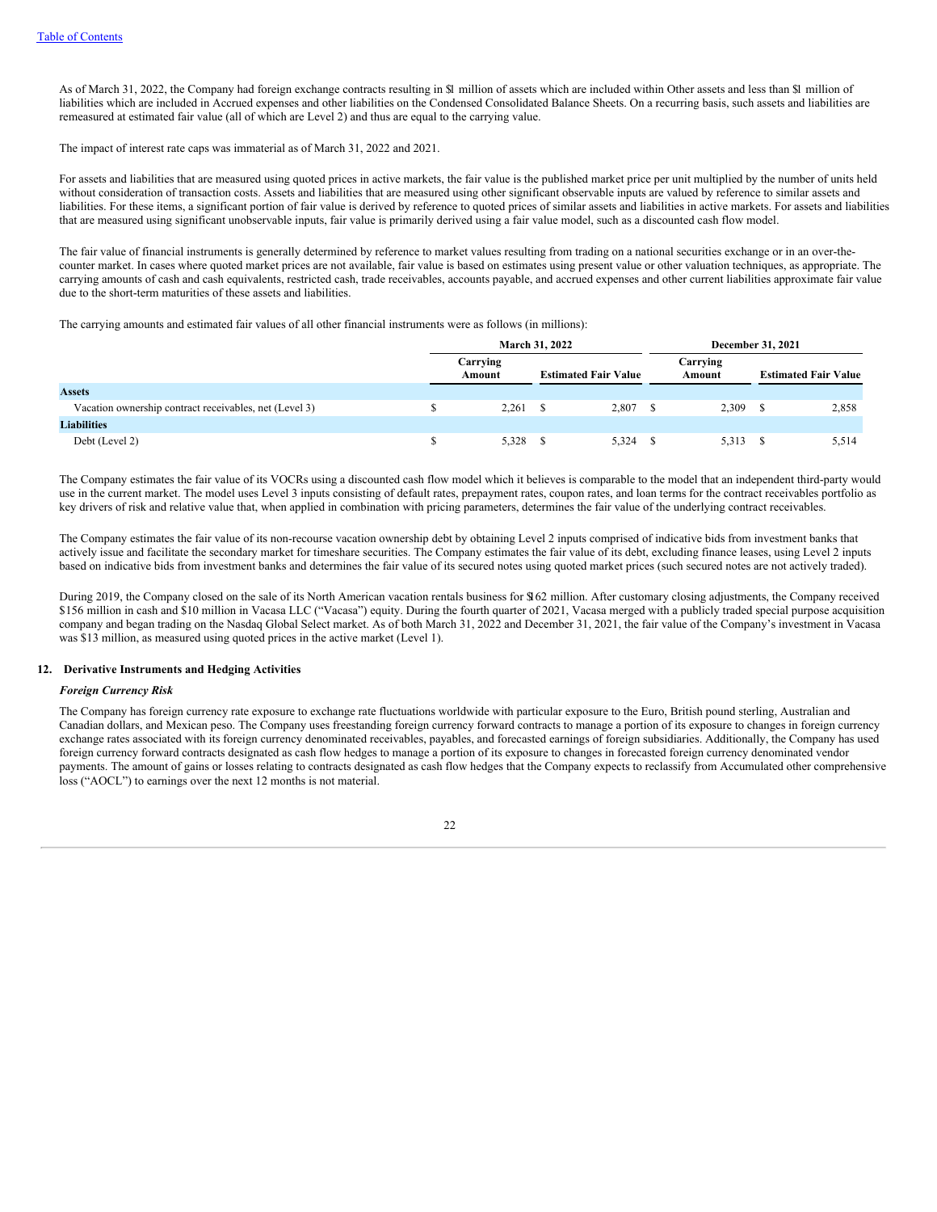As of March 31, 2022, the Company had foreign exchange contracts resulting in \$1 million of assets which are included within Other assets and less than \$1 million of liabilities which are included in Accrued expenses and other liabilities on the Condensed Consolidated Balance Sheets. On a recurring basis, such assets and liabilities are remeasured at estimated fair value (all of which are Level 2) and thus are equal to the carrying value.

The impact of interest rate caps was immaterial as of March 31, 2022 and 2021.

For assets and liabilities that are measured using quoted prices in active markets, the fair value is the published market price per unit multiplied by the number of units held without consideration of transaction costs. Assets and liabilities that are measured using other significant observable inputs are valued by reference to similar assets and liabilities. For these items, a significant portion of fair value is derived by reference to quoted prices of similar assets and liabilities in active markets. For assets and liabilities that are measured using significant unobservable inputs, fair value is primarily derived using a fair value model, such as a discounted cash flow model.

The fair value of financial instruments is generally determined by reference to market values resulting from trading on a national securities exchange or in an over-thecounter market. In cases where quoted market prices are not available, fair value is based on estimates using present value or other valuation techniques, as appropriate. The carrying amounts of cash and cash equivalents, restricted cash, trade receivables, accounts payable, and accrued expenses and other current liabilities approximate fair value due to the short-term maturities of these assets and liabilities.

The carrying amounts and estimated fair values of all other financial instruments were as follows (in millions):

|                                                        | March 31, 2022     |  |                             |  | December 31, 2021  |  |                             |  |
|--------------------------------------------------------|--------------------|--|-----------------------------|--|--------------------|--|-----------------------------|--|
|                                                        | Carrying<br>Amount |  | <b>Estimated Fair Value</b> |  | Carrying<br>Amount |  | <b>Estimated Fair Value</b> |  |
| <b>Assets</b>                                          |                    |  |                             |  |                    |  |                             |  |
| Vacation ownership contract receivables, net (Level 3) | 2.261              |  | 2,807                       |  | 2,309              |  | 2,858                       |  |
| <b>Liabilities</b>                                     |                    |  |                             |  |                    |  |                             |  |
| Debt (Level 2)                                         | 5,328              |  | 5,324                       |  | 5,313              |  | 5,514                       |  |

The Company estimates the fair value of its VOCRs using a discounted cash flow model which it believes is comparable to the model that an independent third-party would use in the current market. The model uses Level 3 inputs consisting of default rates, prepayment rates, coupon rates, and loan terms for the contract receivables portfolio as key drivers of risk and relative value that, when applied in combination with pricing parameters, determines the fair value of the underlying contract receivables.

The Company estimates the fair value of its non-recourse vacation ownership debt by obtaining Level 2 inputs comprised of indicative bids from investment banks that actively issue and facilitate the secondary market for timeshare securities. The Company estimates the fair value of its debt, excluding finance leases, using Level 2 inputs based on indicative bids from investment banks and determines the fair value of its secured notes using quoted market prices (such secured notes are not actively traded).

During 2019, the Company closed on the sale of its North American vacation rentals business for \$162 million. After customary closing adjustments, the Company received \$156 million in cash and \$10 million in Vacasa LLC ("Vacasa") equity. During the fourth quarter of 2021, Vacasa merged with a publicly traded special purpose acquisition company and began trading on the Nasdaq Global Select market. As of both March 31, 2022 and December 31, 2021, the fair value of the Company's investment in Vacasa was \$13 million, as measured using quoted prices in the active market (Level 1).

#### <span id="page-22-0"></span>**12. Derivative Instruments and Hedging Activities**

### *Foreign Currency Risk*

The Company has foreign currency rate exposure to exchange rate fluctuations worldwide with particular exposure to the Euro, British pound sterling, Australian and Canadian dollars, and Mexican peso. The Company uses freestanding foreign currency forward contracts to manage a portion of its exposure to changes in foreign currency exchange rates associated with its foreign currency denominated receivables, payables, and forecasted earnings of foreign subsidiaries. Additionally, the Company has used foreign currency forward contracts designated as cash flow hedges to manage a portion of its exposure to changes in forecasted foreign currency denominated vendor payments. The amount of gains or losses relating to contracts designated as cash flow hedges that the Company expects to reclassify from Accumulated other comprehensive loss ("AOCL") to earnings over the next 12 months is not material.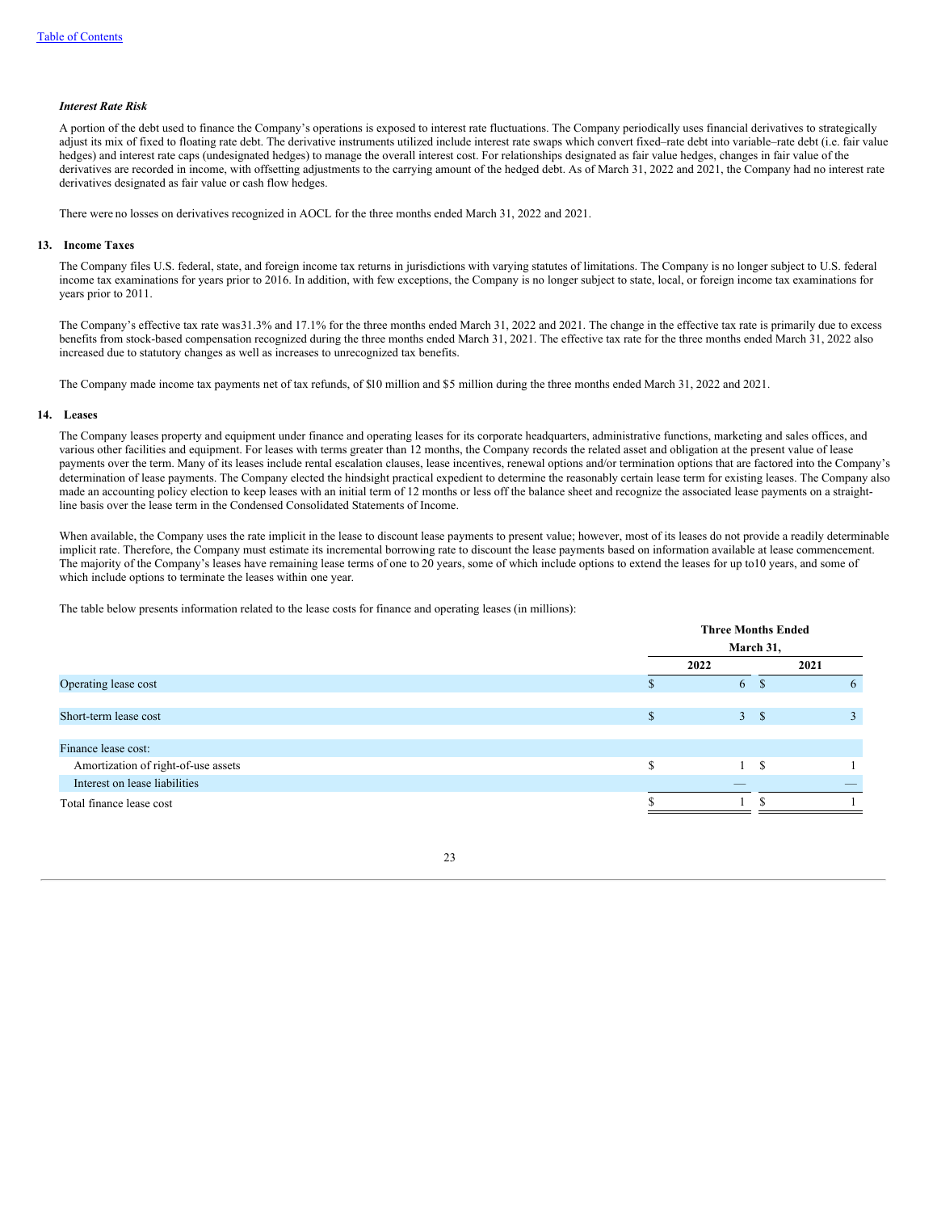#### *Interest Rate Risk*

A portion of the debt used to finance the Company's operations is exposed to interest rate fluctuations. The Company periodically uses financial derivatives to strategically adjust its mix of fixed to floating rate debt. The derivative instruments utilized include interest rate swaps which convert fixed–rate debt into variable–rate debt (i.e. fair value hedges) and interest rate caps (undesignated hedges) to manage the overall interest cost. For relationships designated as fair value hedges, changes in fair value of the derivatives are recorded in income, with offsetting adjustments to the carrying amount of the hedged debt. As of March 31, 2022 and 2021, the Company had no interest rate derivatives designated as fair value or cash flow hedges.

There were no losses on derivatives recognized in AOCL for the three months ended March 31, 2022 and 2021.

#### <span id="page-23-0"></span>**13. Income Taxes**

The Company files U.S. federal, state, and foreign income tax returns in jurisdictions with varying statutes of limitations. The Company is no longer subject to U.S. federal income tax examinations for years prior to 2016. In addition, with few exceptions, the Company is no longer subject to state, local, or foreign income tax examinations for years prior to 2011.

The Company's effective tax rate was31.3% and 17.1% for the three months ended March 31, 2022 and 2021. The change in the effective tax rate is primarily due to excess benefits from stock-based compensation recognized during the three months ended March 31, 2021. The effective tax rate for the three months ended March 31, 2022 also increased due to statutory changes as well as increases to unrecognized tax benefits.

The Company made income tax payments net of tax refunds, of \$10 million and \$5 million during the three months ended March 31, 2022 and 2021.

#### <span id="page-23-1"></span>**14. Leases**

The Company leases property and equipment under finance and operating leases for its corporate headquarters, administrative functions, marketing and sales offices, and various other facilities and equipment. For leases with terms greater than 12 months, the Company records the related asset and obligation at the present value of lease payments over the term. Many of its leases include rental escalation clauses, lease incentives, renewal options and/or termination options that are factored into the Company's determination of lease payments. The Company elected the hindsight practical expedient to determine the reasonably certain lease term for existing leases. The Company also made an accounting policy election to keep leases with an initial term of 12 months or less off the balance sheet and recognize the associated lease payments on a straightline basis over the lease term in the Condensed Consolidated Statements of Income.

When available, the Company uses the rate implicit in the lease to discount lease payments to present value; however, most of its leases do not provide a readily determinable implicit rate. Therefore, the Company must estimate its incremental borrowing rate to discount the lease payments based on information available at lease commencement. The majority of the Company's leases have remaining lease terms of one to 20 years, some of which include options to extend the leases for up to10 years, and some of which include options to terminate the leases within one year.

The table below presents information related to the lease costs for finance and operating leases (in millions):

|                                     | <b>Three Months Ended</b> |        |  |  |
|-------------------------------------|---------------------------|--------|--|--|
|                                     | March 31,                 |        |  |  |
|                                     | 2022                      | 2021   |  |  |
| Operating lease cost                | 6                         | 6<br>ъ |  |  |
|                                     |                           |        |  |  |
| Short-term lease cost               | \$<br>3S                  | 3      |  |  |
|                                     |                           |        |  |  |
| Finance lease cost:                 |                           |        |  |  |
| Amortization of right-of-use assets |                           | -S     |  |  |
| Interest on lease liabilities       |                           |        |  |  |
| Total finance lease cost            |                           |        |  |  |
|                                     |                           |        |  |  |

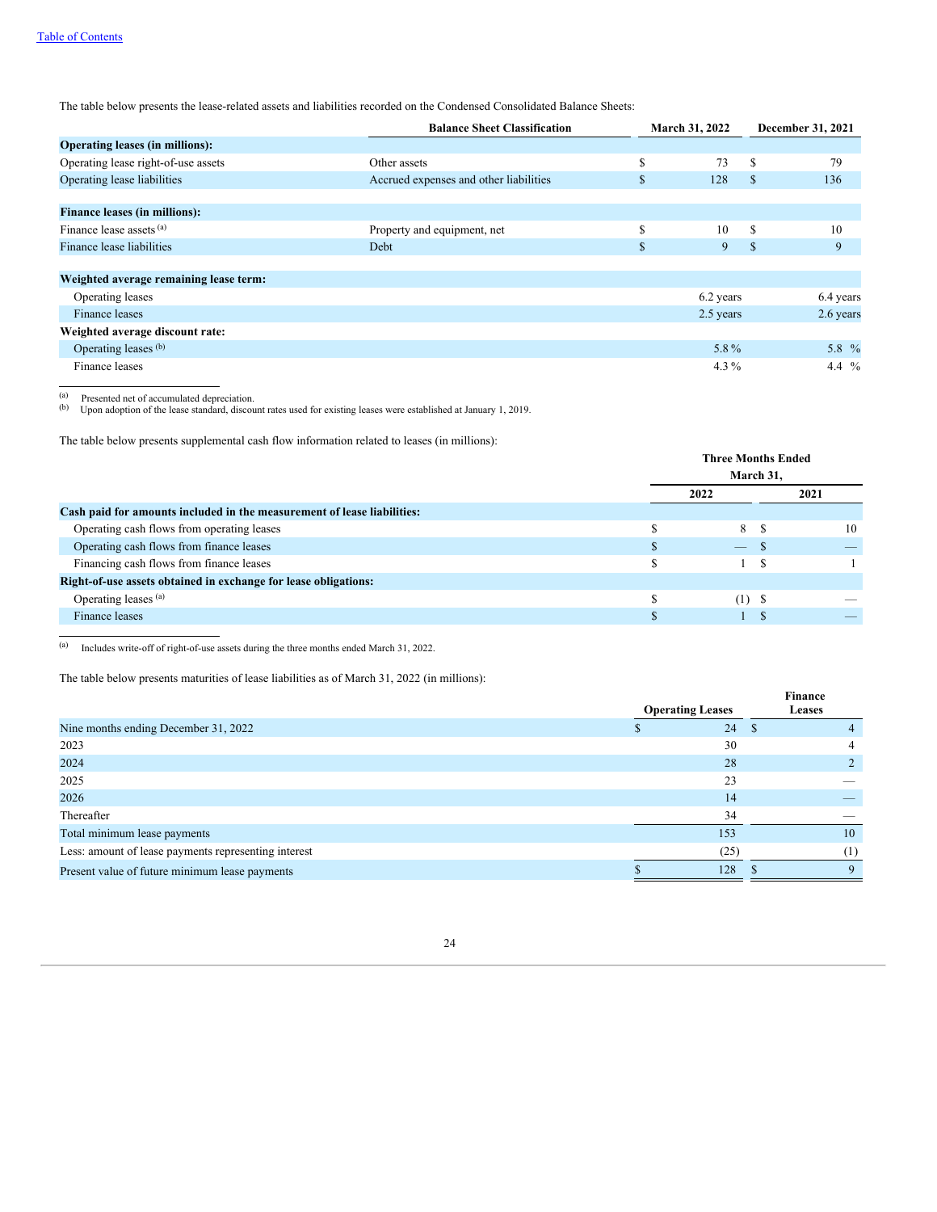The table below presents the lease-related assets and liabilities recorded on the Condensed Consolidated Balance Sheets:

|                                        | <b>Balance Sheet Classification</b>    | March 31, 2022 |           |               | December 31, 2021 |
|----------------------------------------|----------------------------------------|----------------|-----------|---------------|-------------------|
| <b>Operating leases (in millions):</b> |                                        |                |           |               |                   |
| Operating lease right-of-use assets    | Other assets                           | \$             | 73        | S             | 79                |
| Operating lease liabilities            | Accrued expenses and other liabilities | \$             | 128       | $\mathbb{S}$  | 136               |
|                                        |                                        |                |           |               |                   |
| <b>Finance leases (in millions):</b>   |                                        |                |           |               |                   |
| Finance lease assets (a)               | Property and equipment, net            | \$             | 10        | S             | 10                |
| Finance lease liabilities              | <b>Debt</b>                            | \$             | 9         | <sup>\$</sup> | 9                 |
|                                        |                                        |                |           |               |                   |
| Weighted average remaining lease term: |                                        |                |           |               |                   |
| Operating leases                       |                                        |                | 6.2 years |               | 6.4 years         |
| Finance leases                         |                                        |                | 2.5 years |               | 2.6 years         |
| Weighted average discount rate:        |                                        |                |           |               |                   |
| Operating leases (b)                   |                                        |                | 5.8 $%$   |               | 5.8 $%$           |
| Finance leases                         |                                        |                | 4.3 $%$   |               | 4.4 $\%$          |

(a)

Presented net of accumulated depreciation. Upon adoption of the lease standard, discount rates used for existing leases were established at January 1, 2019. (b)

The table below presents supplemental cash flow information related to leases (in millions):

|                                                                         | <b>Three Months Ended</b> |                     |      |  |
|-------------------------------------------------------------------------|---------------------------|---------------------|------|--|
|                                                                         | March 31,                 |                     |      |  |
|                                                                         |                           | 2022                | 2021 |  |
| Cash paid for amounts included in the measurement of lease liabilities: |                           |                     |      |  |
| Operating cash flows from operating leases                              |                           | 8<br>-8             | 10   |  |
| Operating cash flows from finance leases                                |                           | -8<br>$\frac{1}{2}$ |      |  |
| Financing cash flows from finance leases                                |                           | -S                  |      |  |
| Right-of-use assets obtained in exchange for lease obligations:         |                           |                     |      |  |
| Operating leases (a)                                                    |                           | $(1)$ \$            |      |  |
| <b>Finance leases</b>                                                   |                           |                     |      |  |

Includes write-off of right-of-use assets during the three months ended March 31, 2022. (a)

The table below presents maturities of lease liabilities as of March 31, 2022 (in millions):

<span id="page-24-0"></span>

|                                                      | <b>Operating Leases</b> | Finance<br><b>Leases</b> |
|------------------------------------------------------|-------------------------|--------------------------|
| Nine months ending December 31, 2022                 | 24                      |                          |
| 2023                                                 | 30                      | 4                        |
| 2024                                                 | 28                      |                          |
| 2025                                                 | 23                      |                          |
| 2026                                                 | 14                      |                          |
| Thereafter                                           | 34                      |                          |
| Total minimum lease payments                         | 153                     | 10                       |
| Less: amount of lease payments representing interest | (25)                    | (1)                      |
| Present value of future minimum lease payments       | 128                     | $\mathbf Q$              |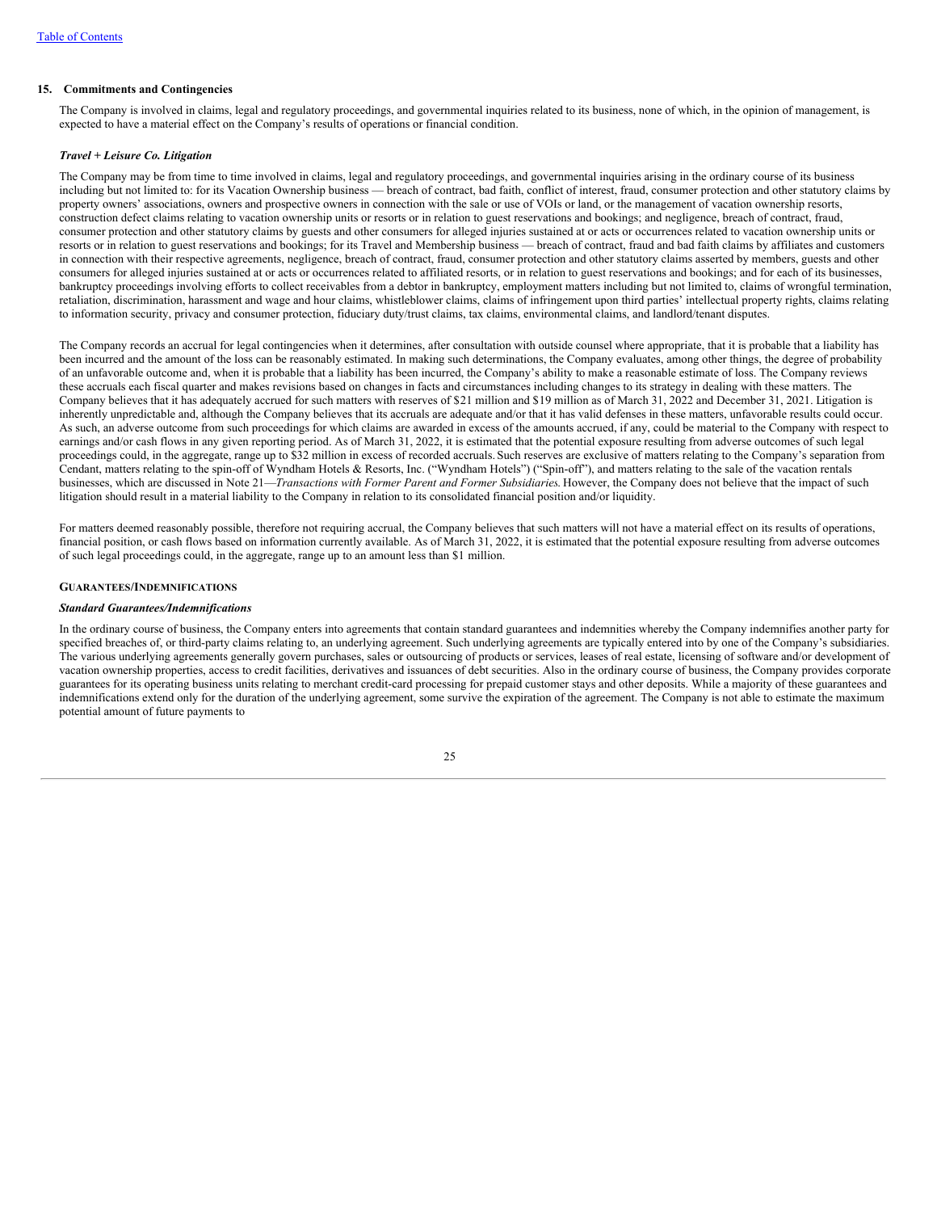#### **15. Commitments and Contingencies**

The Company is involved in claims, legal and regulatory proceedings, and governmental inquiries related to its business, none of which, in the opinion of management, is expected to have a material effect on the Company's results of operations or financial condition.

#### *Travel + Leisure Co. Litigation*

The Company may be from time to time involved in claims, legal and regulatory proceedings, and governmental inquiries arising in the ordinary course of its business including but not limited to: for its Vacation Ownership business — breach of contract, bad faith, conflict of interest, fraud, consumer protection and other statutory claims by property owners' associations, owners and prospective owners in connection with the sale or use of VOIs or land, or the management of vacation ownership resorts, construction defect claims relating to vacation ownership units or resorts or in relation to guest reservations and bookings; and negligence, breach of contract, fraud, consumer protection and other statutory claims by guests and other consumers for alleged injuries sustained at or acts or occurrences related to vacation ownership units or resorts or in relation to guest reservations and bookings; for its Travel and Membership business — breach of contract, fraud and bad faith claims by affiliates and customers in connection with their respective agreements, negligence, breach of contract, fraud, consumer protection and other statutory claims asserted by members, guests and other consumers for alleged injuries sustained at or acts or occurrences related to affiliated resorts, or in relation to guest reservations and bookings; and for each of its businesses, bankruptcy proceedings involving efforts to collect receivables from a debtor in bankruptcy, employment matters including but not limited to, claims of wrongful termination, retaliation, discrimination, harassment and wage and hour claims, whistleblower claims, claims of infringement upon third parties' intellectual property rights, claims relating to information security, privacy and consumer protection, fiduciary duty/trust claims, tax claims, environmental claims, and landlord/tenant disputes.

The Company records an accrual for legal contingencies when it determines, after consultation with outside counsel where appropriate, that it is probable that a liability has been incurred and the amount of the loss can be reasonably estimated. In making such determinations, the Company evaluates, among other things, the degree of probability of an unfavorable outcome and, when it is probable that a liability has been incurred, the Company's ability to make a reasonable estimate of loss. The Company reviews these accruals each fiscal quarter and makes revisions based on changes in facts and circumstances including changes to its strategy in dealing with these matters. The Company believes that it has adequately accrued for such matters with reserves of \$21 million and \$19 million as of March 31, 2022 and December 31, 2021. Litigation is inherently unpredictable and, although the Company believes that its accruals are adequate and/or that it has valid defenses in these matters, unfavorable results could occur. As such, an adverse outcome from such proceedings for which claims are awarded in excess of the amounts accrued, if any, could be material to the Company with respect to earnings and/or cash flows in any given reporting period. As of March 31, 2022, it is estimated that the potential exposure resulting from adverse outcomes of such legal proceedings could, in the aggregate, range up to \$32 million in excess of recorded accruals. Such reserves are exclusive of matters relating to the Company's separation from Cendant, matters relating to the spin-off of Wyndham Hotels & Resorts, Inc. ("Wyndham Hotels") ("Spin-off"), and matters relating to the sale of the vacation rentals businesses, which are discussed in Note 21—*Transactions with Former Parent and Former Subsidiaries*. However, the Company does not believe that the impact of such litigation should result in a material liability to the Company in relation to its consolidated financial position and/or liquidity.

For matters deemed reasonably possible, therefore not requiring accrual, the Company believes that such matters will not have a material effect on its results of operations, financial position, or cash flows based on information currently available. As of March 31, 2022, it is estimated that the potential exposure resulting from adverse outcomes of such legal proceedings could, in the aggregate, range up to an amount less than \$1 million.

#### **GUARANTEES/INDEMNIFICATIONS**

#### *Standard Guarantees/Indemnifications*

In the ordinary course of business, the Company enters into agreements that contain standard guarantees and indemnities whereby the Company indemnifies another party for specified breaches of, or third-party claims relating to, an underlying agreement. Such underlying agreements are typically entered into by one of the Company's subsidiaries. The various underlying agreements generally govern purchases, sales or outsourcing of products or services, leases of real estate, licensing of software and/or development of vacation ownership properties, access to credit facilities, derivatives and issuances of debt securities. Also in the ordinary course of business, the Company provides corporate guarantees for its operating business units relating to merchant credit-card processing for prepaid customer stays and other deposits. While a majority of these guarantees and indemnifications extend only for the duration of the underlying agreement, some survive the expiration of the agreement. The Company is not able to estimate the maximum potential amount of future payments to

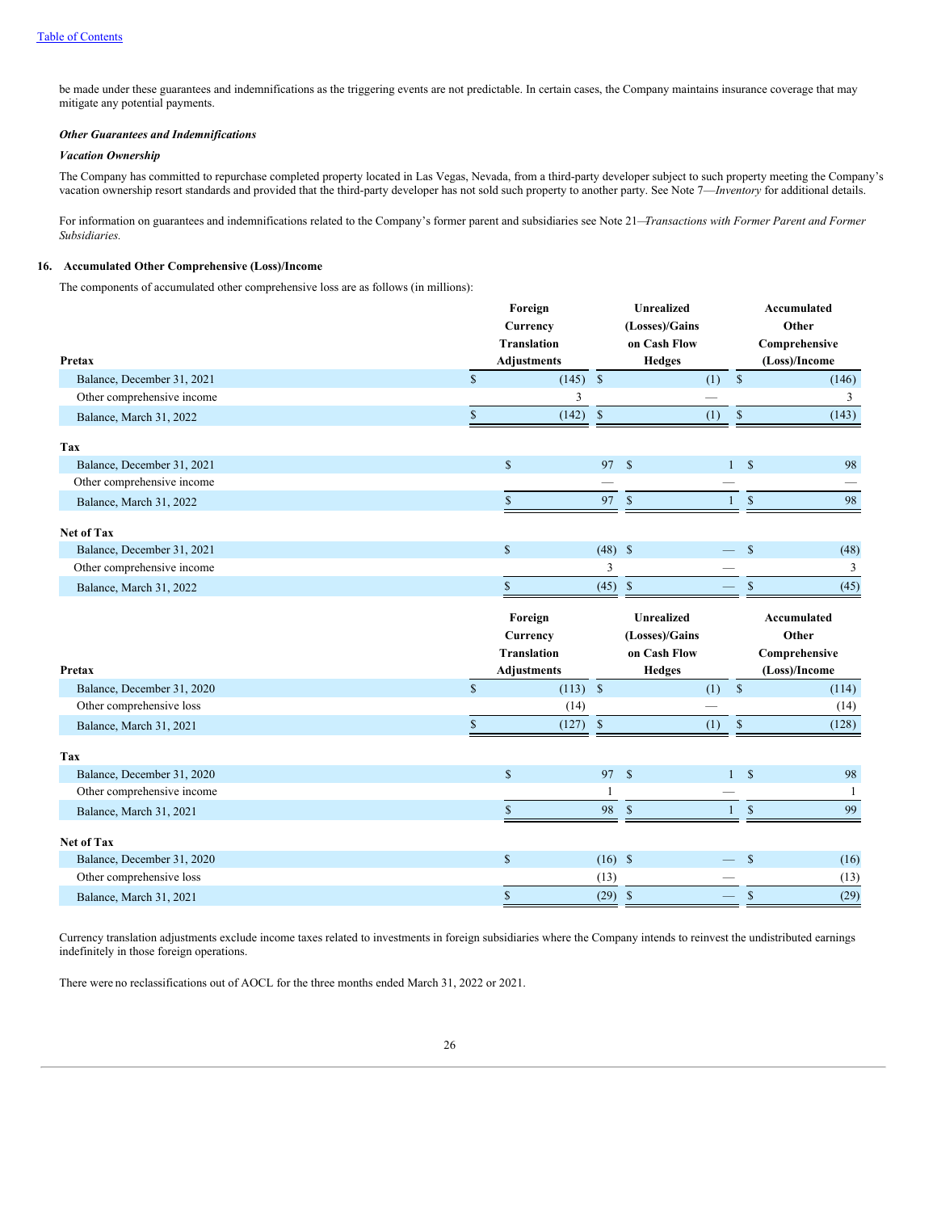be made under these guarantees and indemnifications as the triggering events are not predictable. In certain cases, the Company maintains insurance coverage that may mitigate any potential payments.

# *Other Guarantees and Indemnifications*

#### *Vacation Ownership*

The Company has committed to repurchase completed property located in Las Vegas, Nevada, from a third-party developer subject to such property meeting the Company's vacation ownership resort standards and provided that the third-party developer has not sold such property to another party. See Note 7—*Inventory* for additional details.

For information on guarantees and indemnifications related to the Company's former parent and subsidiaries see Note 21—*Transactions with Former Parent and Former Subsidiaries.*

# <span id="page-26-0"></span>**16. Accumulated Other Comprehensive (Loss)/Income**

The components of accumulated other comprehensive loss are as follows (in millions):

| Pretax                     |              | Foreign<br>Currency<br><b>Translation</b><br><b>Adjustments</b> |                   | Unrealized<br>(Losses)/Gains<br>on Cash Flow<br><b>Hedges</b>        |                                          | Accumulated<br>Other<br>Comprehensive<br>(Loss)/Income |
|----------------------------|--------------|-----------------------------------------------------------------|-------------------|----------------------------------------------------------------------|------------------------------------------|--------------------------------------------------------|
| Balance, December 31, 2021 | $\mathbb{S}$ | $(145)$ \$                                                      |                   | (1)                                                                  | $\mathbb{S}$                             | (146)                                                  |
| Other comprehensive income |              | 3                                                               |                   | $\overline{\phantom{0}}$                                             |                                          | 3                                                      |
| Balance, March 31, 2022    | $\mathbb{S}$ | (142)                                                           | $\mathcal{S}$     | (1)                                                                  | $\mathbb{S}$                             | (143)                                                  |
| Tax                        |              |                                                                 |                   |                                                                      |                                          |                                                        |
| Balance, December 31, 2021 |              | $\mathbb{S}$                                                    | 97                | $\mathbb{S}$                                                         | 1 S                                      | 98                                                     |
| Other comprehensive income |              |                                                                 |                   |                                                                      |                                          |                                                        |
| Balance, March 31, 2022    |              | $\mathbb{S}$                                                    | 97 \$             |                                                                      | $\mathbb S$<br>1                         | 98                                                     |
| Net of Tax                 |              |                                                                 |                   |                                                                      |                                          |                                                        |
| Balance, December 31, 2021 |              | $\mathbb{S}$                                                    | $(48)$ \$         |                                                                      | $\mathbb{S}$<br>$\overline{\phantom{0}}$ | (48)                                                   |
| Other comprehensive income |              |                                                                 | 3                 |                                                                      |                                          | 3                                                      |
| Balance, March 31, 2022    |              | $\mathbf S$                                                     | (45)              | $\mathbf{\hat{s}}$                                                   | $\mathbb{S}$                             | (45)                                                   |
|                            |              |                                                                 |                   |                                                                      |                                          |                                                        |
| Pretax                     |              | Foreign<br>Currency<br><b>Translation</b><br><b>Adjustments</b> |                   | <b>Unrealized</b><br>(Losses)/Gains<br>on Cash Flow<br><b>Hedges</b> |                                          | Accumulated<br>Other<br>Comprehensive<br>(Loss)/Income |
| Balance, December 31, 2020 | $\mathbb S$  | $(113)$ \$                                                      |                   | (1)                                                                  | $\mathbb{S}$                             | (114)                                                  |
| Other comprehensive loss   |              | (14)                                                            |                   |                                                                      |                                          | (14)                                                   |
| Balance, March 31, 2021    | $\$$         | $(127)$ \$                                                      |                   | (1)                                                                  | $\mathbb{S}$                             | (128)                                                  |
| Tax                        |              |                                                                 |                   |                                                                      |                                          |                                                        |
| Balance, December 31, 2020 |              | $\mathbb{S}$                                                    | 97                | $\mathbb S$                                                          | $\mathbb{S}$<br>1                        | 98                                                     |
| Other comprehensive income |              |                                                                 | 1                 |                                                                      |                                          | -1                                                     |
| Balance, March 31, 2021    |              | $\mathbb{S}$                                                    | 98                | $\mathbb S$                                                          | $\mathbb{S}$<br>$\mathbf{1}$             | 99                                                     |
| Net of Tax                 |              |                                                                 |                   |                                                                      |                                          |                                                        |
| Balance, December 31, 2020 |              | $\mathbb S$                                                     | $(16)$ \$         |                                                                      | $\mathcal{S}$                            | (16)                                                   |
| Other comprehensive loss   |              |                                                                 | (13)<br>$(29)$ \$ |                                                                      |                                          | (13)                                                   |

Currency translation adjustments exclude income taxes related to investments in foreign subsidiaries where the Company intends to reinvest the undistributed earnings indefinitely in those foreign operations.

<span id="page-26-1"></span>There were no reclassifications out of AOCL for the three months ended March 31, 2022 or 2021.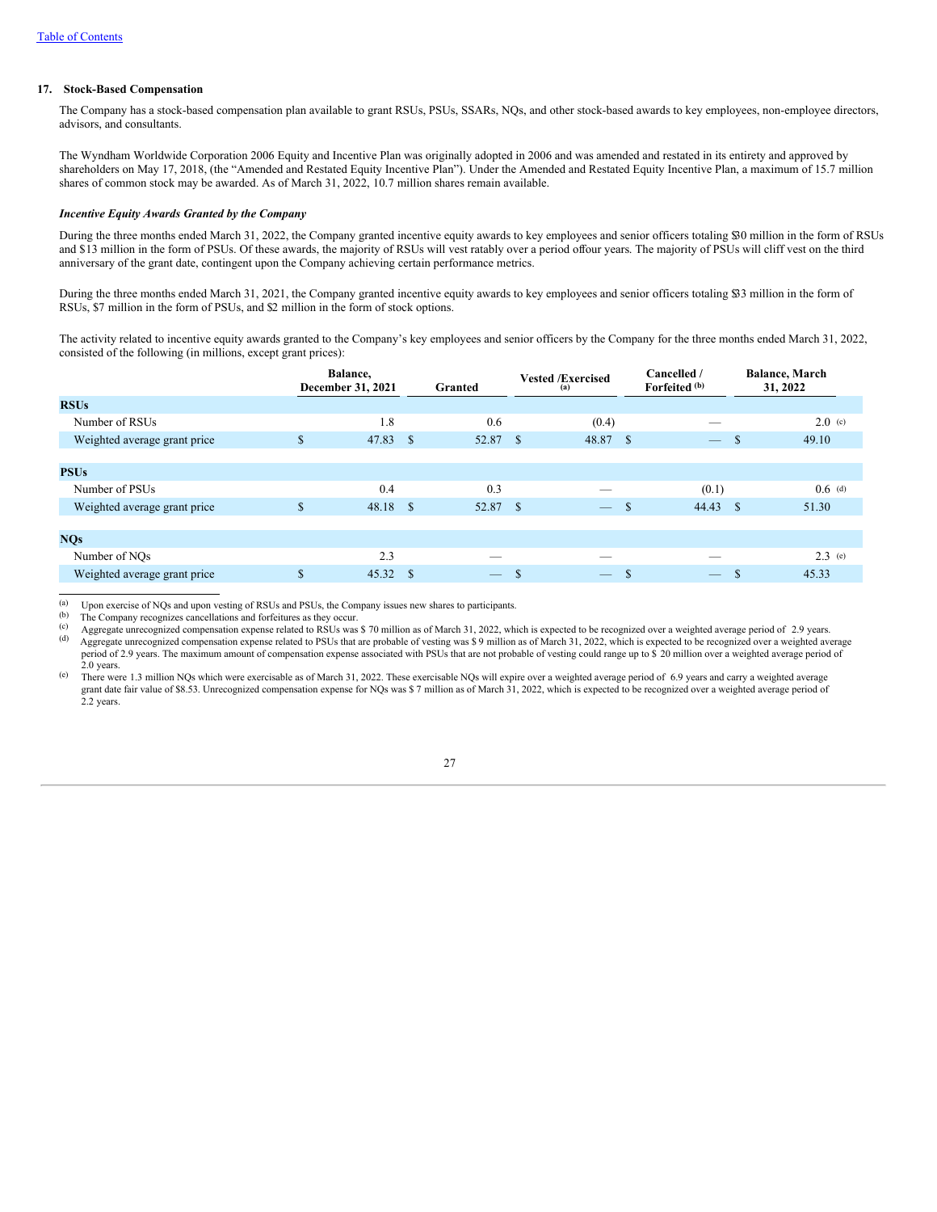#### **17. Stock-Based Compensation**

The Company has a stock-based compensation plan available to grant RSUs, PSUs, SSARs, NQs, and other stock-based awards to key employees, non-employee directors, advisors, and consultants.

The Wyndham Worldwide Corporation 2006 Equity and Incentive Plan was originally adopted in 2006 and was amended and restated in its entirety and approved by shareholders on May 17, 2018, (the "Amended and Restated Equity Incentive Plan"). Under the Amended and Restated Equity Incentive Plan, a maximum of 15.7 million shares of common stock may be awarded. As of March 31, 2022, 10.7 million shares remain available.

#### *Incentive Equity Awards Granted by the Company*

During the three months ended March 31, 2022, the Company granted incentive equity awards to key employees and senior officers totaling \$30 million in the form of RSUs and \$13 million in the form of PSUs. Of these awards, the majority of RSUs will vest ratably over a period offour years. The majority of PSUs will cliff vest on the third anniversary of the grant date, contingent upon the Company achieving certain performance metrics.

During the three months ended March 31, 2021, the Company granted incentive equity awards to key employees and senior officers totaling \$33 million in the form of RSUs, \$7 million in the form of PSUs, and \$2 million in the form of stock options.

The activity related to incentive equity awards granted to the Company's key employees and senior officers by the Company for the three months ended March 31, 2022, consisted of the following (in millions, except grant prices):

|                              | Balance,<br>December 31, 2021 |            |            | Granted  |    | <b>Vested /Exercised</b><br>(a) |               | Cancelled /<br>Forfeited <sup>(b)</sup> |   | <b>Balance, March</b><br>31, 2022 |
|------------------------------|-------------------------------|------------|------------|----------|----|---------------------------------|---------------|-----------------------------------------|---|-----------------------------------|
| <b>RSUs</b>                  |                               |            |            |          |    |                                 |               |                                         |   |                                   |
| Number of RSUs               |                               | 1.8        |            | 0.6      |    | (0.4)                           |               | $\overline{\phantom{a}}$                |   | $2.0$ (c)                         |
| Weighted average grant price | \$                            | 47.83      | $^{\circ}$ | 52.87 \$ |    | 48.87 \$                        |               | $\overline{\phantom{m}}$                | S | 49.10                             |
|                              |                               |            |            |          |    |                                 |               |                                         |   |                                   |
| <b>PSUs</b>                  |                               |            |            |          |    |                                 |               |                                         |   |                                   |
| Number of PSUs               |                               | 0.4        |            | 0.3      |    |                                 |               | (0.1)                                   |   | $0.6$ (d)                         |
| Weighted average grant price | $\mathbb{S}$                  | $48.18$ \$ |            | 52.87 \$ |    | $\overline{\phantom{m}}$        | <sup>\$</sup> | 44.43                                   | S | 51.30                             |
|                              |                               |            |            |          |    |                                 |               |                                         |   |                                   |
| <b>NOs</b>                   |                               |            |            |          |    |                                 |               |                                         |   |                                   |
| Number of NOs                |                               | 2.3        |            | _        |    | __                              |               |                                         |   | $2.3$ (e)                         |
| Weighted average grant price | \$                            | $45.32$ \$ |            |          | -S | $\overline{\phantom{m}}$        | <sup>\$</sup> | $\overline{\phantom{m}}$                | S | 45.33                             |

Upon exercise of NQs and upon vesting of RSUs and PSUs, the Company issues new shares to participants. (a)

The Company recognizes cancellations and forfeitures as they occur. (b)

Aggregate unrecognized compensation expense related to RSUs was \$ 70 million as of March 31, 2022, which is expected to be recognized over a weighted average period of 2.9 years. Aggregate unrecognized compensation expense related to PSUs that are probable of vesting was \$ 9 million as of March 31, 2022, which is expected to be recognized over a weighted average period of 2.9 years. The maximum amount of compensation expense associated with PSUs that are not probable of vesting could range up to \$ 20 million over a weighted average period of 2.0 years. (c) (d)

There were 1.3 million NQs which were exercisable as of March 31, 2022. These exercisable NQs will expire over a weighted average period of 6.9 years and carry a weighted average<br>grant date fair value of \$8.53. Unrecognize (e)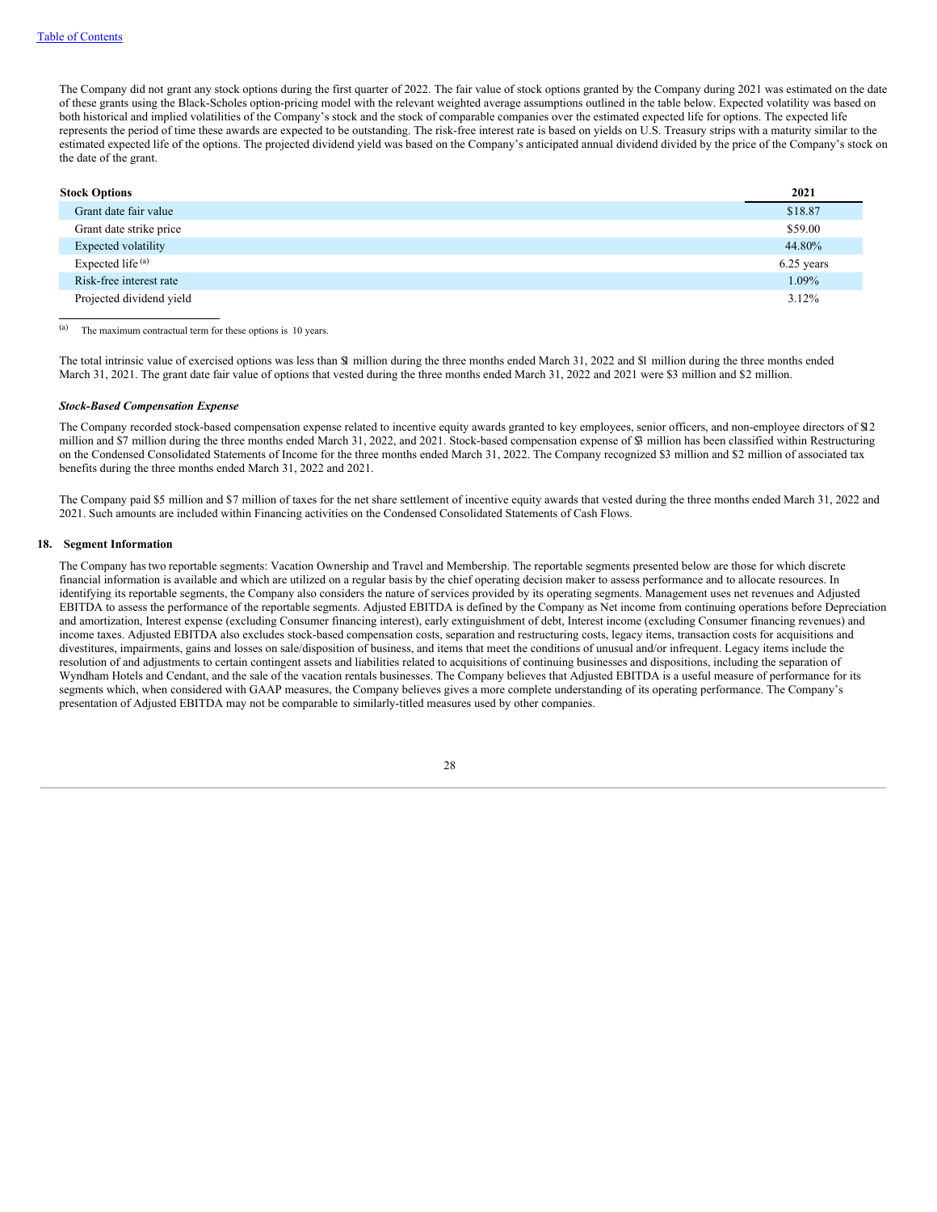The Company did not grant any stock options during the first quarter of 2022. The fair value of stock options granted by the Company during 2021 was estimated on the date of these grants using the Black-Scholes option-pricing model with the relevant weighted average assumptions outlined in the table below. Expected volatility was based on both historical and implied volatilities of the Company's stock and the stock of comparable companies over the estimated expected life for options. The expected life represents the period of time these awards are expected to be outstanding. The risk-free interest rate is based on yields on U.S. Treasury strips with a maturity similar to the estimated expected life of the options. The projected dividend yield was based on the Company's anticipated annual dividend divided by the price of the Company's stock on the date of the grant.

| <b>Stock Options</b>     | 2021       |
|--------------------------|------------|
| Grant date fair value    | \$18.87    |
| Grant date strike price  | \$59.00    |
| Expected volatility      | 44.80%     |
| Expected life (a)        | 6.25 years |
| Risk-free interest rate  | 1.09%      |
| Projected dividend yield | $3.12\%$   |

The maximum contractual term for these options is 10 years. (a)

The total intrinsic value of exercised options was less than  $\mathfrak A$  million during the three months ended March 31, 2022 and  $\mathfrak A$  million during the three months ended March 31, 2021. The grant date fair value of options that vested during the three months ended March 31, 2022 and 2021 were \$3 million and \$2 million.

#### *Stock-Based Compensation Expense*

The Company recorded stock-based compensation expense related to incentive equity awards granted to key employees, senior officers, and non-employee directors of \$12 million and \$7 million during the three months ended March 31, 2022, and 2021. Stock-based compensation expense of \$3 million has been classified within Restructuring on the Condensed Consolidated Statements of Income for the three months ended March 31, 2022. The Company recognized \$3 million and \$2 million of associated tax benefits during the three months ended March 31, 2022 and 2021.

The Company paid \$5 million and \$7 million of taxes for the net share settlement of incentive equity awards that vested during the three months ended March 31, 2022 and 2021. Such amounts are included within Financing activities on the Condensed Consolidated Statements of Cash Flows.

### <span id="page-28-0"></span>**18. Segment Information**

The Company hastwo reportable segments: Vacation Ownership and Travel and Membership. The reportable segments presented below are those for which discrete financial information is available and which are utilized on a regular basis by the chief operating decision maker to assess performance and to allocate resources. In identifying its reportable segments, the Company also considers the nature of services provided by its operating segments. Management uses net revenues and Adjusted EBITDA to assess the performance of the reportable segments. Adjusted EBITDA is defined by the Company as Net income from continuing operations before Depreciation and amortization, Interest expense (excluding Consumer financing interest), early extinguishment of debt, Interest income (excluding Consumer financing revenues) and income taxes. Adjusted EBITDA also excludes stock-based compensation costs, separation and restructuring costs, legacy items, transaction costs for acquisitions and divestitures, impairments, gains and losses on sale/disposition of business, and items that meet the conditions of unusual and/or infrequent. Legacy items include the resolution of and adjustments to certain contingent assets and liabilities related to acquisitions of continuing businesses and dispositions, including the separation of Wyndham Hotels and Cendant, and the sale of the vacation rentals businesses. The Company believes that Adjusted EBITDA is a useful measure of performance for its segments which, when considered with GAAP measures, the Company believes gives a more complete understanding of its operating performance. The Company's presentation of Adjusted EBITDA may not be comparable to similarly-titled measures used by other companies.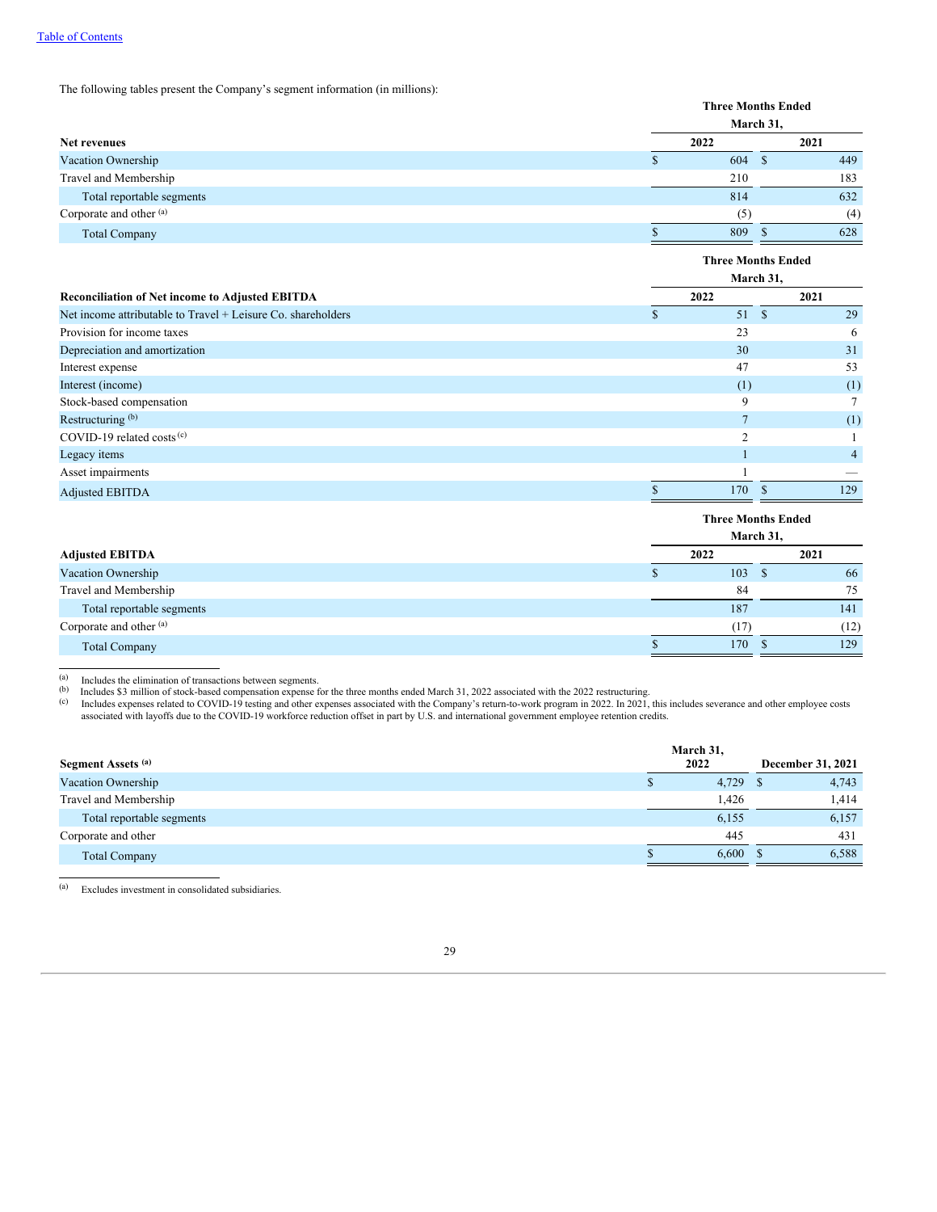The following tables present the Company's segment information (in millions):

|                           |      | <b>Three Months Ended</b> |           |      |  |  |  |  |
|---------------------------|------|---------------------------|-----------|------|--|--|--|--|
| Net revenues              |      |                           | March 31, |      |  |  |  |  |
|                           | 2022 |                           |           | 2021 |  |  |  |  |
| Vacation Ownership        |      | 604                       | - \$      | 449  |  |  |  |  |
| Travel and Membership     |      | 210                       |           | 183  |  |  |  |  |
| Total reportable segments |      | 814                       |           | 632  |  |  |  |  |
| Corporate and other (a)   |      | (5)                       |           | (4)  |  |  |  |  |
| <b>Total Company</b>      |      | 809                       |           | 628  |  |  |  |  |

|                                                              |      | <b>Three Months Ended</b> |      |  |  |  |  |  |  |
|--------------------------------------------------------------|------|---------------------------|------|--|--|--|--|--|--|
|                                                              |      | March 31,                 |      |  |  |  |  |  |  |
| <b>Reconciliation of Net income to Adjusted EBITDA</b>       | 2022 |                           | 2021 |  |  |  |  |  |  |
| Net income attributable to Travel + Leisure Co. shareholders |      | 51<br>$\mathbf S$         | 29   |  |  |  |  |  |  |
| Provision for income taxes                                   |      | 23                        | 6    |  |  |  |  |  |  |
| Depreciation and amortization                                |      | 30                        | 31   |  |  |  |  |  |  |
| Interest expense                                             |      | 47                        | 53   |  |  |  |  |  |  |
| Interest (income)                                            |      | (1)                       | (1)  |  |  |  |  |  |  |
| Stock-based compensation                                     |      | $\mathbf Q$               |      |  |  |  |  |  |  |
| Restructuring (b)                                            |      |                           | (1)  |  |  |  |  |  |  |
| COVID-19 related costs <sup>(c)</sup>                        |      |                           |      |  |  |  |  |  |  |
| Legacy items                                                 |      |                           | 4    |  |  |  |  |  |  |
| Asset impairments                                            |      |                           |      |  |  |  |  |  |  |
| <b>Adjusted EBITDA</b>                                       |      | 170                       | 129  |  |  |  |  |  |  |

|                           | <b>Three Months Ended</b> |             |      |  |  |  |  |  |
|---------------------------|---------------------------|-------------|------|--|--|--|--|--|
|                           |                           | March 31,   |      |  |  |  |  |  |
| <b>Adjusted EBITDA</b>    | 2022                      |             | 2021 |  |  |  |  |  |
| Vacation Ownership        | D                         | 103<br>- \$ | 66   |  |  |  |  |  |
| Travel and Membership     |                           | 84          | 75   |  |  |  |  |  |
| Total reportable segments |                           | 187         | 141  |  |  |  |  |  |
| Corporate and other (a)   |                           | (17)        | (12) |  |  |  |  |  |
| <b>Total Company</b>      |                           | 170         | 129  |  |  |  |  |  |

(a)

(b)

Includes the elimination of transactions between segments.<br>Includes \$3 million of stock-based compensation expense for the three months ended March 31, 2022 associated with the 2022 restructuring.<br>Includes expenses related (c)

| Segment Assets <sup>(a)</sup> | March 31,<br>2022 | December 31, 2021 |
|-------------------------------|-------------------|-------------------|
| Vacation Ownership            | 4,729             | 4,743<br>- S      |
| Travel and Membership         | 1.426             | 1.414             |
| Total reportable segments     | 6,155             | 6,157             |
| Corporate and other           | 445               | 431               |
| <b>Total Company</b>          | 6.600             | 6,588             |

<span id="page-29-0"></span>Excludes investment in consolidated subsidiaries. (a)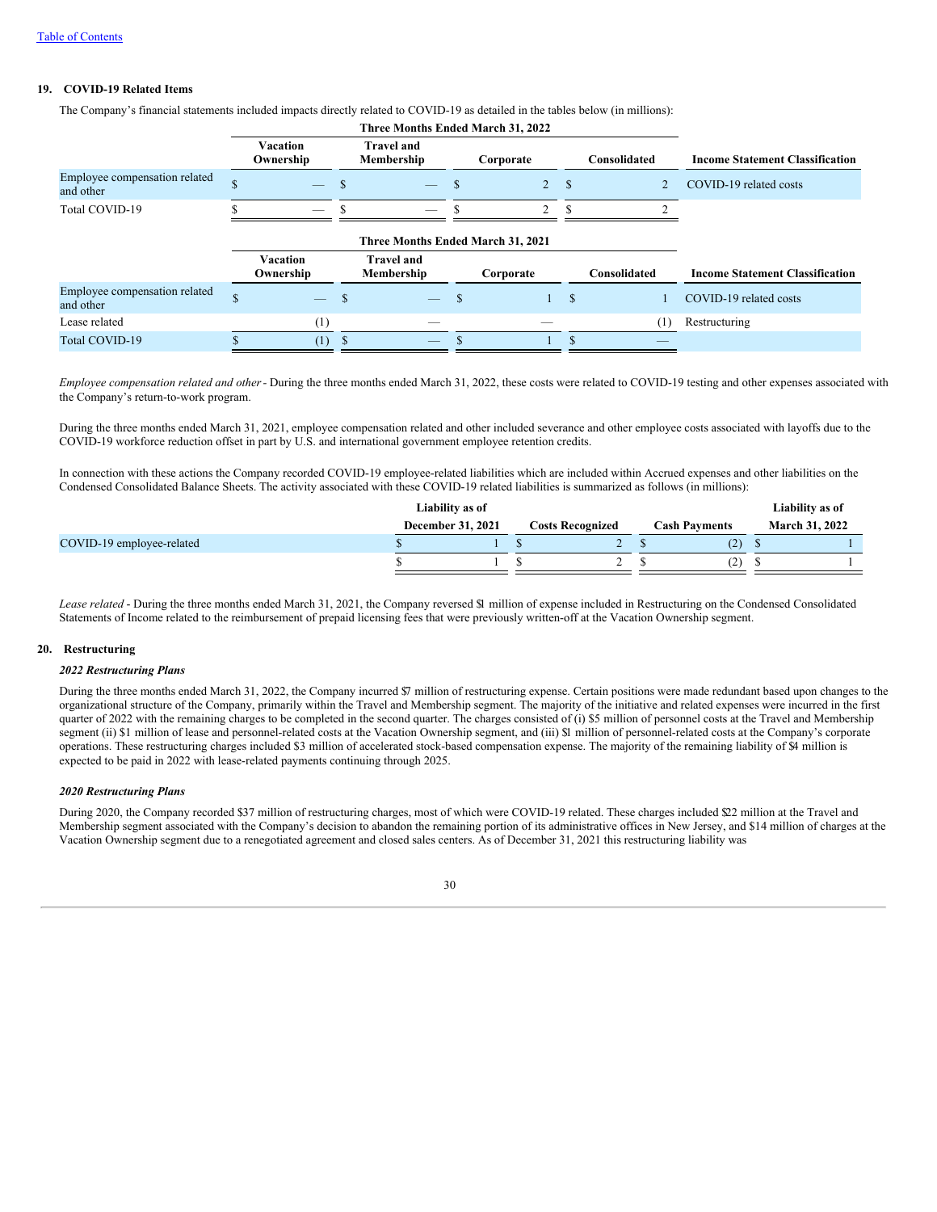# **19. COVID-19 Related Items**

The Company's financial statements included impacts directly related to COVID-19 as detailed in the tables below (in millions):

|                                            |                       |                       |                                 | Three Months Ended March 31, 2022 |           |                |               |                  |                                        |
|--------------------------------------------|-----------------------|-----------------------|---------------------------------|-----------------------------------|-----------|----------------|---------------|------------------|----------------------------------------|
|                                            | Vacation<br>Ownership |                       | <b>Travel and</b><br>Membership |                                   | Corporate |                | Consolidated  |                  | <b>Income Statement Classification</b> |
| Employee compensation related<br>and other |                       |                       |                                 |                                   | -S        | $\overline{2}$ | -S            |                  | COVID-19 related costs                 |
| Total COVID-19                             |                       |                       |                                 |                                   |           | 2              |               |                  |                                        |
|                                            |                       |                       |                                 | Three Months Ended March 31, 2021 |           |                |               |                  |                                        |
|                                            |                       | Vacation<br>Ownership |                                 | <b>Travel and</b><br>Membership   |           | Corporate      |               | Consolidated     | <b>Income Statement Classification</b> |
| Employee compensation related<br>and other |                       |                       | <sup>\$</sup>                   | <u>— 1</u>                        | Ъ         |                | <sup>\$</sup> |                  | COVID-19 related costs                 |
| Lease related                              |                       | (1)                   |                                 |                                   |           |                |               | $\left(1\right)$ | Restructuring                          |
| <b>Total COVID-19</b>                      |                       | (1)                   | S                               |                                   |           |                |               |                  |                                        |

*Employee compensation related and other-* During the three months ended March 31, 2022, these costs were related to COVID-19 testing and other expenses associated with the Company's return-to-work program.

During the three months ended March 31, 2021, employee compensation related and other included severance and other employee costs associated with layoffs due to the COVID-19 workforce reduction offset in part by U.S. and international government employee retention credits.

In connection with these actions the Company recorded COVID-19 employee-related liabilities which are included within Accrued expenses and other liabilities on the Condensed Consolidated Balance Sheets. The activity associated with these COVID-19 related liabilities is summarized as follows (in millions):

|                           | Liability as of                                     |  |  |                      |  | Liability as of |                |  |  |
|---------------------------|-----------------------------------------------------|--|--|----------------------|--|-----------------|----------------|--|--|
|                           | <b>December 31, 2021</b><br><b>Costs Recognized</b> |  |  | <b>Cash Payments</b> |  |                 | March 31, 2022 |  |  |
| COVID-19 employee-related |                                                     |  |  |                      |  | (2)             |                |  |  |
|                           |                                                     |  |  |                      |  | $\mathbf{2}$    |                |  |  |

Lease related - During the three months ended March 31, 2021, the Company reversed \$1 million of expense included in Restructuring on the Condensed Consolidated Statements of Income related to the reimbursement of prepaid licensing fees that were previously written-off at the Vacation Ownership segment.

### <span id="page-30-0"></span>**20. Restructuring**

# *2022 Restructuring Plans*

During the three months ended March 31, 2022, the Company incurred \$7 million of restructuring expense. Certain positions were made redundant based upon changes to the organizational structure of the Company, primarily within the Travel and Membership segment. The majority of the initiative and related expenses were incurred in the first quarter of 2022 with the remaining charges to be completed in the second quarter. The charges consisted of (i) \$5 million of personnel costs at the Travel and Membership segment (ii) \$1 million of lease and personnel-related costs at the Vacation Ownership segment, and (iii) \$1 million of personnel-related costs at the Company's corporate operations. These restructuring charges included \$3 million of accelerated stock-based compensation expense. The majority of the remaining liability of \$4 million is expected to be paid in 2022 with lease-related payments continuing through 2025.

### *2020 Restructuring Plans*

During 2020, the Company recorded \$37 million of restructuring charges, most of which were COVID-19 related. These charges included \$22 million at the Travel and Membership segment associated with the Company's decision to abandon the remaining portion of its administrative offices in New Jersey, and \$14 million of charges at the Vacation Ownership segment due to a renegotiated agreement and closed sales centers. As of December 31, 2021 this restructuring liability was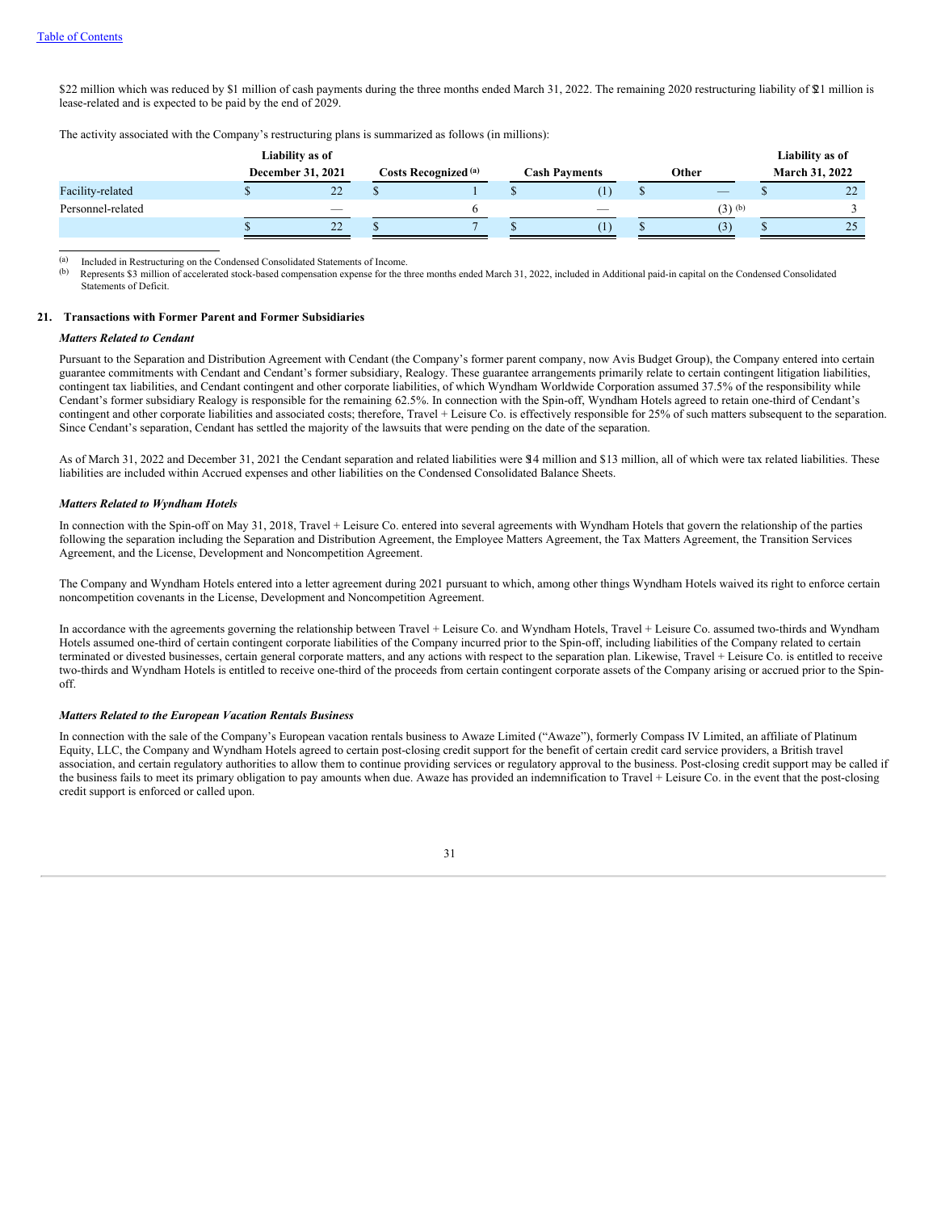\$22 million which was reduced by \$1 million of cash payments during the three months ended March 31, 2022. The remaining 2020 restructuring liability of \$1 million is lease-related and is expected to be paid by the end of 2029.

The activity associated with the Company's restructuring plans is summarized as follows (in millions):

|                   | Liability as of   |                             |  |                      |     |                          |                       | Liability as of     |
|-------------------|-------------------|-----------------------------|--|----------------------|-----|--------------------------|-----------------------|---------------------|
|                   | December 31, 2021 | <b>Costs Recognized</b> (a) |  | <b>Cash Payments</b> |     | Other                    | <b>March 31, 2022</b> |                     |
| Facility-related  | 22<br>∠∠          |                             |  |                      | (1) | $\overline{\phantom{a}}$ |                       | $\mathcal{D}$<br>∠∠ |
| Personnel-related |                   |                             |  |                      | -   | $(3)$ (b)                |                       |                     |
|                   | 22                |                             |  |                      | (1) | 5.                       |                       | 25                  |

Included in Restructuring on the Condensed Consolidated Statements of Income. (a)

Represents \$3 million of accelerated stock-based compensation expense for the three months ended March 31, 2022, included in Additional paid-in capital on the Condensed Consolidated Statements of Deficit. (b)

#### <span id="page-31-0"></span>**21. Transactions with Former Parent and Former Subsidiaries**

#### *Matters Related to Cendant*

Pursuant to the Separation and Distribution Agreement with Cendant (the Company's former parent company, now Avis Budget Group), the Company entered into certain guarantee commitments with Cendant and Cendant's former subsidiary, Realogy. These guarantee arrangements primarily relate to certain contingent litigation liabilities, contingent tax liabilities, and Cendant contingent and other corporate liabilities, of which Wyndham Worldwide Corporation assumed 37.5% of the responsibility while Cendant's former subsidiary Realogy is responsible for the remaining 62.5%. In connection with the Spin-off, Wyndham Hotels agreed to retain one-third of Cendant's contingent and other corporate liabilities and associated costs; therefore, Travel + Leisure Co. is effectively responsible for 25% of such matters subsequent to the separation. Since Cendant's separation, Cendant has settled the majority of the lawsuits that were pending on the date of the separation.

As of March 31, 2022 and December 31, 2021 the Cendant separation and related liabilities were \$4 million and \$13 million, all of which were tax related liabilities. These liabilities are included within Accrued expenses and other liabilities on the Condensed Consolidated Balance Sheets.

#### *Matters Related to Wyndham Hotels*

In connection with the Spin-off on May 31, 2018, Travel + Leisure Co. entered into several agreements with Wyndham Hotels that govern the relationship of the parties following the separation including the Separation and Distribution Agreement, the Employee Matters Agreement, the Tax Matters Agreement, the Transition Services Agreement, and the License, Development and Noncompetition Agreement.

The Company and Wyndham Hotels entered into a letter agreement during 2021 pursuant to which, among other things Wyndham Hotels waived its right to enforce certain noncompetition covenants in the License, Development and Noncompetition Agreement.

In accordance with the agreements governing the relationship between Travel + Leisure Co. and Wyndham Hotels, Travel + Leisure Co. assumed two-thirds and Wyndham Hotels assumed one-third of certain contingent corporate liabilities of the Company incurred prior to the Spin-off, including liabilities of the Company related to certain terminated or divested businesses, certain general corporate matters, and any actions with respect to the separation plan. Likewise, Travel + Leisure Co. is entitled to receive two-thirds and Wyndham Hotels is entitled to receive one-third of the proceeds from certain contingent corporate assets of the Company arising or accrued prior to the Spinoff.

#### *Matters Related to the European Vacation Rentals Business*

In connection with the sale of the Company's European vacation rentals business to Awaze Limited ("Awaze"), formerly Compass IV Limited, an affiliate of Platinum Equity, LLC, the Company and Wyndham Hotels agreed to certain post-closing credit support for the benefit of certain credit card service providers, a British travel association, and certain regulatory authorities to allow them to continue providing services or regulatory approval to the business. Post-closing credit support may be called if the business fails to meet its primary obligation to pay amounts when due. Awaze has provided an indemnification to Travel + Leisure Co. in the event that the post-closing credit support is enforced or called upon.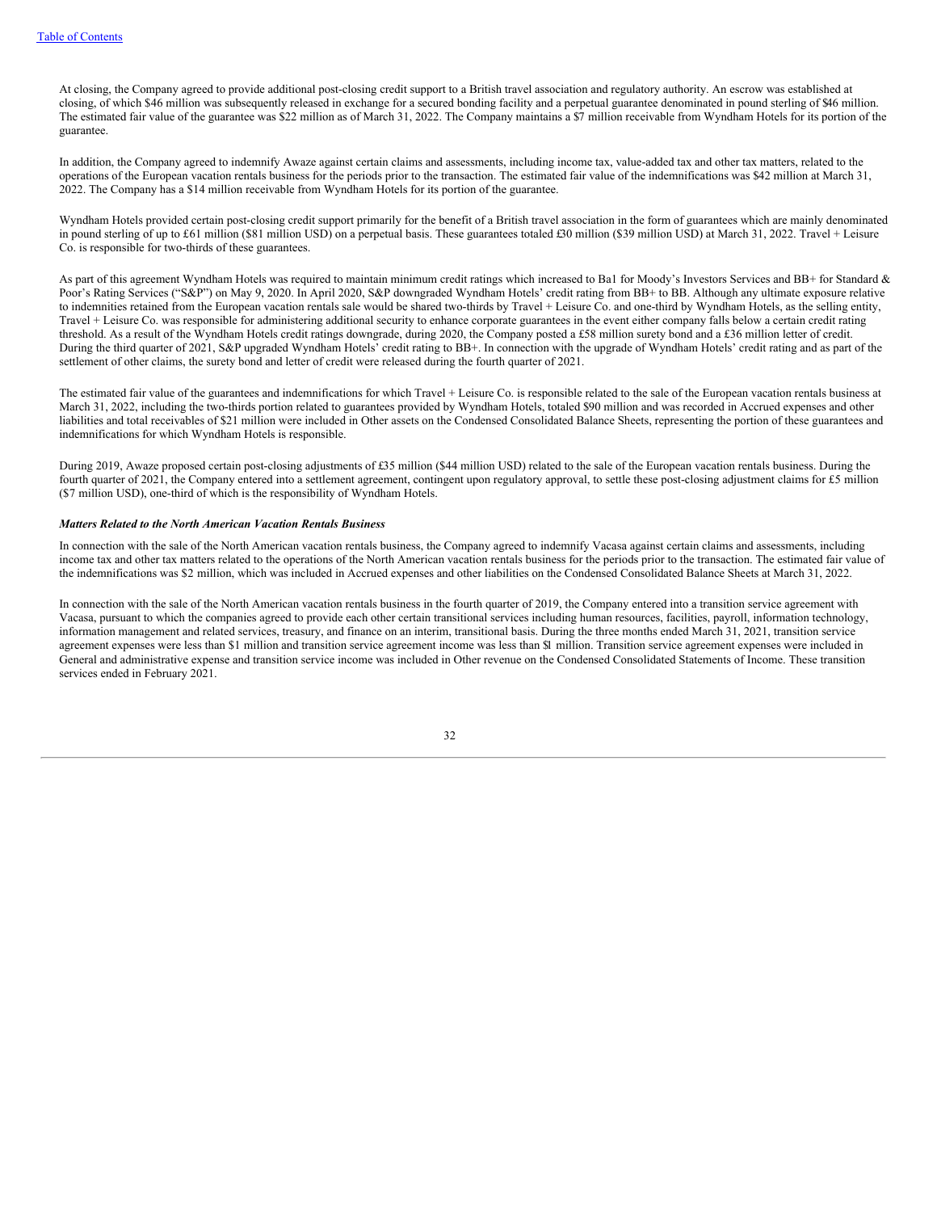At closing, the Company agreed to provide additional post-closing credit support to a British travel association and regulatory authority. An escrow was established at closing, of which \$46 million was subsequently released in exchange for a secured bonding facility and a perpetual guarantee denominated in pound sterling of \$46 million. The estimated fair value of the guarantee was \$22 million as of March 31, 2022. The Company maintains a \$7 million receivable from Wyndham Hotels for its portion of the guarantee.

In addition, the Company agreed to indemnify Awaze against certain claims and assessments, including income tax, value-added tax and other tax matters, related to the operations of the European vacation rentals business for the periods prior to the transaction. The estimated fair value of the indemnifications was \$42 million at March 31, 2022. The Company has a \$14 million receivable from Wyndham Hotels for its portion of the guarantee.

Wyndham Hotels provided certain post-closing credit support primarily for the benefit of a British travel association in the form of guarantees which are mainly denominated in pound sterling of up to £61 million (\$81 million USD) on a perpetual basis. These guarantees totaled £30 million (\$39 million USD) at March 31, 2022. Travel + Leisure Co. is responsible for two-thirds of these guarantees.

As part of this agreement Wyndham Hotels was required to maintain minimum credit ratings which increased to Ba1 for Moody's Investors Services and BB+ for Standard & Poor's Rating Services ("S&P") on May 9, 2020. In April 2020, S&P downgraded Wyndham Hotels' credit rating from BB+ to BB. Although any ultimate exposure relative to indemnities retained from the European vacation rentals sale would be shared two-thirds by Travel + Leisure Co. and one-third by Wyndham Hotels, as the selling entity, Travel + Leisure Co. was responsible for administering additional security to enhance corporate guarantees in the event either company falls below a certain credit rating threshold. As a result of the Wyndham Hotels credit ratings downgrade, during 2020, the Company posted a £58 million surety bond and a £36 million letter of credit. During the third quarter of 2021, S&P upgraded Wyndham Hotels' credit rating to BB+. In connection with the upgrade of Wyndham Hotels' credit rating and as part of the settlement of other claims, the surety bond and letter of credit were released during the fourth quarter of 2021.

The estimated fair value of the guarantees and indemnifications for which Travel + Leisure Co. is responsible related to the sale of the European vacation rentals business at March 31, 2022, including the two-thirds portion related to guarantees provided by Wyndham Hotels, totaled \$90 million and was recorded in Accrued expenses and other liabilities and total receivables of \$21 million were included in Other assets on the Condensed Consolidated Balance Sheets, representing the portion of these guarantees and indemnifications for which Wyndham Hotels is responsible.

During 2019, Awaze proposed certain post-closing adjustments of £35 million (\$44 million USD) related to the sale of the European vacation rentals business. During the fourth quarter of 2021, the Company entered into a settlement agreement, contingent upon regulatory approval, to settle these post-closing adjustment claims for £5 million (\$7 million USD), one-third of which is the responsibility of Wyndham Hotels.

#### *Matters Related to the North American Vacation Rentals Business*

In connection with the sale of the North American vacation rentals business, the Company agreed to indemnify Vacasa against certain claims and assessments, including income tax and other tax matters related to the operations of the North American vacation rentals business for the periods prior to the transaction. The estimated fair value of the indemnifications was \$2 million, which was included in Accrued expenses and other liabilities on the Condensed Consolidated Balance Sheets at March 31, 2022.

<span id="page-32-0"></span>In connection with the sale of the North American vacation rentals business in the fourth quarter of 2019, the Company entered into a transition service agreement with Vacasa, pursuant to which the companies agreed to provide each other certain transitional services including human resources, facilities, payroll, information technology, information management and related services, treasury, and finance on an interim, transitional basis. During the three months ended March 31, 2021, transition service agreement expenses were less than \$1 million and transition service agreement income was less than \$1 million. Transition service agreement expenses were included in General and administrative expense and transition service income was included in Other revenue on the Condensed Consolidated Statements of Income. These transition services ended in February 2021.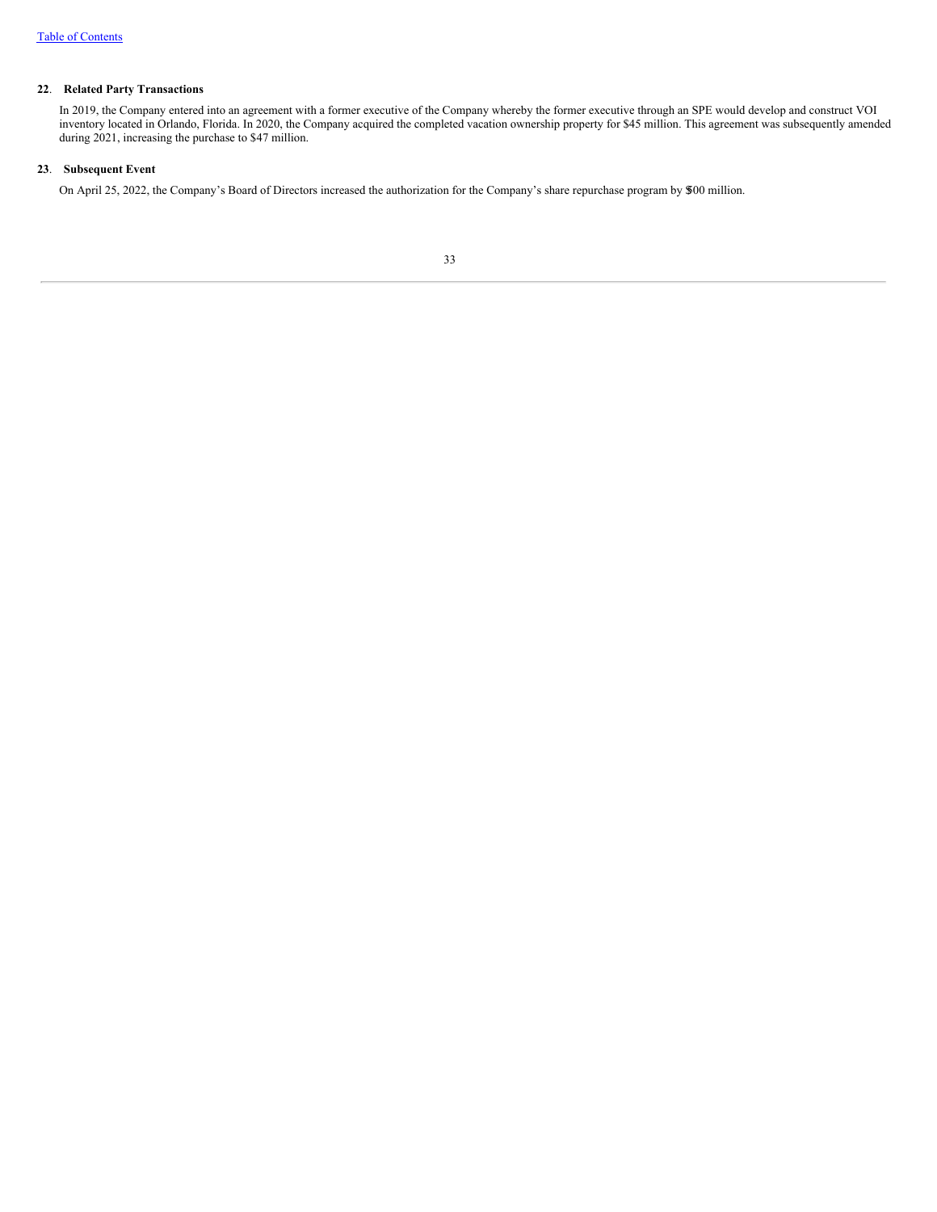# **22**. **Related Party Transactions**

In 2019, the Company entered into an agreement with a former executive of the Company whereby the former executive through an SPE would develop and construct VOI inventory located in Orlando, Florida. In 2020, the Company acquired the completed vacation ownership property for \$45 million. This agreement was subsequently amended during 2021, increasing the purchase to \$47 million.

# <span id="page-33-0"></span>**23**. **Subsequent Event**

<span id="page-33-1"></span>On April 25, 2022, the Company's Board of Directors increased the authorization for the Company's share repurchase program by \$500 million.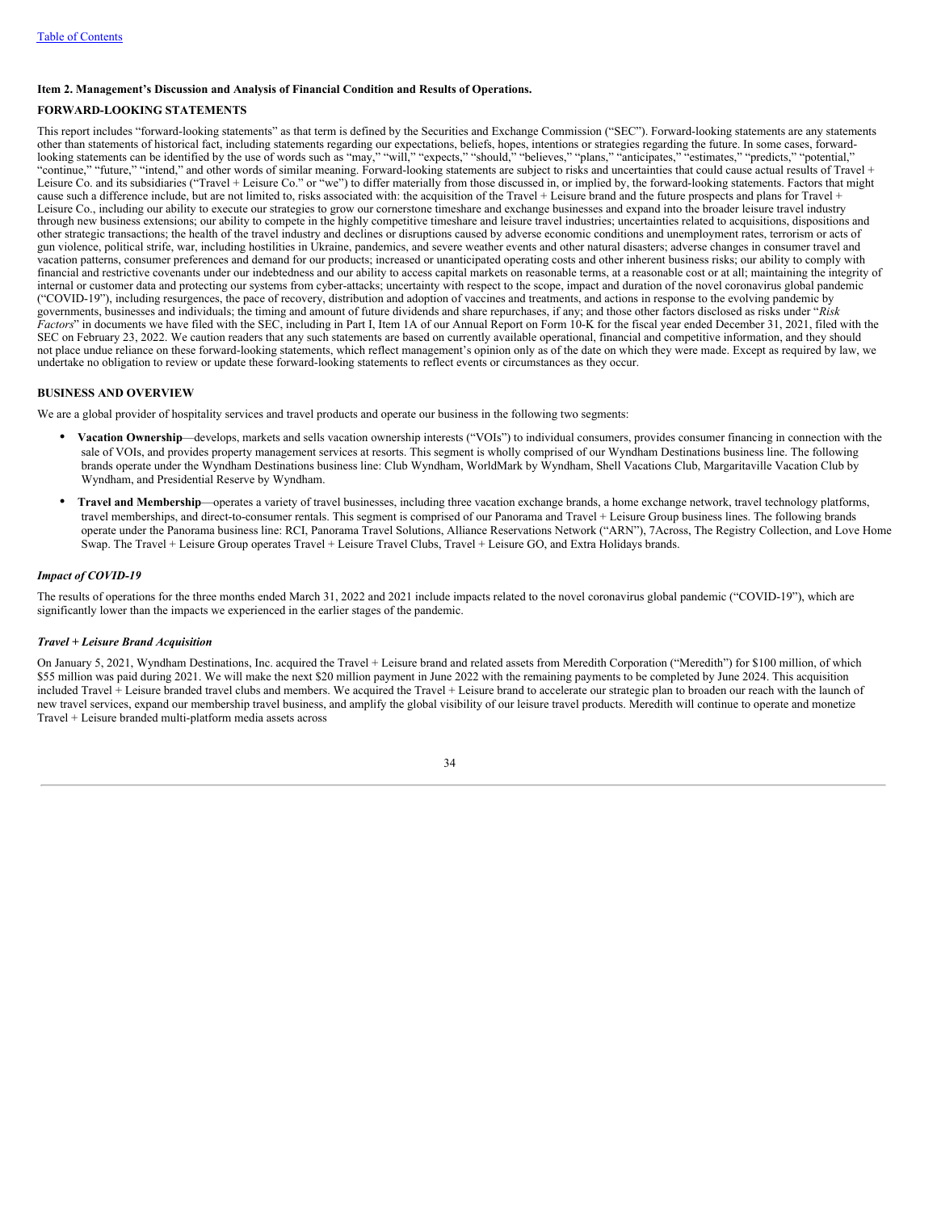#### **Item 2. Management's Discussion and Analysis of Financial Condition and Results of Operations.**

# <span id="page-34-0"></span>**FORWARD-LOOKING STATEMENTS**

This report includes "forward-looking statements" as that term is defined by the Securities and Exchange Commission ("SEC"). Forward-looking statements are any statements other than statements of historical fact, including statements regarding our expectations, beliefs, hopes, intentions or strategies regarding the future. In some cases, forwardlooking statements can be identified by the use of words such as "may," "will," "expects," "should," "believes," "plans," "anticipates," "estimates," "predicts," "potential," "continue," "future," "intend," and other words of similar meaning. Forward-looking statements are subject to risks and uncertainties that could cause actual results of Travel + Leisure Co. and its subsidiaries ("Travel + Leisure Co." or "we") to differ materially from those discussed in, or implied by, the forward-looking statements. Factors that might cause such a difference include, but are not limited to, risks associated with: the acquisition of the Travel + Leisure brand and the future prospects and plans for Travel + Leisure Co., including our ability to execute our strategies to grow our cornerstone timeshare and exchange businesses and expand into the broader leisure travel industry through new business extensions; our ability to compete in the highly competitive timeshare and leisure travel industries; uncertainties related to acquisitions, dispositions and other strategic transactions; the health of the travel industry and declines or disruptions caused by adverse economic conditions and unemployment rates, terrorism or acts of gun violence, political strife, war, including hostilities in Ukraine, pandemics, and severe weather events and other natural disasters; adverse changes in consumer travel and vacation patterns, consumer preferences and demand for our products; increased or unanticipated operating costs and other inherent business risks; our ability to comply with financial and restrictive covenants under our indebtedness and our ability to access capital markets on reasonable terms, at a reasonable cost or at all; maintaining the integrity of internal or customer data and protecting our systems from cyber-attacks; uncertainty with respect to the scope, impact and duration of the novel coronavirus global pandemic ("COVID-19"), including resurgences, the pace of recovery, distribution and adoption of vaccines and treatments, and actions in response to the evolving pandemic by governments, businesses and individuals; the timing and amount of future dividends and share repurchases, if any; and those other factors disclosed as risks under "*Risk* Factors" in documents we have filed with the SEC, including in Part I, Item 1A of our Annual Report on Form 10-K for the fiscal year ended December 31, 2021, filed with the SEC on February 23, 2022. We caution readers that any such statements are based on currently available operational, financial and competitive information, and they should not place undue reliance on these forward-looking statements, which reflect management's opinion only as of the date on which they were made. Except as required by law, we undertake no obligation to review or update these forward-looking statements to reflect events or circumstances as they occur.

#### **BUSINESS AND OVERVIEW**

We are a global provider of hospitality services and travel products and operate our business in the following two segments:

- *•* **Vacation Ownership**—develops, markets and sells vacation ownership interests ("VOIs") to individual consumers, provides consumer financing in connection with the sale of VOIs, and provides property management services at resorts. This segment is wholly comprised of our Wyndham Destinations business line. The following brands operate under the Wyndham Destinations business line: Club Wyndham, WorldMark by Wyndham, Shell Vacations Club, Margaritaville Vacation Club by Wyndham, and Presidential Reserve by Wyndham.
- *•* **Travel and Membership**—operates a variety of travel businesses, including three vacation exchange brands, a home exchange network, travel technology platforms, travel memberships, and direct-to-consumer rentals. This segment is comprised of our Panorama and Travel + Leisure Group business lines. The following brands operate under the Panorama business line: RCI, Panorama Travel Solutions, Alliance Reservations Network ("ARN"), 7Across, The Registry Collection, and Love Home Swap. The Travel + Leisure Group operates Travel + Leisure Travel Clubs, Travel + Leisure GO, and Extra Holidays brands.

# *Impact of COVID-19*

The results of operations for the three months ended March 31, 2022 and 2021 include impacts related to the novel coronavirus global pandemic ("COVID-19"), which are significantly lower than the impacts we experienced in the earlier stages of the pandemic.

#### *Travel + Leisure Brand Acquisition*

On January 5, 2021, Wyndham Destinations, Inc. acquired the Travel + Leisure brand and related assets from Meredith Corporation ("Meredith") for \$100 million, of which \$55 million was paid during 2021. We will make the next \$20 million payment in June 2022 with the remaining payments to be completed by June 2024. This acquisition included Travel + Leisure branded travel clubs and members. We acquired the Travel + Leisure brand to accelerate our strategic plan to broaden our reach with the launch of new travel services, expand our membership travel business, and amplify the global visibility of our leisure travel products. Meredith will continue to operate and monetize Travel + Leisure branded multi-platform media assets across

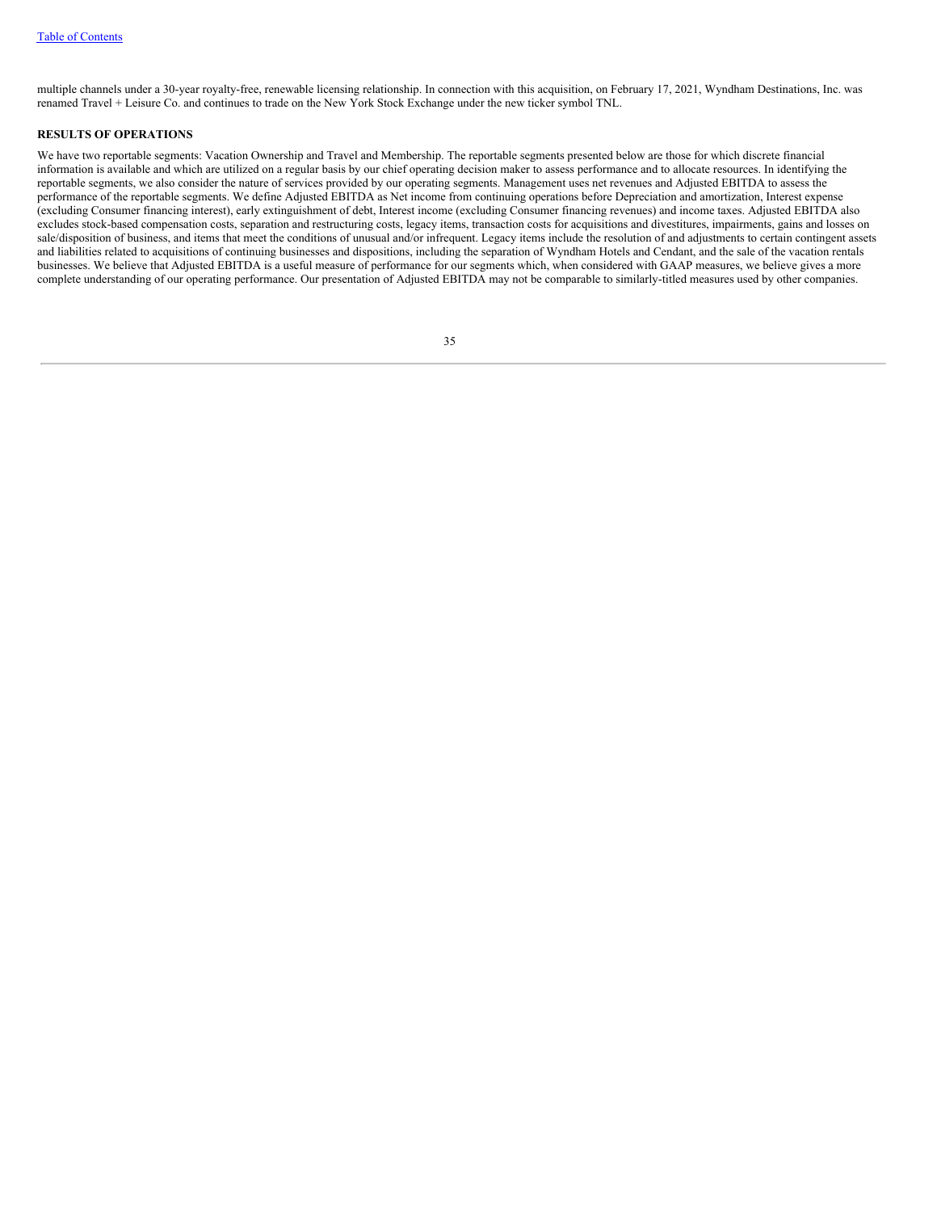multiple channels under a 30-year royalty-free, renewable licensing relationship. In connection with this acquisition, on February 17, 2021, Wyndham Destinations, Inc. was renamed Travel + Leisure Co. and continues to trade on the New York Stock Exchange under the new ticker symbol TNL.

# **RESULTS OF OPERATIONS**

We have two reportable segments: Vacation Ownership and Travel and Membership. The reportable segments presented below are those for which discrete financial information is available and which are utilized on a regular basis by our chief operating decision maker to assess performance and to allocate resources. In identifying the reportable segments, we also consider the nature of services provided by our operating segments. Management uses net revenues and Adjusted EBITDA to assess the performance of the reportable segments. We define Adjusted EBITDA as Net income from continuing operations before Depreciation and amortization, Interest expense (excluding Consumer financing interest), early extinguishment of debt, Interest income (excluding Consumer financing revenues) and income taxes. Adjusted EBITDA also excludes stock-based compensation costs, separation and restructuring costs, legacy items, transaction costs for acquisitions and divestitures, impairments, gains and losses on sale/disposition of business, and items that meet the conditions of unusual and/or infrequent. Legacy items include the resolution of and adjustments to certain contingent assets and liabilities related to acquisitions of continuing businesses and dispositions, including the separation of Wyndham Hotels and Cendant, and the sale of the vacation rentals businesses. We believe that Adjusted EBITDA is a useful measure of performance for our segments which, when considered with GAAP measures, we believe gives a more complete understanding of our operating performance. Our presentation of Adjusted EBITDA may not be comparable to similarly-titled measures used by other companies.

| ۰,<br>I<br>$\sim$ | ۰.<br>۰.<br>× |
|-------------------|---------------|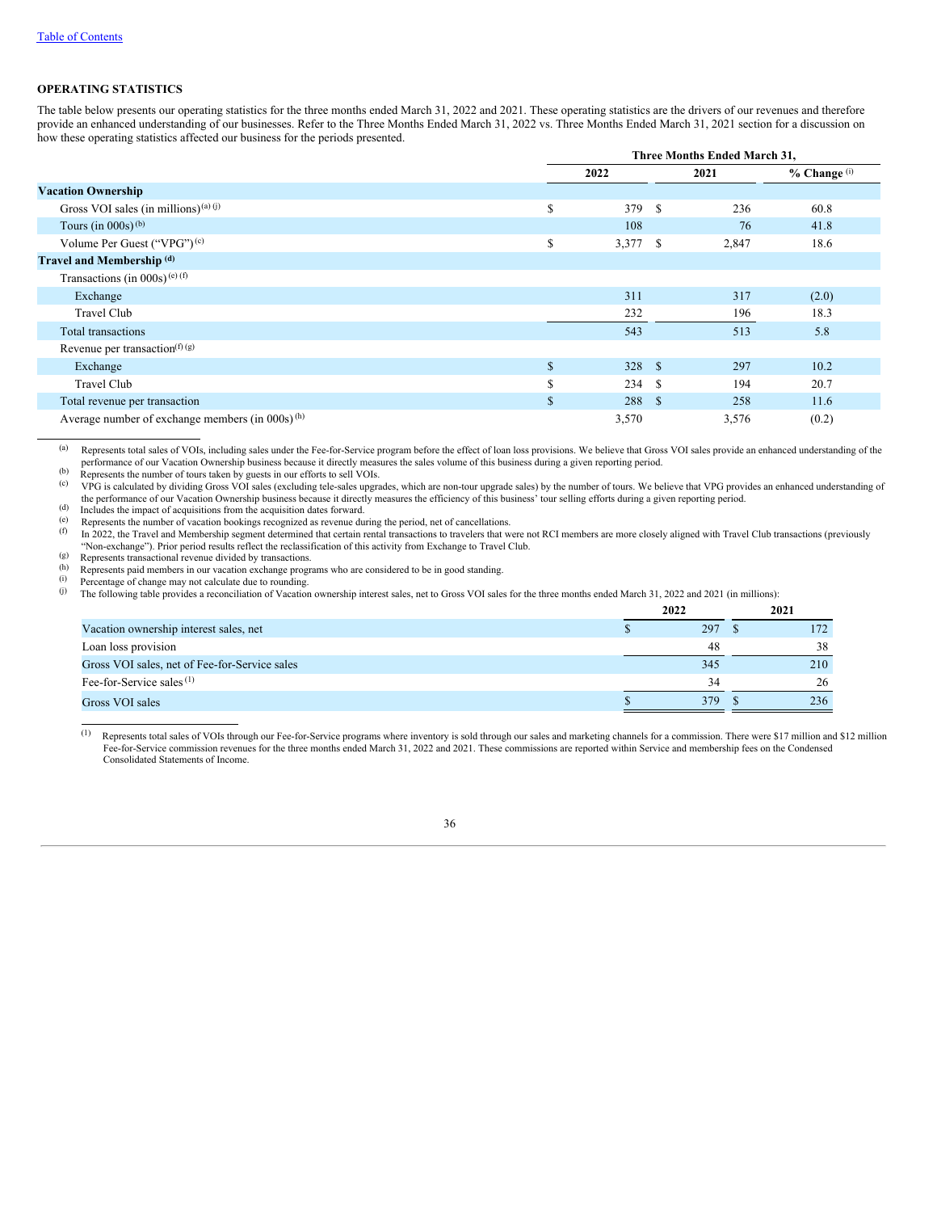# **OPERATING STATISTICS**

The table below presents our operating statistics for the three months ended March 31, 2022 and 2021. These operating statistics are the drivers of our revenues and therefore provide an enhanced understanding of our businesses. Refer to the Three Months Ended March 31, 2022 vs. Three Months Ended March 31, 2021 section for a discussion on how these operating statistics affected our business for the periods presented.

|                                                                |              | Three Months Ended March 31, |    |       |              |  |  |  |
|----------------------------------------------------------------|--------------|------------------------------|----|-------|--------------|--|--|--|
|                                                                |              | 2022                         |    | 2021  | % Change (i) |  |  |  |
| <b>Vacation Ownership</b>                                      |              |                              |    |       |              |  |  |  |
| Gross VOI sales (in millions) $(a)(i)$                         | \$           | 379 \$                       |    | 236   | 60.8         |  |  |  |
| Tours (in $000s$ ) <sup>(b)</sup>                              |              | 108                          |    | 76    | 41.8         |  |  |  |
| Volume Per Guest ("VPG") <sup>(c)</sup>                        | S            | 3,377                        | -S | 2,847 | 18.6         |  |  |  |
| Travel and Membership <sup>(d)</sup>                           |              |                              |    |       |              |  |  |  |
| Transactions (in 000s) <sup>(e)(f)</sup>                       |              |                              |    |       |              |  |  |  |
| Exchange                                                       |              | 311                          |    | 317   | (2.0)        |  |  |  |
| <b>Travel Club</b>                                             |              | 232                          |    | 196   | 18.3         |  |  |  |
| Total transactions                                             |              | 543                          |    | 513   | 5.8          |  |  |  |
| Revenue per transaction(f) (g)                                 |              |                              |    |       |              |  |  |  |
| Exchange                                                       | $\mathbb{S}$ | 328 \$                       |    | 297   | 10.2         |  |  |  |
| Travel Club                                                    | \$           | 234 S                        |    | 194   | 20.7         |  |  |  |
| Total revenue per transaction                                  | \$           | 288 \$                       |    | 258   | 11.6         |  |  |  |
| Average number of exchange members (in $000s$ ) <sup>(h)</sup> |              | 3,570                        |    | 3,576 | (0.2)        |  |  |  |

Represents total sales of VOIs, including sales under the Fee-for-Service program before the effect of loan loss provisions. We believe that Gross VOI sales provide an enhanced understanding of the performance of our Vacation Ownership business because it directly measures the sales volume of this business during a given reporting period. Represents the number of tours taken by guests in our efforts to sell VOIs. (a) (b)

VPG is calculated by dividing Gross VOI sales (excluding tele-sales upgrades, which are non-tour upgrade sales) by the number of tours. We believe that VPG provides an enhanced understanding of<br>the performance of our Vacat (c) (d)

Includes the impact of acquisitions from the acquisition dates forward. (e)

Represents the number of vacation bookings recognized as revenue during the period, net of cancellations.

In 2022, the Travel and Membership segment determined that certain rental transactions to travelers that were not RCI members are more closely aligned with Travel Club transactions (previously "Non-exchange"). Prior period results reflect the reclassification of this activity from Exchange to Travel Club. (f)

Represents transactional revenue divided by transactions. (g)

Represents paid members in our vacation exchange programs who are considered to be in good standing. (h)

Percentage of change may not calculate due to rounding. (i)

The following table provides a reconciliation of Vacation ownership interest sales, net to Gross VOI sales for the three months ended March 31, 2022 and 2021 (in millions): (j)

|                                               | 2022 | 2021 |
|-----------------------------------------------|------|------|
| Vacation ownership interest sales, net        | 297  | 172  |
| Loan loss provision                           | -48  | 38   |
| Gross VOI sales, net of Fee-for-Service sales | 345  | 210  |
| Fee-for-Service sales $(1)$                   | 34   | 26   |
| Gross VOI sales                               | 379  | 236  |

Represents total sales of VOIs through our Fee-for-Service programs where inventory is sold through our sales and marketing channels for a commission. There were \$17 million and \$12 million Fee-for-Service commission revenues for the three months ended March 31, 2022 and 2021. These commissions are reported within Service and membership fees on the Condensed Consolidated Statements of Income. (1)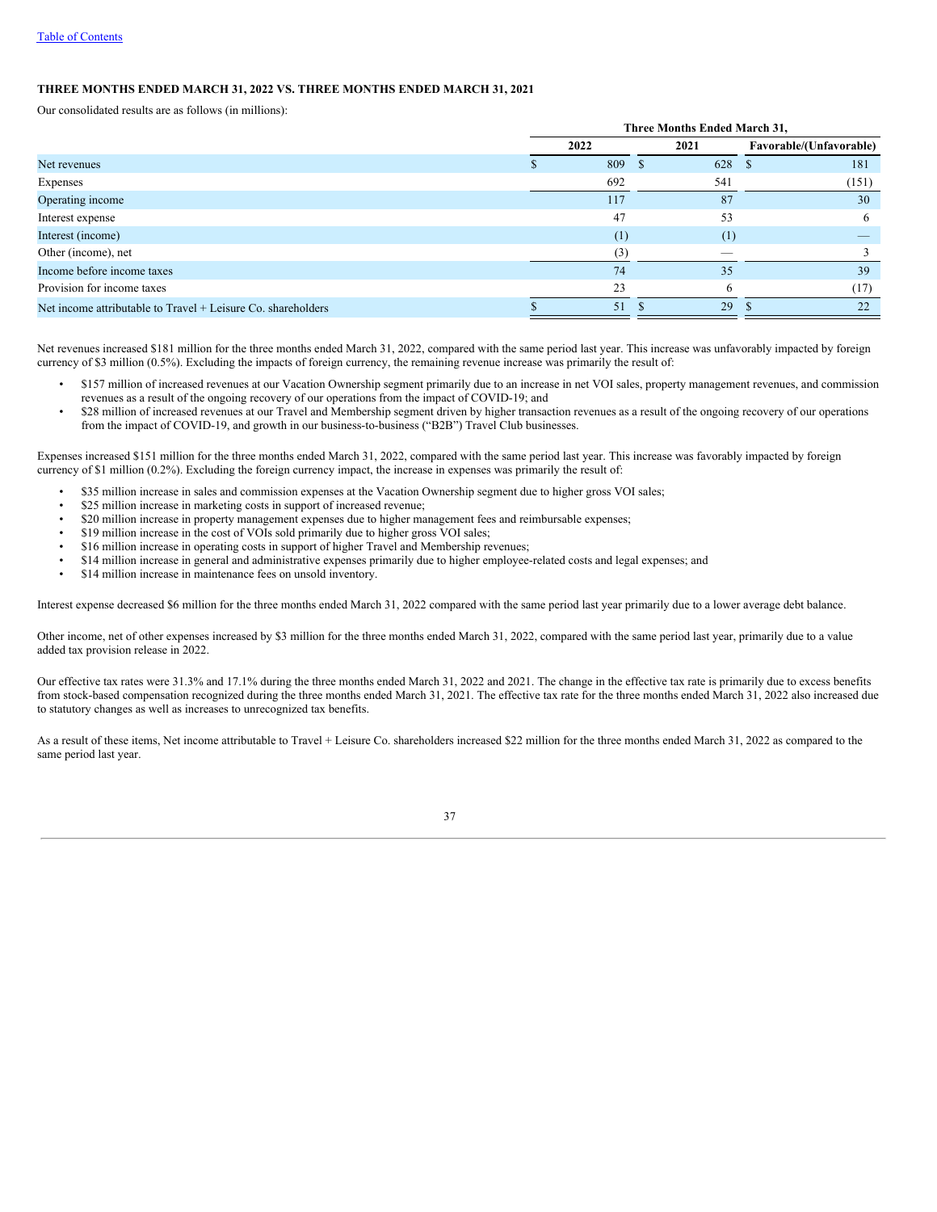# **THREE MONTHS ENDED MARCH 31, 2022 VS. THREE MONTHS ENDED MARCH 31, 2021**

Our consolidated results are as follows (in millions):

|                                                              | Three Months Ended March 31, |      |                          |                         |  |  |
|--------------------------------------------------------------|------------------------------|------|--------------------------|-------------------------|--|--|
|                                                              |                              | 2022 | 2021                     | Favorable/(Unfavorable) |  |  |
| Net revenues                                                 |                              | 809  | 628<br>- \$              | 181<br>- 35             |  |  |
| Expenses                                                     |                              | 692  | 541                      | (151)                   |  |  |
| Operating income                                             |                              | 117  | 87                       | 30                      |  |  |
| Interest expense                                             |                              | 47   | 53                       | 6                       |  |  |
| Interest (income)                                            |                              | (1)  | (1)                      |                         |  |  |
| Other (income), net                                          |                              | (3)  | $\overline{\phantom{a}}$ |                         |  |  |
| Income before income taxes                                   |                              | 74   | 35                       | 39                      |  |  |
| Provision for income taxes                                   |                              | 23   | 6                        | (17)                    |  |  |
| Net income attributable to Travel + Leisure Co. shareholders |                              | 51   | 29                       | 22                      |  |  |

Net revenues increased \$181 million for the three months ended March 31, 2022, compared with the same period last year. This increase was unfavorably impacted by foreign currency of \$3 million (0.5%). Excluding the impacts of foreign currency, the remaining revenue increase was primarily the result of:

- \$157 million of increased revenues at our Vacation Ownership segment primarily due to an increase in net VOI sales, property management revenues, and commission revenues as a result of the ongoing recovery of our operations from the impact of COVID-19; and
- \$28 million of increased revenues at our Travel and Membership segment driven by higher transaction revenues as a result of the ongoing recovery of our operations from the impact of COVID-19, and growth in our business-to-business ("B2B") Travel Club businesses.

Expenses increased \$151 million for the three months ended March 31, 2022, compared with the same period last year. This increase was favorably impacted by foreign currency of \$1 million (0.2%). Excluding the foreign currency impact, the increase in expenses was primarily the result of:

- \$35 million increase in sales and commission expenses at the Vacation Ownership segment due to higher gross VOI sales;
- \$25 million increase in marketing costs in support of increased revenue;
- \$20 million increase in property management expenses due to higher management fees and reimbursable expenses;
- \$19 million increase in the cost of VOIs sold primarily due to higher gross VOI sales;
- \$16 million increase in operating costs in support of higher Travel and Membership revenues;
- \$14 million increase in general and administrative expenses primarily due to higher employee-related costs and legal expenses; and
- \$14 million increase in maintenance fees on unsold inventory.

Interest expense decreased \$6 million for the three months ended March 31, 2022 compared with the same period last year primarily due to a lower average debt balance.

Other income, net of other expenses increased by \$3 million for the three months ended March 31, 2022, compared with the same period last year, primarily due to a value added tax provision release in 2022.

Our effective tax rates were 31.3% and 17.1% during the three months ended March 31, 2022 and 2021. The change in the effective tax rate is primarily due to excess benefits from stock-based compensation recognized during the three months ended March 31, 2021. The effective tax rate for the three months ended March 31, 2022 also increased due to statutory changes as well as increases to unrecognized tax benefits.

As a result of these items, Net income attributable to Travel + Leisure Co. shareholders increased \$22 million for the three months ended March 31, 2022 as compared to the same period last year.

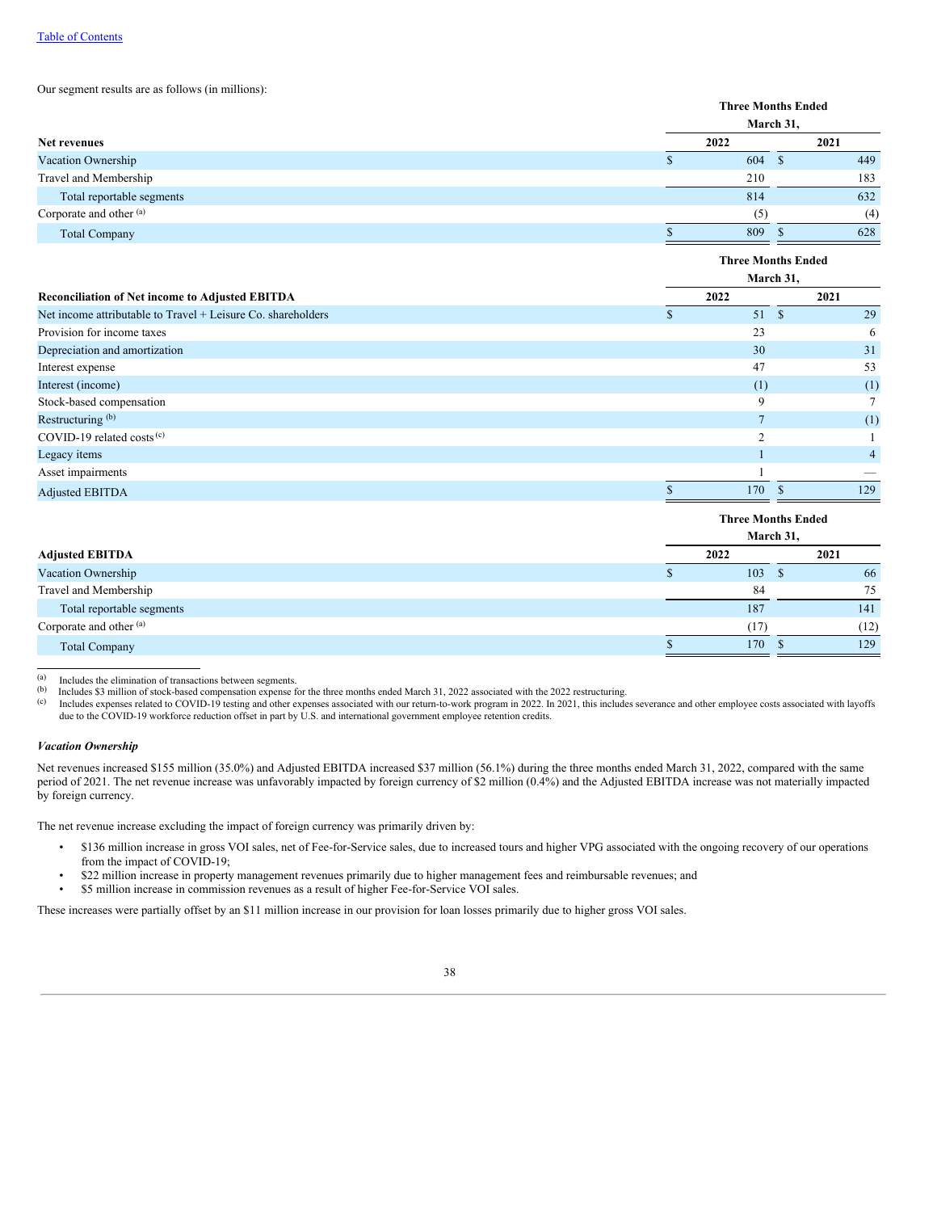Our segment results are as follows (in millions):

|                           | <b>Three Months Ended</b><br>March 31, |        |  |      |  |  |  |
|---------------------------|----------------------------------------|--------|--|------|--|--|--|
| Net revenues              |                                        | 2022   |  | 2021 |  |  |  |
| Vacation Ownership        |                                        | 604 \$ |  | 449  |  |  |  |
| Travel and Membership     |                                        | 210    |  | 183  |  |  |  |
| Total reportable segments |                                        | 814    |  | 632  |  |  |  |
| Corporate and other (a)   |                                        | (5)    |  | (4)  |  |  |  |
| <b>Total Company</b>      |                                        | 809    |  | 628  |  |  |  |

|                                                              | <b>Three Months Ended</b> |            |      |  |  |  |  |
|--------------------------------------------------------------|---------------------------|------------|------|--|--|--|--|
|                                                              |                           | March 31,  |      |  |  |  |  |
| <b>Reconciliation of Net income to Adjusted EBITDA</b>       | 2022                      |            | 2021 |  |  |  |  |
| Net income attributable to Travel + Leisure Co. shareholders |                           | 51<br>- \$ | 29   |  |  |  |  |
| Provision for income taxes                                   |                           | 23         | 6    |  |  |  |  |
| Depreciation and amortization                                |                           | 30         | 31   |  |  |  |  |
| Interest expense                                             |                           | 47         | 53   |  |  |  |  |
| Interest (income)                                            |                           | (1)        | (1)  |  |  |  |  |
| Stock-based compensation                                     |                           | 9          |      |  |  |  |  |
| Restructuring (b)                                            |                           |            | (1)  |  |  |  |  |
| COVID-19 related costs <sup>(c)</sup>                        |                           | ◠          |      |  |  |  |  |
| Legacy items                                                 |                           |            | 4    |  |  |  |  |
| Asset impairments                                            |                           |            |      |  |  |  |  |
| <b>Adjusted EBITDA</b>                                       |                           | 170        | 129  |  |  |  |  |

|                           | <b>Three Months Ended</b> |      |  |      |  |  |  |  |
|---------------------------|---------------------------|------|--|------|--|--|--|--|
|                           | March 31,                 |      |  |      |  |  |  |  |
| <b>Adjusted EBITDA</b>    |                           | 2022 |  | 2021 |  |  |  |  |
| Vacation Ownership        |                           | 103S |  | -66  |  |  |  |  |
| Travel and Membership     |                           | 84   |  | 75   |  |  |  |  |
| Total reportable segments |                           | 187  |  | 141  |  |  |  |  |
| Corporate and other (a)   |                           | (17) |  | (12) |  |  |  |  |
| <b>Total Company</b>      |                           | 170  |  | 129  |  |  |  |  |

Includes the elimination of transactions between segments. (a)

(b)

Includes \$3 million of stock-based compensation expense for the three months ended March 31, 2022 associated with the 2022 restructuring.<br>Includes expenses related to COVID-19 testing and other expenses associated with our due to the COVID-19 workforce reduction offset in part by U.S. and international government employee retention credits. (c)

# *Vacation Ownership*

Net revenues increased \$155 million (35.0%) and Adjusted EBITDA increased \$37 million (56.1%) during the three months ended March 31, 2022, compared with the same period of 2021. The net revenue increase was unfavorably impacted by foreign currency of \$2 million (0.4%) and the Adjusted EBITDA increase was not materially impacted by foreign currency.

The net revenue increase excluding the impact of foreign currency was primarily driven by:

- \$136 million increase in gross VOI sales, net of Fee-for-Service sales, due to increased tours and higher VPG associated with the ongoing recovery of our operations from the impact of COVID-19;
- \$22 million increase in property management revenues primarily due to higher management fees and reimbursable revenues; and
- \$5 million increase in commission revenues as a result of higher Fee-for-Service VOI sales.

These increases were partially offset by an \$11 million increase in our provision for loan losses primarily due to higher gross VOI sales.

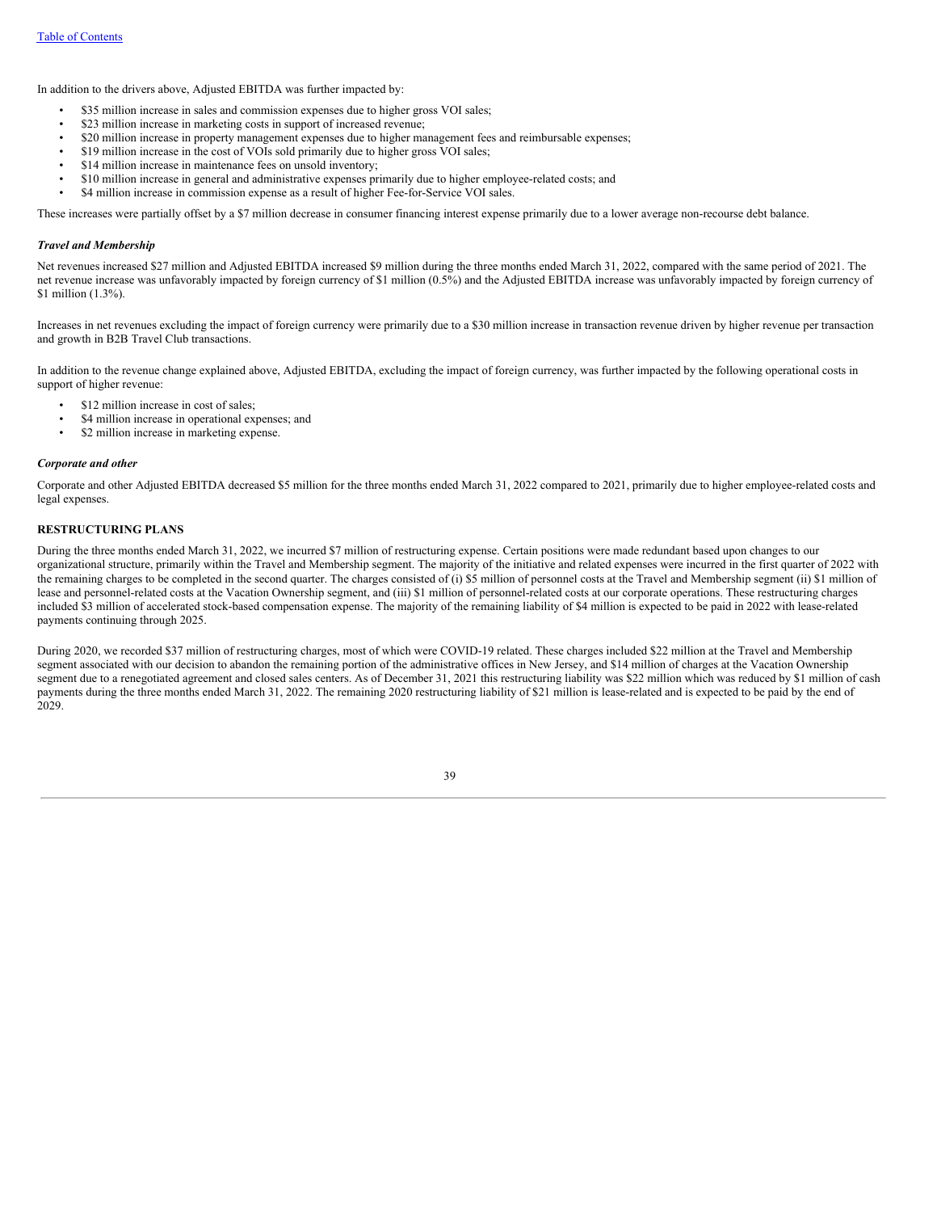In addition to the drivers above, Adjusted EBITDA was further impacted by:

- \$35 million increase in sales and commission expenses due to higher gross VOI sales;
- \$23 million increase in marketing costs in support of increased revenue;
- \$20 million increase in property management expenses due to higher management fees and reimbursable expenses;
- \$19 million increase in the cost of VOIs sold primarily due to higher gross VOI sales;
- \$14 million increase in maintenance fees on unsold inventory;
- \$10 million increase in general and administrative expenses primarily due to higher employee-related costs; and
- \$4 million increase in commission expense as a result of higher Fee-for-Service VOI sales.

These increases were partially offset by a \$7 million decrease in consumer financing interest expense primarily due to a lower average non-recourse debt balance.

#### *Travel and Membership*

Net revenues increased \$27 million and Adjusted EBITDA increased \$9 million during the three months ended March 31, 2022, compared with the same period of 2021. The net revenue increase was unfavorably impacted by foreign currency of \$1 million (0.5%) and the Adjusted EBITDA increase was unfavorably impacted by foreign currency of \$1 million (1.3%).

Increases in net revenues excluding the impact of foreign currency were primarily due to a \$30 million increase in transaction revenue driven by higher revenue per transaction and growth in B2B Travel Club transactions.

In addition to the revenue change explained above, Adjusted EBITDA, excluding the impact of foreign currency, was further impacted by the following operational costs in support of higher revenue:

- \$12 million increase in cost of sales;
- \$4 million increase in operational expenses; and
- \$2 million increase in marketing expense.

# *Corporate and other*

Corporate and other Adjusted EBITDA decreased \$5 million for the three months ended March 31, 2022 compared to 2021, primarily due to higher employee-related costs and legal expenses.

# **RESTRUCTURING PLANS**

During the three months ended March 31, 2022, we incurred \$7 million of restructuring expense. Certain positions were made redundant based upon changes to our organizational structure, primarily within the Travel and Membership segment. The majority of the initiative and related expenses were incurred in the first quarter of 2022 with the remaining charges to be completed in the second quarter. The charges consisted of (i) \$5 million of personnel costs at the Travel and Membership segment (ii) \$1 million of lease and personnel-related costs at the Vacation Ownership segment, and (iii) \$1 million of personnel-related costs at our corporate operations. These restructuring charges included \$3 million of accelerated stock-based compensation expense. The majority of the remaining liability of \$4 million is expected to be paid in 2022 with lease-related payments continuing through 2025.

During 2020, we recorded \$37 million of restructuring charges, most of which were COVID-19 related. These charges included \$22 million at the Travel and Membership segment associated with our decision to abandon the remaining portion of the administrative offices in New Jersey, and \$14 million of charges at the Vacation Ownership segment due to a renegotiated agreement and closed sales centers. As of December 31, 2021 this restructuring liability was \$22 million which was reduced by \$1 million of cash payments during the three months ended March 31, 2022. The remaining 2020 restructuring liability of \$21 million is lease-related and is expected to be paid by the end of 2029.

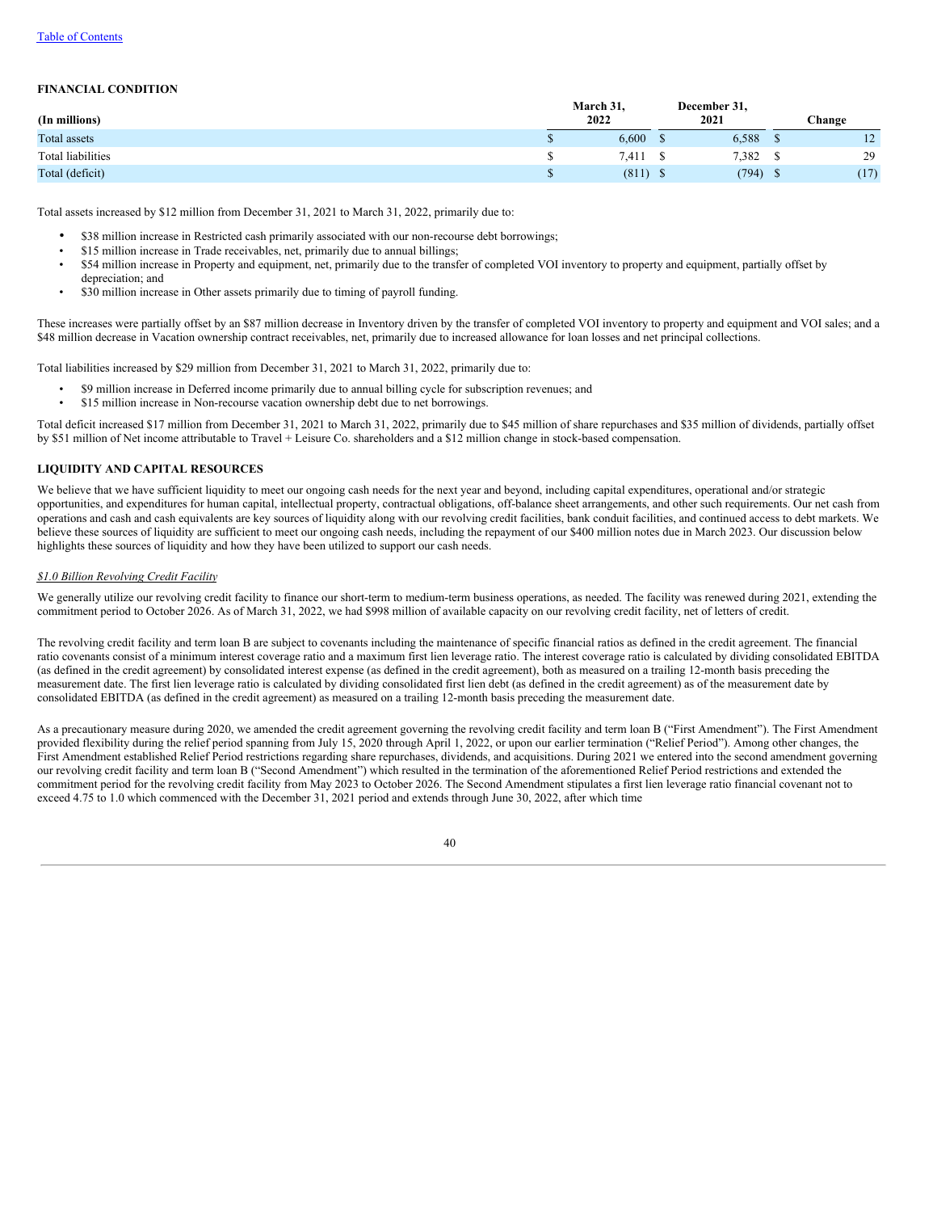### **FINANCIAL CONDITION**

| (In millions)       | March 31,<br>2022 | December 31,<br>2021 | Change                 |
|---------------------|-------------------|----------------------|------------------------|
| <b>Total</b> assets | 6,600             | 6,588                | $1^{\circ}$<br>$\perp$ |
| Total liabilities   | 7.411             | 7.382                | 29                     |
| Total (deficit)     | (811)             | (794)                | (17)                   |

Total assets increased by \$12 million from December 31, 2021 to March 31, 2022, primarily due to:

- \$38 million increase in Restricted cash primarily associated with our non-recourse debt borrowings;
- \$15 million increase in Trade receivables, net, primarily due to annual billings;
- \$54 million increase in Property and equipment, net, primarily due to the transfer of completed VOI inventory to property and equipment, partially offset by depreciation; and
- \$30 million increase in Other assets primarily due to timing of payroll funding.

These increases were partially offset by an \$87 million decrease in Inventory driven by the transfer of completed VOI inventory to property and equipment and VOI sales; and a \$48 million decrease in Vacation ownership contract receivables, net, primarily due to increased allowance for loan losses and net principal collections.

Total liabilities increased by \$29 million from December 31, 2021 to March 31, 2022, primarily due to:

- \$9 million increase in Deferred income primarily due to annual billing cycle for subscription revenues; and
- \$15 million increase in Non-recourse vacation ownership debt due to net borrowings.

Total deficit increased \$17 million from December 31, 2021 to March 31, 2022, primarily due to \$45 million of share repurchases and \$35 million of dividends, partially offset by \$51 million of Net income attributable to Travel + Leisure Co. shareholders and a \$12 million change in stock-based compensation.

# **LIQUIDITY AND CAPITAL RESOURCES**

We believe that we have sufficient liquidity to meet our ongoing cash needs for the next year and beyond, including capital expenditures, operational and/or strategic opportunities, and expenditures for human capital, intellectual property, contractual obligations, off-balance sheet arrangements, and other such requirements. Our net cash from operations and cash and cash equivalents are key sources of liquidity along with our revolving credit facilities, bank conduit facilities, and continued access to debt markets. We believe these sources of liquidity are sufficient to meet our ongoing cash needs, including the repayment of our \$400 million notes due in March 2023. Our discussion below highlights these sources of liquidity and how they have been utilized to support our cash needs.

#### *\$1.0 Billion Revolving Credit Facility*

We generally utilize our revolving credit facility to finance our short-term to medium-term business operations, as needed. The facility was renewed during 2021, extending the commitment period to October 2026. As of March 31, 2022, we had \$998 million of available capacity on our revolving credit facility, net of letters of credit.

The revolving credit facility and term loan B are subject to covenants including the maintenance of specific financial ratios as defined in the credit agreement. The financial ratio covenants consist of a minimum interest coverage ratio and a maximum first lien leverage ratio. The interest coverage ratio is calculated by dividing consolidated EBITDA (as defined in the credit agreement) by consolidated interest expense (as defined in the credit agreement), both as measured on a trailing 12-month basis preceding the measurement date. The first lien leverage ratio is calculated by dividing consolidated first lien debt (as defined in the credit agreement) as of the measurement date by consolidated EBITDA (as defined in the credit agreement) as measured on a trailing 12-month basis preceding the measurement date.

As a precautionary measure during 2020, we amended the credit agreement governing the revolving credit facility and term loan B ("First Amendment"). The First Amendment provided flexibility during the relief period spanning from July 15, 2020 through April 1, 2022, or upon our earlier termination ("Relief Period"). Among other changes, the First Amendment established Relief Period restrictions regarding share repurchases, dividends, and acquisitions. During 2021 we entered into the second amendment governing our revolving credit facility and term loan B ("Second Amendment") which resulted in the termination of the aforementioned Relief Period restrictions and extended the commitment period for the revolving credit facility from May 2023 to October 2026. The Second Amendment stipulates a first lien leverage ratio financial covenant not to exceed 4.75 to 1.0 which commenced with the December 31, 2021 period and extends through June 30, 2022, after which time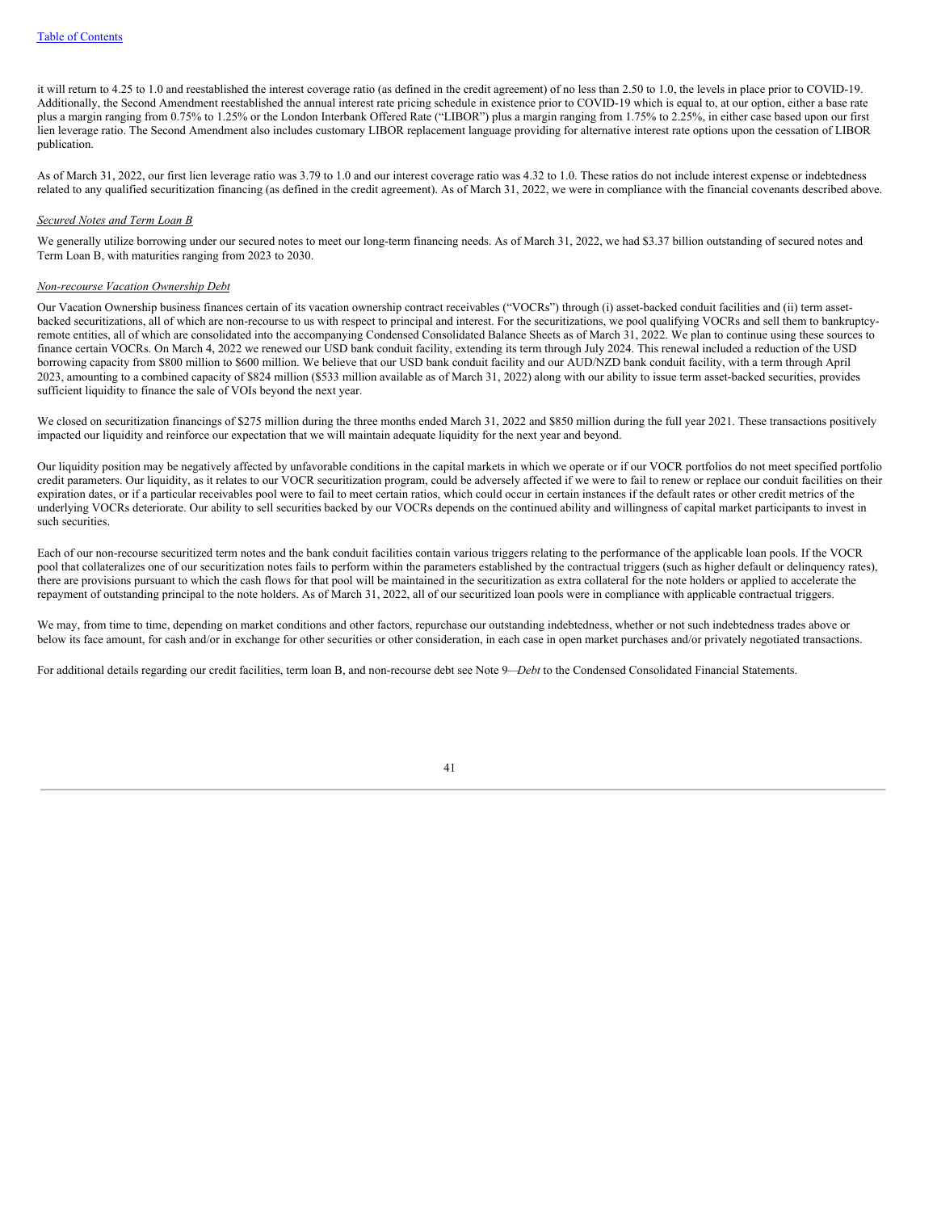it will return to 4.25 to 1.0 and reestablished the interest coverage ratio (as defined in the credit agreement) of no less than 2.50 to 1.0, the levels in place prior to COVID-19. Additionally, the Second Amendment reestablished the annual interest rate pricing schedule in existence prior to COVID-19 which is equal to, at our option, either a base rate plus a margin ranging from 0.75% to 1.25% or the London Interbank Offered Rate ("LIBOR") plus a margin ranging from 1.75% to 2.25%, in either case based upon our first lien leverage ratio. The Second Amendment also includes customary LIBOR replacement language providing for alternative interest rate options upon the cessation of LIBOR publication.

As of March 31, 2022, our first lien leverage ratio was 3.79 to 1.0 and our interest coverage ratio was 4.32 to 1.0. These ratios do not include interest expense or indebtedness related to any qualified securitization financing (as defined in the credit agreement). As of March 31, 2022, we were in compliance with the financial covenants described above.

#### *Secured Notes and Term Loan B*

We generally utilize borrowing under our secured notes to meet our long-term financing needs. As of March 31, 2022, we had \$3.37 billion outstanding of secured notes and Term Loan B, with maturities ranging from 2023 to 2030.

#### *Non-recourse Vacation Ownership Debt*

Our Vacation Ownership business finances certain of its vacation ownership contract receivables ("VOCRs") through (i) asset-backed conduit facilities and (ii) term assetbacked securitizations, all of which are non-recourse to us with respect to principal and interest. For the securitizations, we pool qualifying VOCRs and sell them to bankruptcyremote entities, all of which are consolidated into the accompanying Condensed Consolidated Balance Sheets as of March 31, 2022. We plan to continue using these sources to finance certain VOCRs. On March 4, 2022 we renewed our USD bank conduit facility, extending its term through July 2024. This renewal included a reduction of the USD borrowing capacity from \$800 million to \$600 million. We believe that our USD bank conduit facility and our AUD/NZD bank conduit facility, with a term through April 2023, amounting to a combined capacity of \$824 million (\$533 million available as of March 31, 2022) along with our ability to issue term asset-backed securities, provides sufficient liquidity to finance the sale of VOIs beyond the next year.

We closed on securitization financings of \$275 million during the three months ended March 31, 2022 and \$850 million during the full year 2021. These transactions positively impacted our liquidity and reinforce our expectation that we will maintain adequate liquidity for the next year and beyond.

Our liquidity position may be negatively affected by unfavorable conditions in the capital markets in which we operate or if our VOCR portfolios do not meet specified portfolio credit parameters. Our liquidity, as it relates to our VOCR securitization program, could be adversely affected if we were to fail to renew or replace our conduit facilities on their expiration dates, or if a particular receivables pool were to fail to meet certain ratios, which could occur in certain instances if the default rates or other credit metrics of the underlying VOCRs deteriorate. Our ability to sell securities backed by our VOCRs depends on the continued ability and willingness of capital market participants to invest in such securities.

Each of our non-recourse securitized term notes and the bank conduit facilities contain various triggers relating to the performance of the applicable loan pools. If the VOCR pool that collateralizes one of our securitization notes fails to perform within the parameters established by the contractual triggers (such as higher default or delinquency rates), there are provisions pursuant to which the cash flows for that pool will be maintained in the securitization as extra collateral for the note holders or applied to accelerate the repayment of outstanding principal to the note holders. As of March 31, 2022, all of our securitized loan pools were in compliance with applicable contractual triggers.

We may, from time to time, depending on market conditions and other factors, repurchase our outstanding indebtedness, whether or not such indebtedness trades above or below its face amount, for cash and/or in exchange for other securities or other consideration, in each case in open market purchases and/or privately negotiated transactions.

For additional details regarding our credit facilities, term loan B, and non-recourse debt see Note 9—*Debt* to the Condensed Consolidated Financial Statements.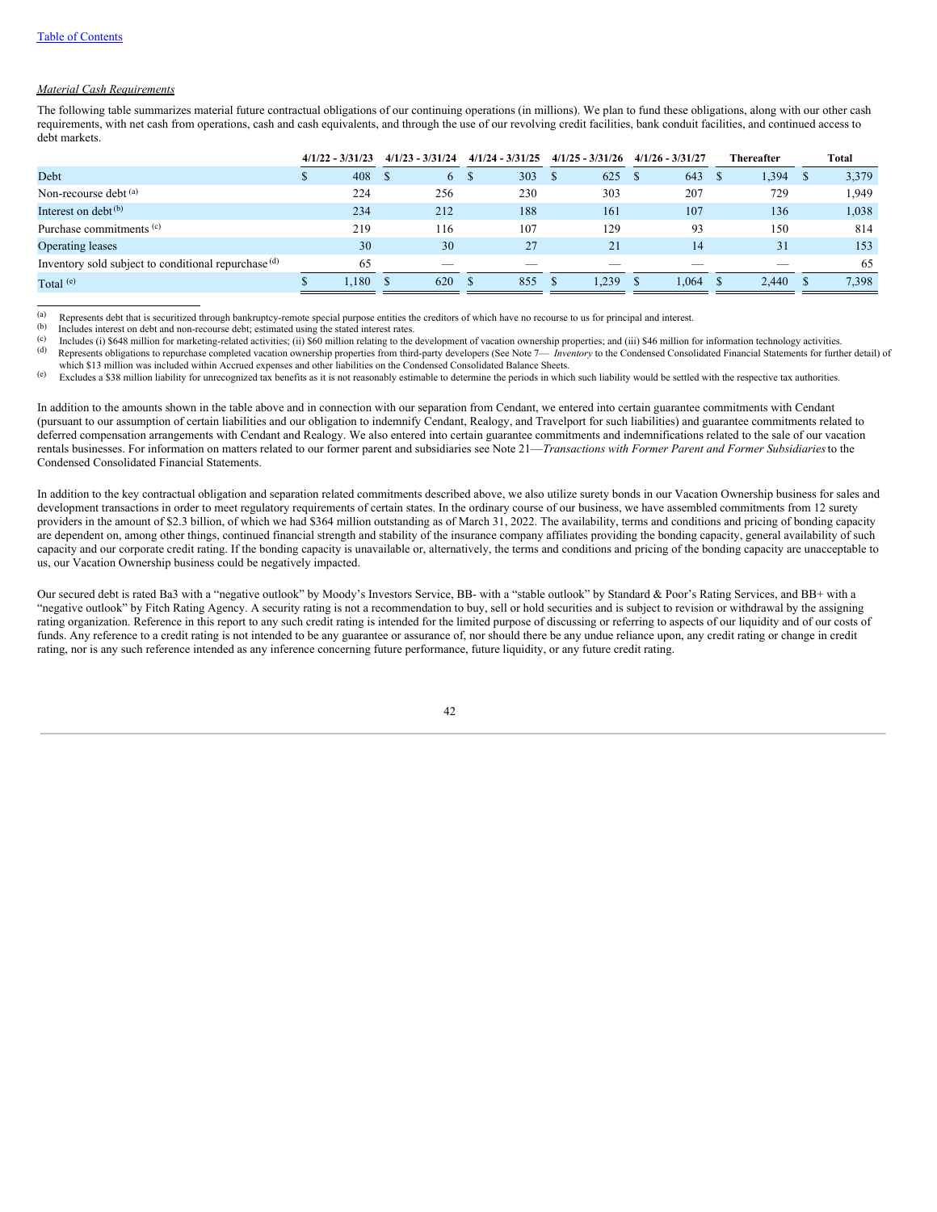# *Material Cash Requirements*

The following table summarizes material future contractual obligations of our continuing operations (in millions). We plan to fund these obligations, along with our other cash requirements, with net cash from operations, cash and cash equivalents, and through the use of our revolving credit facilities, bank conduit facilities, and continued access to debt markets.

|                                                      | $4/1/22 - 3/31/23$ |       | $4/1/23 - 3/31/24$       |   | $4/1/24 - 3/31/25$ | $4/1/25 - 3/31/26$       | $4/1/26 - 3/31/27$ |       | <b>Thereafter</b>        |   | Total |
|------------------------------------------------------|--------------------|-------|--------------------------|---|--------------------|--------------------------|--------------------|-------|--------------------------|---|-------|
| Debt                                                 |                    | 408   |                          | 6 | 303<br>ക           | 625                      |                    | 643   | 1,394                    | ъ | 3,379 |
| Non-recourse debt (a)                                |                    | 224   | 256                      |   | 230                | 303                      |                    | 207   | 729                      |   | 1,949 |
| Interest on debt $(b)$                               |                    | 234   | 212                      |   | 188                | 161                      |                    | 107   | 136                      |   | 1,038 |
| Purchase commitments (c)                             |                    | 219   | 116                      |   | 107                | 129                      |                    | 93    | 150                      |   | 814   |
| <b>Operating leases</b>                              |                    | 30    | 30                       |   | 27                 | 21                       |                    | 14    | 31                       |   | 153   |
| Inventory sold subject to conditional repurchase (d) |                    | 65    | $\overline{\phantom{a}}$ |   | _                  | $\overline{\phantom{a}}$ |                    | __    | $\overline{\phantom{a}}$ |   | 65    |
| Total $(e)$                                          |                    | 1.180 | 620                      |   | 855                | 1.239                    |                    | 1.064 | 2.440                    |   | 7,398 |

Represents debt that is securitized through bankruptcy-remote special purpose entities the creditors of which have no recourse to us for principal and interest. (a)

Includes (i) \$648 million for marketing-related activities; (ii) \$60 million relating to the development of vacation ownership properties; and (iii) \$46 million for information technology activities. (c)

Excludes a \$38 million liability for unrecognized tax benefits as it is not reasonably estimable to determine the periods in which such liability would be settled with the respective tax authorities. (e)

In addition to the amounts shown in the table above and in connection with our separation from Cendant, we entered into certain guarantee commitments with Cendant (pursuant to our assumption of certain liabilities and our obligation to indemnify Cendant, Realogy, and Travelport for such liabilities) and guarantee commitments related to deferred compensation arrangements with Cendant and Realogy. We also entered into certain guarantee commitments and indemnifications related to the sale of our vacation rentals businesses. For information on matters related to our former parent and subsidiaries see Note 21—*Transactions with Former Parent and Former Subsidiaries*to the Condensed Consolidated Financial Statements.

In addition to the key contractual obligation and separation related commitments described above, we also utilize surety bonds in our Vacation Ownership business for sales and development transactions in order to meet regulatory requirements of certain states. In the ordinary course of our business, we have assembled commitments from 12 surety providers in the amount of \$2.3 billion, of which we had \$364 million outstanding as of March 31, 2022. The availability, terms and conditions and pricing of bonding capacity are dependent on, among other things, continued financial strength and stability of the insurance company affiliates providing the bonding capacity, general availability of such capacity and our corporate credit rating. If the bonding capacity is unavailable or, alternatively, the terms and conditions and pricing of the bonding capacity are unacceptable to us, our Vacation Ownership business could be negatively impacted.

Our secured debt is rated Ba3 with a "negative outlook" by Moody's Investors Service, BB- with a "stable outlook" by Standard & Poor's Rating Services, and BB+ with a "negative outlook" by Fitch Rating Agency. A security rating is not a recommendation to buy, sell or hold securities and is subject to revision or withdrawal by the assigning rating organization. Reference in this report to any such credit rating is intended for the limited purpose of discussing or referring to aspects of our liquidity and of our costs of funds. Any reference to a credit rating is not intended to be any guarantee or assurance of, nor should there be any undue reliance upon, any credit rating or change in credit rating, nor is any such reference intended as any inference concerning future performance, future liquidity, or any future credit rating.

Includes interest on debt and non-recourse debt; estimated using the stated interest rates. (b)

Represents obligations to repurchase completed vacation ownership properties from third-party developers (See Note 7— *Inventory* to the Condensed Consolidated Financial Statements for further detail) of which \$13 million was included within Accrued expenses and other liabilities on the Condensed Consolidated Balance Sheets. (d)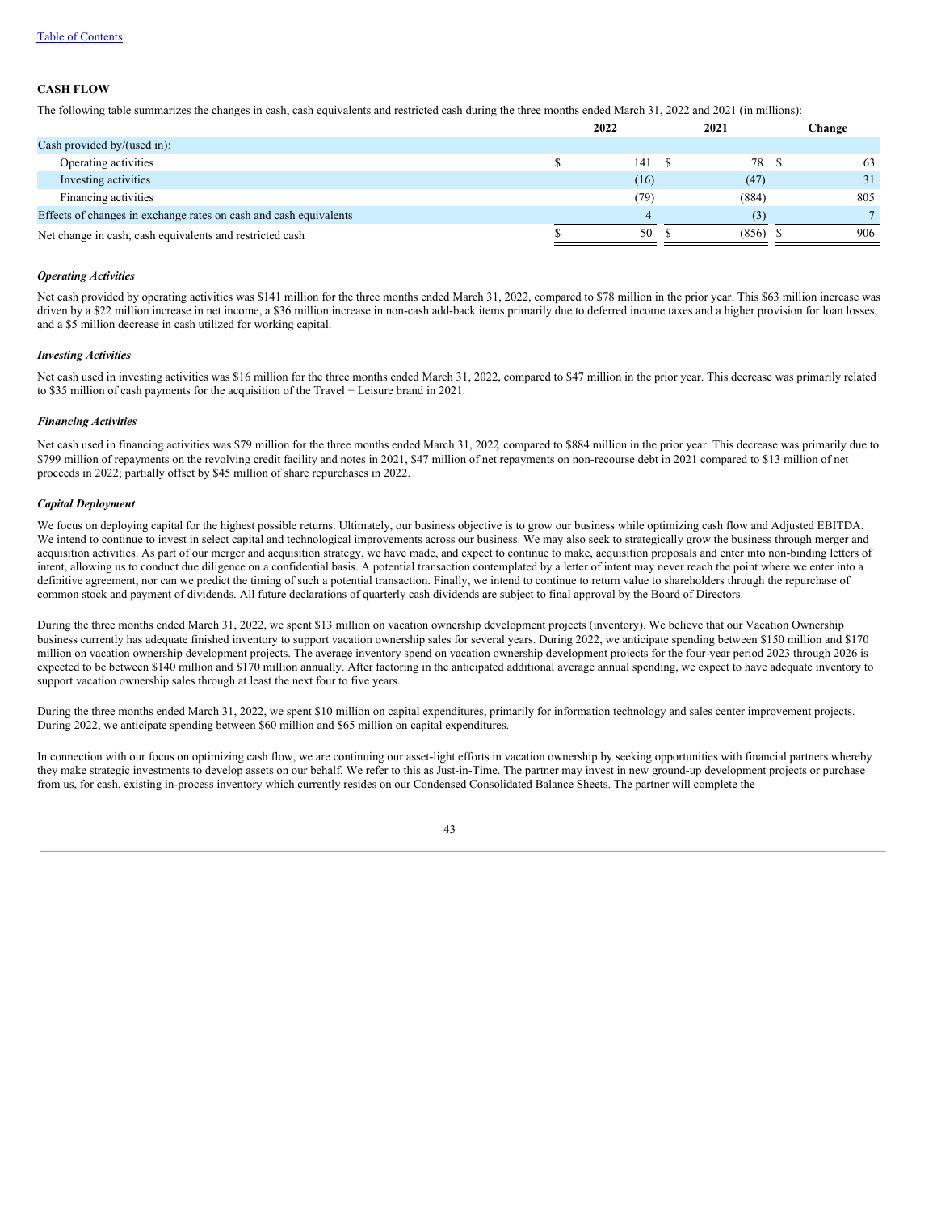### **CASH FLOW**

The following table summarizes the changes in cash, cash equivalents and restricted cash during the three months ended March 31, 2022 and 2021 (in millions):

|                                                                   | 2022 | 2021       | Change |
|-------------------------------------------------------------------|------|------------|--------|
| Cash provided by/(used in):                                       |      |            |        |
| Operating activities                                              | 141  | 78 \$      | 63     |
| Investing activities                                              | (16) | (47)       | 31     |
| Financing activities                                              | (79) | (884)      | 805    |
| Effects of changes in exchange rates on cash and cash equivalents |      | (3)        |        |
| Net change in cash, cash equivalents and restricted cash          | 50   | $(856)$ \$ | 906    |

### *Operating Activities*

Net cash provided by operating activities was \$141 million for the three months ended March 31, 2022, compared to \$78 million in the prior year. This \$63 million increase was driven by a \$22 million increase in net income, a \$36 million increase in non-cash add-back items primarily due to deferred income taxes and a higher provision for loan losses, and a \$5 million decrease in cash utilized for working capital.

#### *Investing Activities*

Net cash used in investing activities was \$16 million for the three months ended March 31, 2022, compared to \$47 million in the prior year. This decrease was primarily related to \$35 million of cash payments for the acquisition of the Travel + Leisure brand in 2021.

#### *Financing Activities*

Net cash used in financing activities was \$79 million for the three months ended March 31, 2022 compared to \$884 million in the prior year. This decrease was primarily due to \$799 million of repayments on the revolving credit facility and notes in 2021, \$47 million of net repayments on non-recourse debt in 2021 compared to \$13 million of net proceeds in 2022; partially offset by \$45 million of share repurchases in 2022.

#### *Capital Deployment*

We focus on deploying capital for the highest possible returns. Ultimately, our business objective is to grow our business while optimizing cash flow and Adjusted EBITDA. We intend to continue to invest in select capital and technological improvements across our business. We may also seek to strategically grow the business through merger and acquisition activities. As part of our merger and acquisition strategy, we have made, and expect to continue to make, acquisition proposals and enter into non-binding letters of intent, allowing us to conduct due diligence on a confidential basis. A potential transaction contemplated by a letter of intent may never reach the point where we enter into a definitive agreement, nor can we predict the timing of such a potential transaction. Finally, we intend to continue to return value to shareholders through the repurchase of common stock and payment of dividends. All future declarations of quarterly cash dividends are subject to final approval by the Board of Directors.

During the three months ended March 31, 2022, we spent \$13 million on vacation ownership development projects (inventory). We believe that our Vacation Ownership business currently has adequate finished inventory to support vacation ownership sales for several years. During 2022, we anticipate spending between \$150 million and \$170 million on vacation ownership development projects. The average inventory spend on vacation ownership development projects for the four-year period 2023 through 2026 is expected to be between \$140 million and \$170 million annually. After factoring in the anticipated additional average annual spending, we expect to have adequate inventory to support vacation ownership sales through at least the next four to five years.

During the three months ended March 31, 2022, we spent \$10 million on capital expenditures, primarily for information technology and sales center improvement projects. During 2022, we anticipate spending between \$60 million and \$65 million on capital expenditures.

In connection with our focus on optimizing cash flow, we are continuing our asset-light efforts in vacation ownership by seeking opportunities with financial partners whereby they make strategic investments to develop assets on our behalf. We refer to this as Just-in-Time. The partner may invest in new ground-up development projects or purchase from us, for cash, existing in-process inventory which currently resides on our Condensed Consolidated Balance Sheets. The partner will complete the

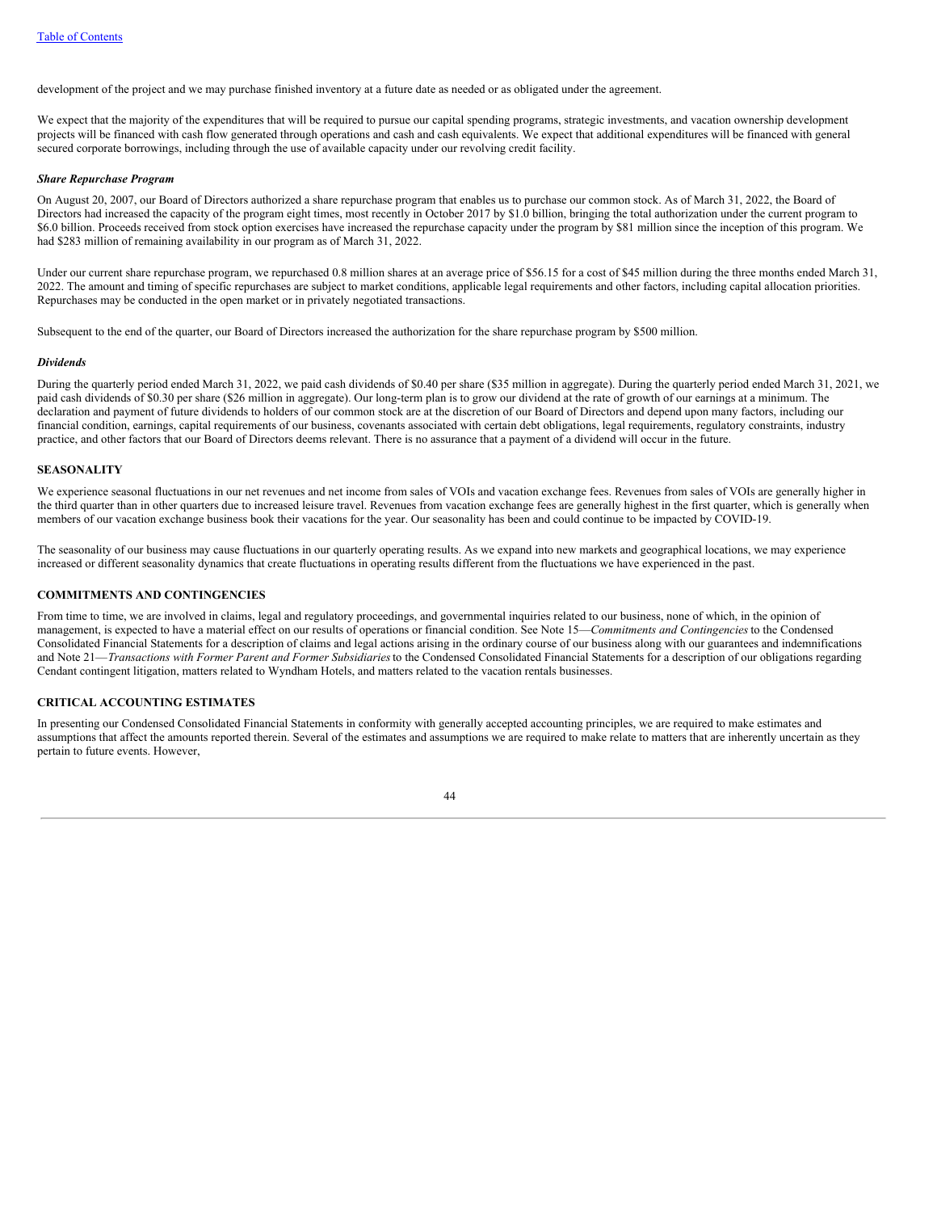development of the project and we may purchase finished inventory at a future date as needed or as obligated under the agreement.

We expect that the majority of the expenditures that will be required to pursue our capital spending programs, strategic investments, and vacation ownership development projects will be financed with cash flow generated through operations and cash and cash equivalents. We expect that additional expenditures will be financed with general secured corporate borrowings, including through the use of available capacity under our revolving credit facility.

#### *Share Repurchase Program*

On August 20, 2007, our Board of Directors authorized a share repurchase program that enables us to purchase our common stock. As of March 31, 2022, the Board of Directors had increased the capacity of the program eight times, most recently in October 2017 by \$1.0 billion, bringing the total authorization under the current program to \$6.0 billion. Proceeds received from stock option exercises have increased the repurchase capacity under the program by \$81 million since the inception of this program. We had \$283 million of remaining availability in our program as of March 31, 2022.

Under our current share repurchase program, we repurchased 0.8 million shares at an average price of \$56.15 for a cost of \$45 million during the three months ended March 31, 2022. The amount and timing of specific repurchases are subject to market conditions, applicable legal requirements and other factors, including capital allocation priorities. Repurchases may be conducted in the open market or in privately negotiated transactions.

Subsequent to the end of the quarter, our Board of Directors increased the authorization for the share repurchase program by \$500 million.

#### *Dividends*

During the quarterly period ended March 31, 2022, we paid cash dividends of \$0.40 per share (\$35 million in aggregate). During the quarterly period ended March 31, 2021, we paid cash dividends of \$0.30 per share (\$26 million in aggregate). Our long-term plan is to grow our dividend at the rate of growth of our earnings at a minimum. The declaration and payment of future dividends to holders of our common stock are at the discretion of our Board of Directors and depend upon many factors, including our financial condition, earnings, capital requirements of our business, covenants associated with certain debt obligations, legal requirements, regulatory constraints, industry practice, and other factors that our Board of Directors deems relevant. There is no assurance that a payment of a dividend will occur in the future.

# **SEASONALITY**

We experience seasonal fluctuations in our net revenues and net income from sales of VOIs and vacation exchange fees. Revenues from sales of VOIs are generally higher in the third quarter than in other quarters due to increased leisure travel. Revenues from vacation exchange fees are generally highest in the first quarter, which is generally when members of our vacation exchange business book their vacations for the year. Our seasonality has been and could continue to be impacted by COVID-19.

The seasonality of our business may cause fluctuations in our quarterly operating results. As we expand into new markets and geographical locations, we may experience increased or different seasonality dynamics that create fluctuations in operating results different from the fluctuations we have experienced in the past.

### **COMMITMENTS AND CONTINGENCIES**

From time to time, we are involved in claims, legal and regulatory proceedings, and governmental inquiries related to our business, none of which, in the opinion of management, is expected to have a material effect on our results of operations or financial condition. See Note 15—*Commitments and Contingencies* to the Condensed Consolidated Financial Statements for a description of claims and legal actions arising in the ordinary course of our business along with our guarantees and indemnifications and Note 21—*Transactions with Former Parent and Former Subsidiaries*to the Condensed Consolidated Financial Statements for a description of our obligations regarding Cendant contingent litigation, matters related to Wyndham Hotels, and matters related to the vacation rentals businesses.

### **CRITICAL ACCOUNTING ESTIMATES**

In presenting our Condensed Consolidated Financial Statements in conformity with generally accepted accounting principles, we are required to make estimates and assumptions that affect the amounts reported therein. Several of the estimates and assumptions we are required to make relate to matters that are inherently uncertain as they pertain to future events. However,

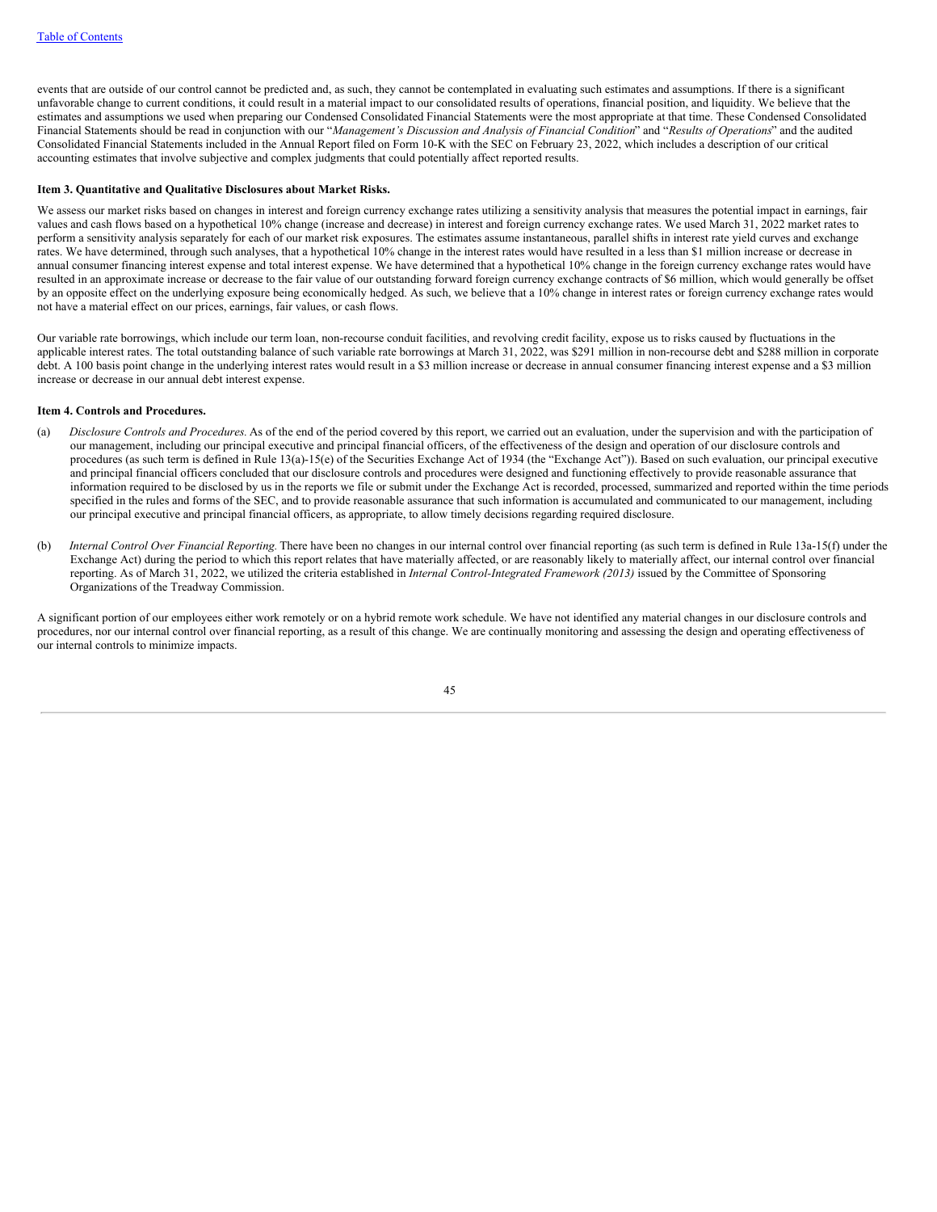events that are outside of our control cannot be predicted and, as such, they cannot be contemplated in evaluating such estimates and assumptions. If there is a significant unfavorable change to current conditions, it could result in a material impact to our consolidated results of operations, financial position, and liquidity. We believe that the estimates and assumptions we used when preparing our Condensed Consolidated Financial Statements were the most appropriate at that time. These Condensed Consolidated Financial Statements should be read in conjunction with our "Management's Discussion and Analysis of Financial Condition" and "Results of Operations" and the audited Consolidated Financial Statements included in the Annual Report filed on Form 10-K with the SEC on February 23, 2022, which includes a description of our critical accounting estimates that involve subjective and complex judgments that could potentially affect reported results.

#### <span id="page-45-0"></span>**Item 3. Quantitative and Qualitative Disclosures about Market Risks.**

We assess our market risks based on changes in interest and foreign currency exchange rates utilizing a sensitivity analysis that measures the potential impact in earnings, fair values and cash flows based on a hypothetical 10% change (increase and decrease) in interest and foreign currency exchange rates. We used March 31, 2022 market rates to perform a sensitivity analysis separately for each of our market risk exposures. The estimates assume instantaneous, parallel shifts in interest rate yield curves and exchange rates. We have determined, through such analyses, that a hypothetical 10% change in the interest rates would have resulted in a less than \$1 million increase or decrease in annual consumer financing interest expense and total interest expense. We have determined that a hypothetical 10% change in the foreign currency exchange rates would have resulted in an approximate increase or decrease to the fair value of our outstanding forward foreign currency exchange contracts of \$6 million, which would generally be offset by an opposite effect on the underlying exposure being economically hedged. As such, we believe that a 10% change in interest rates or foreign currency exchange rates would not have a material effect on our prices, earnings, fair values, or cash flows.

Our variable rate borrowings, which include our term loan, non-recourse conduit facilities, and revolving credit facility, expose us to risks caused by fluctuations in the applicable interest rates. The total outstanding balance of such variable rate borrowings at March 31, 2022, was \$291 million in non-recourse debt and \$288 million in corporate debt. A 100 basis point change in the underlying interest rates would result in a \$3 million increase or decrease in annual consumer financing interest expense and a \$3 million increase or decrease in our annual debt interest expense.

#### <span id="page-45-1"></span>**Item 4. Controls and Procedures.**

- (a) *Disclosure Controls and Procedures*. As of the end of the period covered by this report, we carried out an evaluation, under the supervision and with the participation of our management, including our principal executive and principal financial officers, of the effectiveness of the design and operation of our disclosure controls and procedures (as such term is defined in Rule 13(a)-15(e) of the Securities Exchange Act of 1934 (the "Exchange Act")). Based on such evaluation, our principal executive and principal financial officers concluded that our disclosure controls and procedures were designed and functioning effectively to provide reasonable assurance that information required to be disclosed by us in the reports we file or submit under the Exchange Act is recorded, processed, summarized and reported within the time periods specified in the rules and forms of the SEC, and to provide reasonable assurance that such information is accumulated and communicated to our management, including our principal executive and principal financial officers, as appropriate, to allow timely decisions regarding required disclosure.
- (b) *Internal Control Over Financial Reporting.* There have been no changes in our internal control over financial reporting (as such term is defined in Rule 13a-15(f) under the Exchange Act) during the period to which this report relates that have materially affected, or are reasonably likely to materially affect, our internal control over financial reporting. As of March 31, 2022, we utilized the criteria established in *Internal Control-Integrated Framework (2013)* issued by the Committee of Sponsoring Organizations of the Treadway Commission.

A significant portion of our employees either work remotely or on a hybrid remote work schedule. We have not identified any material changes in our disclosure controls and procedures, nor our internal control over financial reporting, as a result of this change. We are continually monitoring and assessing the design and operating effectiveness of our internal controls to minimize impacts.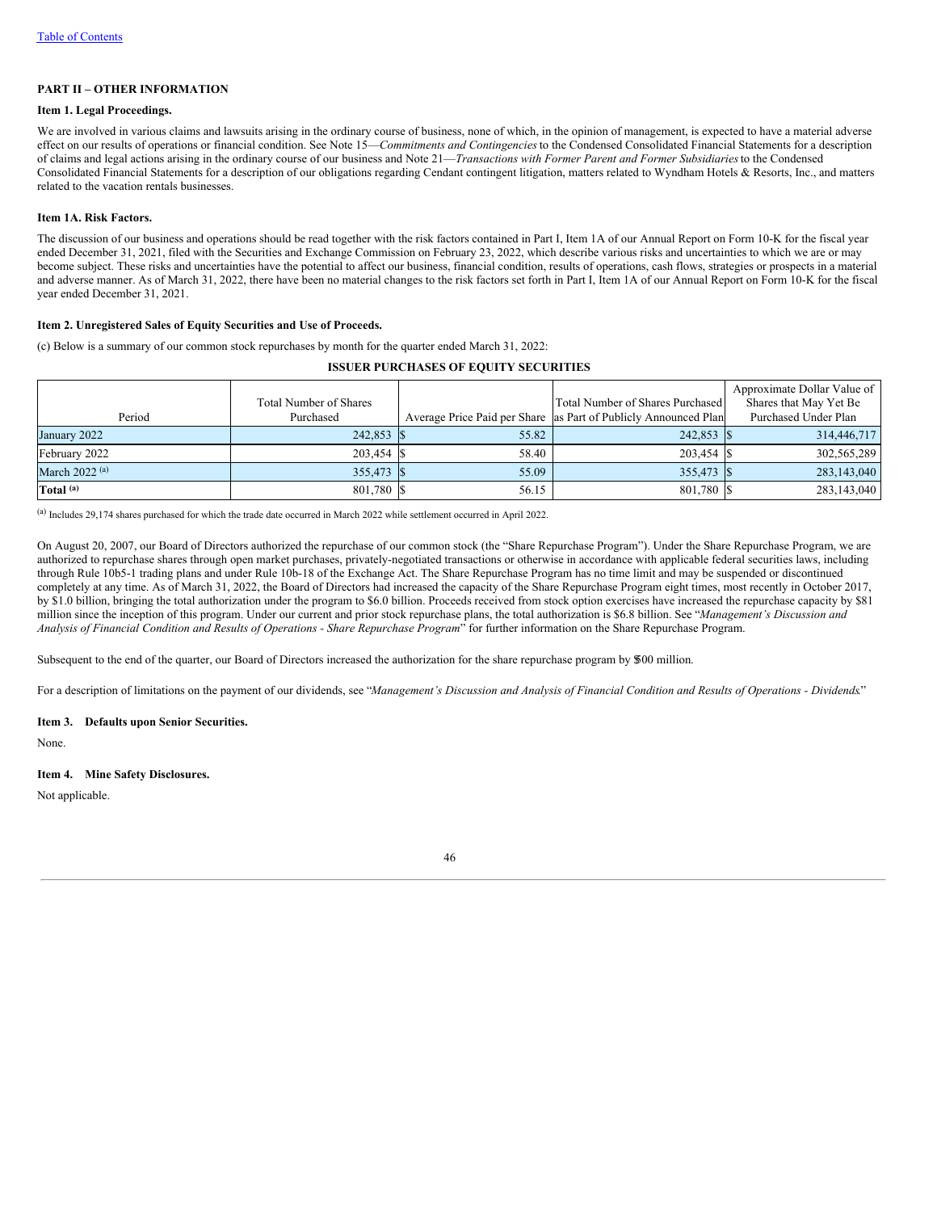# **PART II – OTHER INFORMATION**

#### <span id="page-46-0"></span>**Item 1. Legal Proceedings.**

We are involved in various claims and lawsuits arising in the ordinary course of business, none of which, in the opinion of management, is expected to have a material adverse effect on our results of operations or financial condition. See Note 15—*Commitments and Contingencies* to the Condensed Consolidated Financial Statements for a description of claims and legal actions arising in the ordinary course of our business and Note 21—*Transactions with Former Parent and Former Subsidiaries*to the Condensed Consolidated Financial Statements for a description of our obligations regarding Cendant contingent litigation, matters related to Wyndham Hotels & Resorts, Inc., and matters related to the vacation rentals businesses.

# <span id="page-46-1"></span>**Item 1A. Risk Factors.**

The discussion of our business and operations should be read together with the risk factors contained in Part I, Item 1A of our Annual Report on Form 10-K for the fiscal year ended December 31, 2021, filed with the Securities and Exchange Commission on February 23, 2022, which describe various risks and uncertainties to which we are or may become subject. These risks and uncertainties have the potential to affect our business, financial condition, results of operations, cash flows, strategies or prospects in a material and adverse manner. As of March 31, 2022, there have been no material changes to the risk factors set forth in Part I, Item 1A of our Annual Report on Form 10-K for the fiscal year ended December 31, 2021.

# <span id="page-46-2"></span>**Item 2. Unregistered Sales of Equity Securities and Use of Proceeds.**

(c) Below is a summary of our common stock repurchases by month for the quarter ended March 31, 2022:

|  | <b>ISSUER PURCHASES OF EQUITY SECURITIES</b> |
|--|----------------------------------------------|
|--|----------------------------------------------|

|                      | <b>Total Number of Shares</b> |       | Total Number of Shares Purchased                                | Approximate Dollar Value of<br>Shares that May Yet Be |
|----------------------|-------------------------------|-------|-----------------------------------------------------------------|-------------------------------------------------------|
| Period               | Purchased                     |       | Average Price Paid per Share as Part of Publicly Announced Plan | Purchased Under Plan                                  |
| January 2022         | 242,853 \$                    | 55.82 | 242,853 \$                                                      | 314,446,717                                           |
| February 2022        | 203,454 \$                    | 58.40 | 203.454 \$                                                      | 302,565,289                                           |
| March 2022 $(a)$     | 355,473 \$                    | 55.09 | 355,473 \$                                                      | 283,143,040                                           |
| Total <sup>(a)</sup> | 801,780 \$                    | 56.15 | 801.780 \$                                                      | 283,143,040                                           |

 $(a)$  Includes 29,174 shares purchased for which the trade date occurred in March 2022 while settlement occurred in April 2022.

On August 20, 2007, our Board of Directors authorized the repurchase of our common stock (the "Share Repurchase Program"). Under the Share Repurchase Program, we are authorized to repurchase shares through open market purchases, privately-negotiated transactions or otherwise in accordance with applicable federal securities laws, including through Rule 10b5-1 trading plans and under Rule 10b-18 of the Exchange Act. The Share Repurchase Program has no time limit and may be suspended or discontinued completely at any time. As of March 31, 2022, the Board of Directors had increased the capacity of the Share Repurchase Program eight times, most recently in October 2017, by \$1.0 billion, bringing the total authorization under the program to \$6.0 billion. Proceeds received from stock option exercises have increased the repurchase capacity by \$81 million since the inception of this program. Under our current and prior stock repurchase plans, the total authorization is \$6.8 billion. See "*Management's Discussion and* Analysis of Financial Condition and Results of Operations - Share Repurchase Program" for further information on the Share Repurchase Program.

Subsequent to the end of the quarter, our Board of Directors increased the authorization for the share repurchase program by \$00 million.

For a description of limitations on the payment of our dividends, see "Management's Discussion and Analysis of Financial Condition and Results of Operations - Dividends"

# <span id="page-46-3"></span>**Item 3. Defaults upon Senior Securities.**

None.

# <span id="page-46-4"></span>**Item 4. Mine Safety Disclosures.**

<span id="page-46-5"></span>Not applicable.

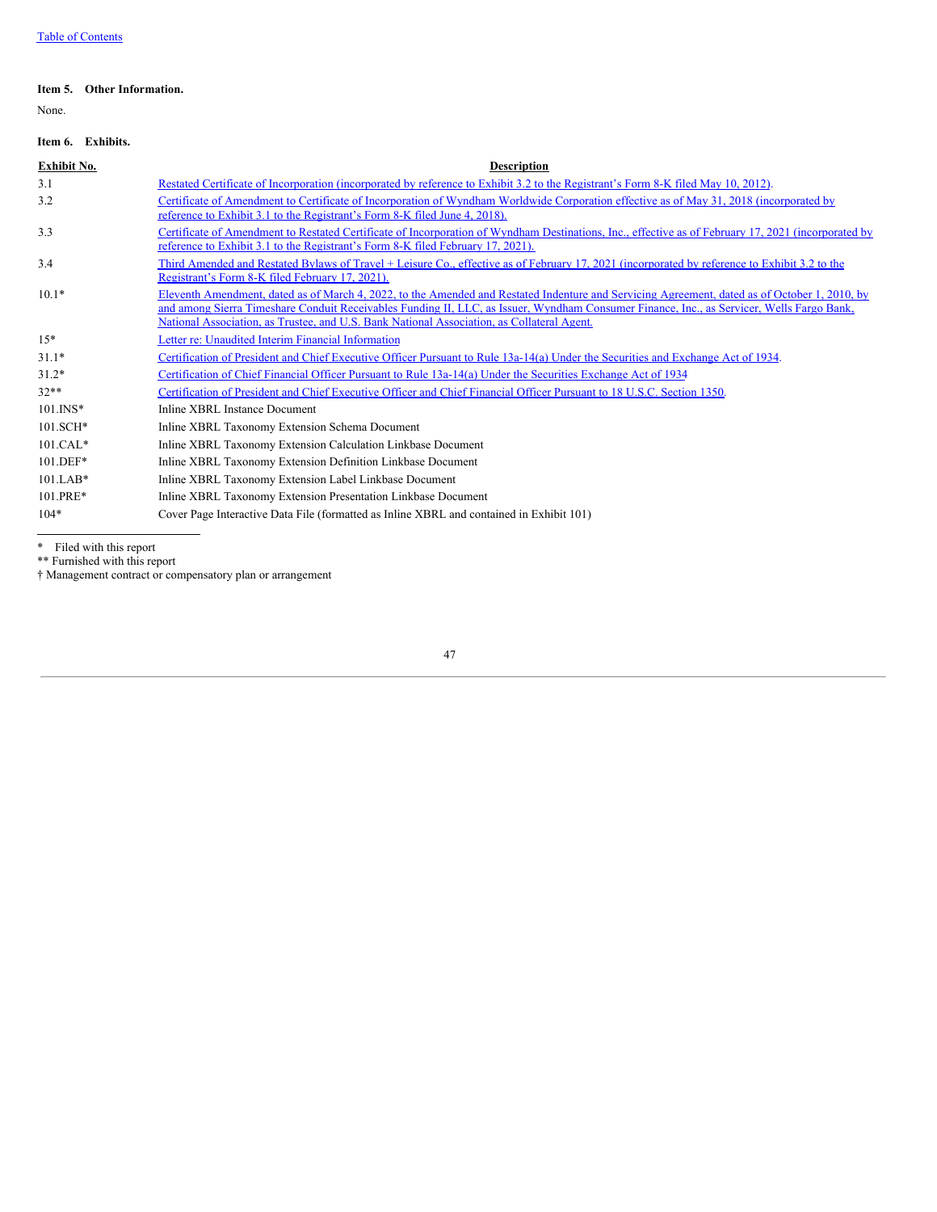# **Item 5. Other Information.**

None.

<span id="page-47-0"></span>

|                    | Item 6. Exhibits. |                                                                                                                                                                                                                                                                                                                                                                                          |
|--------------------|-------------------|------------------------------------------------------------------------------------------------------------------------------------------------------------------------------------------------------------------------------------------------------------------------------------------------------------------------------------------------------------------------------------------|
| <b>Exhibit No.</b> |                   | <b>Description</b>                                                                                                                                                                                                                                                                                                                                                                       |
| 3.1                |                   | Restated Certificate of Incorporation (incorporated by reference to Exhibit 3.2 to the Registrant's Form 8-K filed May 10, 2012).                                                                                                                                                                                                                                                        |
| 3.2                |                   | Certificate of Amendment to Certificate of Incorporation of Wyndham Worldwide Corporation effective as of May 31, 2018 (incorporated by<br>reference to Exhibit 3.1 to the Registrant's Form 8-K filed June 4, 2018).                                                                                                                                                                    |
| 3.3                |                   | Certificate of Amendment to Restated Certificate of Incorporation of Wyndham Destinations, Inc., effective as of February 17, 2021 (incorporated by<br>reference to Exhibit 3.1 to the Registrant's Form 8-K filed February 17, 2021).                                                                                                                                                   |
| 3.4                |                   | Third Amended and Restated Bylaws of Travel + Leisure Co., effective as of February 17, 2021 (incorporated by reference to Exhibit 3.2 to the<br>Registrant's Form 8-K filed February 17, 2021).                                                                                                                                                                                         |
| $10.1*$            |                   | Eleventh Amendment, dated as of March 4, 2022, to the Amended and Restated Indenture and Servicing Agreement, dated as of October 1, 2010, by<br>and among Sierra Timeshare Conduit Receivables Funding II, LLC, as Issuer, Wyndham Consumer Finance, Inc., as Servicer, Wells Fargo Bank,<br>National Association, as Trustee, and U.S. Bank National Association, as Collateral Agent. |
| $15*$              |                   | Letter re: Unaudited Interim Financial Information                                                                                                                                                                                                                                                                                                                                       |
| $31.1*$            |                   | Certification of President and Chief Executive Officer Pursuant to Rule 13a-14(a) Under the Securities and Exchange Act of 1934.                                                                                                                                                                                                                                                         |
| $31.2*$            |                   | Certification of Chief Financial Officer Pursuant to Rule 13a-14(a) Under the Securities Exchange Act of 1934                                                                                                                                                                                                                                                                            |
| $32**$             |                   | Certification of President and Chief Executive Officer and Chief Financial Officer Pursuant to 18 U.S.C. Section 1350.                                                                                                                                                                                                                                                                   |
| $101$ . INS*       |                   | Inline XBRL Instance Document                                                                                                                                                                                                                                                                                                                                                            |
| 101.SCH*           |                   | Inline XBRL Taxonomy Extension Schema Document                                                                                                                                                                                                                                                                                                                                           |
| $101.CAL*$         |                   | Inline XBRL Taxonomy Extension Calculation Linkbase Document                                                                                                                                                                                                                                                                                                                             |
| 101.DEF*           |                   | Inline XBRL Taxonomy Extension Definition Linkbase Document                                                                                                                                                                                                                                                                                                                              |
| $101.LAB*$         |                   | Inline XBRL Taxonomy Extension Label Linkbase Document                                                                                                                                                                                                                                                                                                                                   |
| 101.PRE*           |                   | Inline XBRL Taxonomy Extension Presentation Linkbase Document                                                                                                                                                                                                                                                                                                                            |
| $104*$             |                   | Cover Page Interactive Data File (formatted as Inline XBRL and contained in Exhibit 101)                                                                                                                                                                                                                                                                                                 |

\* Filed with this report

\*\* Furnished with this report

<span id="page-47-1"></span>† Management contract or compensatory plan or arrangement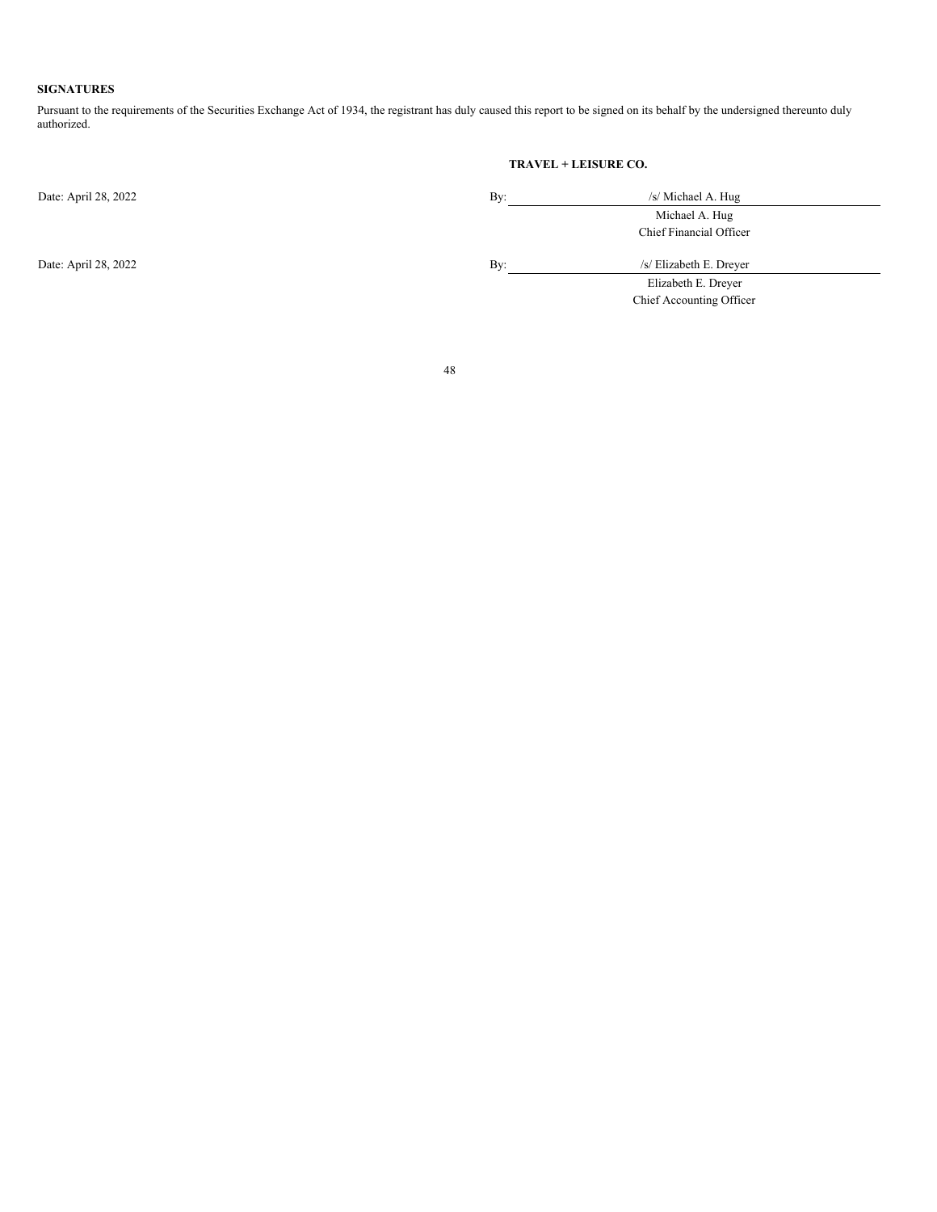# **SIGNATURES**

Pursuant to the requirements of the Securities Exchange Act of 1934, the registrant has duly caused this report to be signed on its behalf by the undersigned thereunto duly authorized.

**TRAVEL + LEISURE CO.**

| Date: April 28, 2022 | By: | /s/ Michael A. Hug       |  |
|----------------------|-----|--------------------------|--|
|                      |     | Michael A. Hug           |  |
|                      |     | Chief Financial Officer  |  |
| Date: April 28, 2022 | By: | /s/ Elizabeth E. Dreyer  |  |
|                      |     | Elizabeth E. Dreyer      |  |
|                      |     | Chief Accounting Officer |  |
|                      |     |                          |  |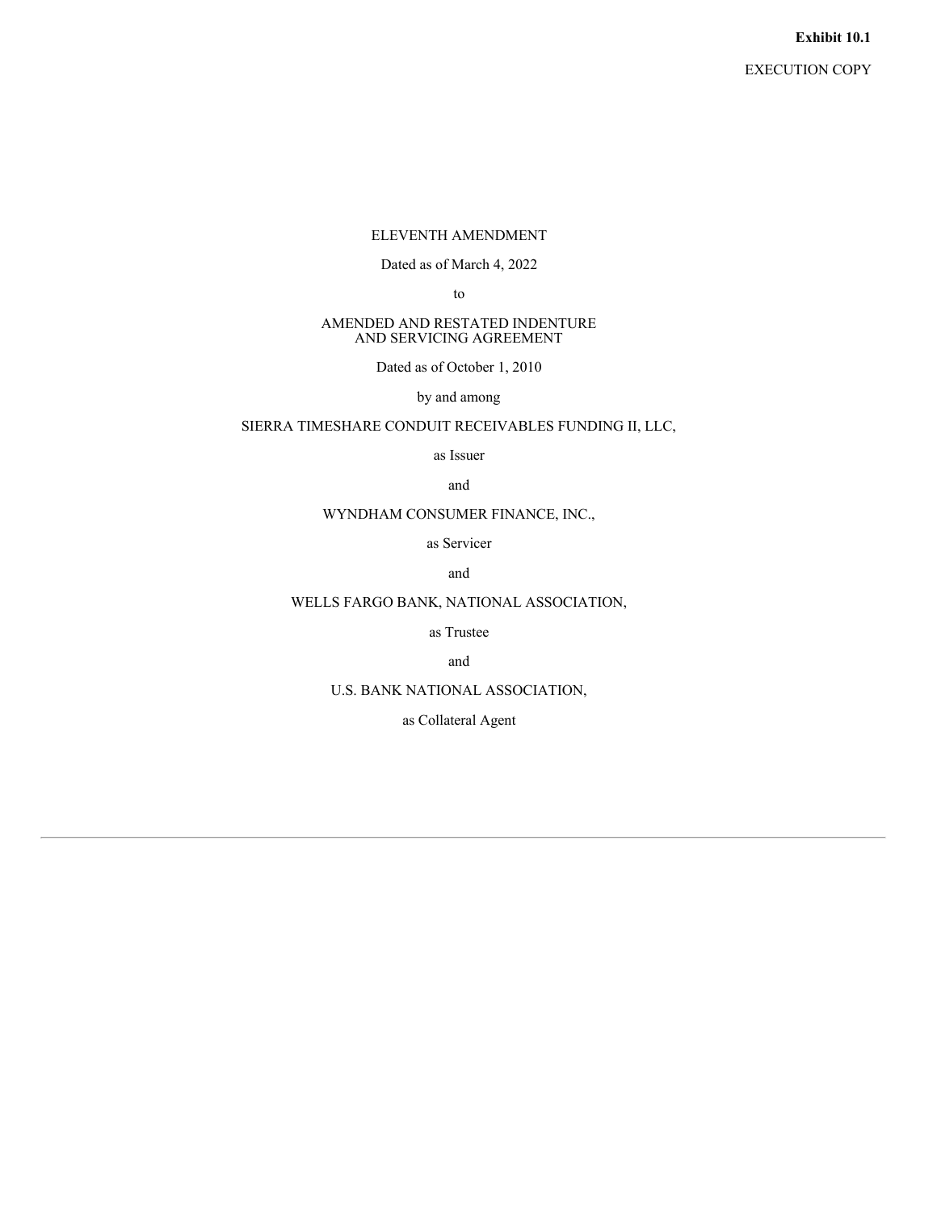# ELEVENTH AMENDMENT

# Dated as of March 4, 2022

to

# AMENDED AND RESTATED INDENTURE AND SERVICING AGREEMENT

Dated as of October 1, 2010

# by and among

# SIERRA TIMESHARE CONDUIT RECEIVABLES FUNDING II, LLC,

as Issuer

and

# WYNDHAM CONSUMER FINANCE, INC.,

as Servicer

and

# WELLS FARGO BANK, NATIONAL ASSOCIATION,

as Trustee

and

# U.S. BANK NATIONAL ASSOCIATION,

as Collateral Agent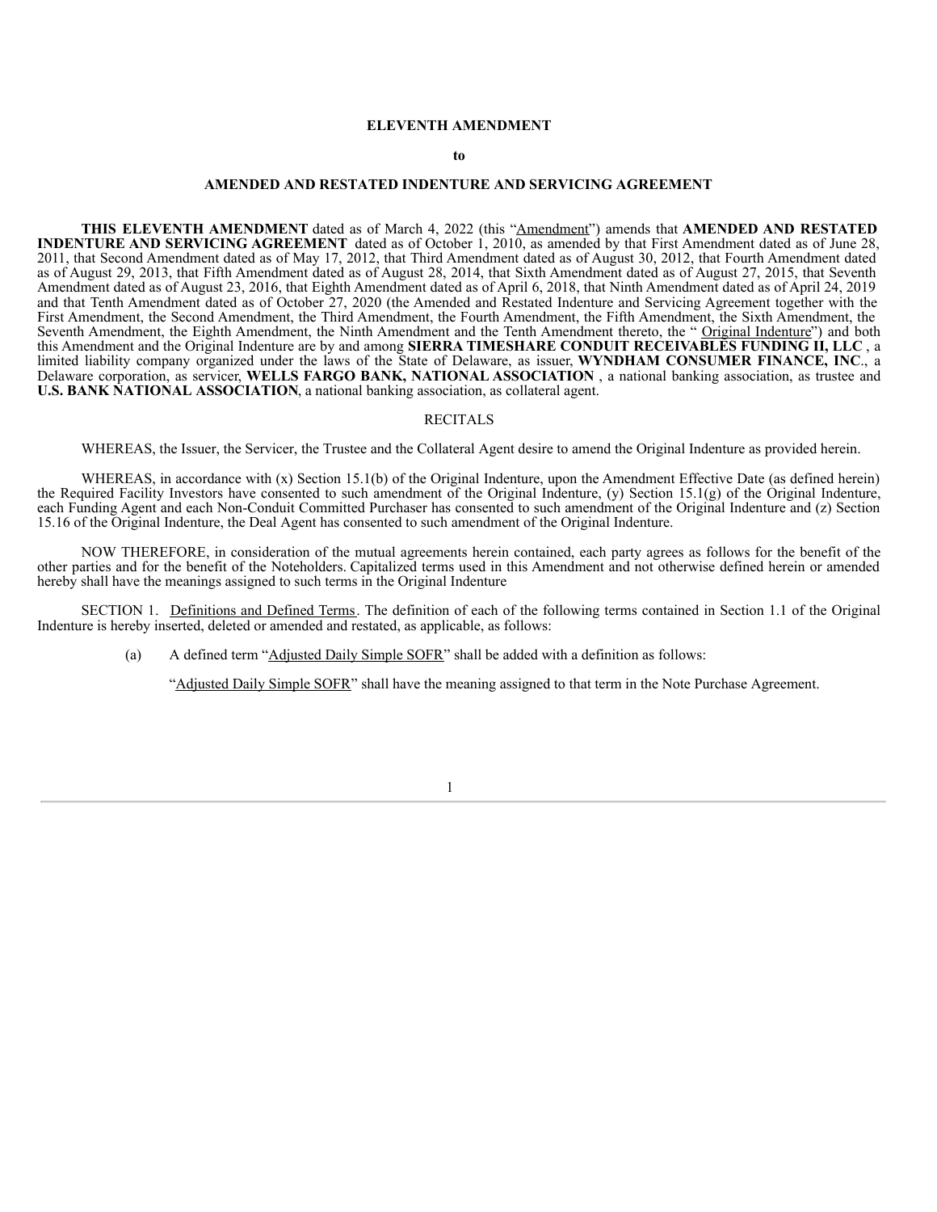# **ELEVENTH AMENDMENT**

#### **to**

# **AMENDED AND RESTATED INDENTURE AND SERVICING AGREEMENT**

**THIS ELEVENTH AMENDMENT** dated as of March 4, 2022 (this "Amendment") amends that **AMENDED AND RESTATED INDENTURE AND SERVICING AGREEMENT** dated as of October 1, 2010, as amended by that First Amendment dated as of June 28, 2011, that Second Amendment dated as of May 17, 2012, that Third Amendment dated as of August 30, 2012, that Fourth Amendment dated as of August 29, 2013, that Fifth Amendment dated as of August 28, 2014, that Sixth Amendment dated as of August 27, 2015, that Seventh Amendment dated as of August 23, 2016, that Eighth Amendment dated as of April 6, 2018, that Ninth Amendment dated as of April 24, 2019 and that Tenth Amendment dated as of October 27, 2020 (the Amended and Restated Indenture and Servicing Agreement together with the First Amendment, the Second Amendment, the Third Amendment, the Fourth Amendment, the Fifth Amendment, the Sixth Amendment, the Seventh Amendment, the Eighth Amendment, the Ninth Amendment and the Tenth Amendment thereto, the "Original Indenture") and both this Amendment and the Original Indenture are by and among **SIERRA TIMESHARE CONDUIT RECEIVABLES FUNDING II, LLC** , a limited liability company organized under the laws of the State of Delaware, as issuer, **WYNDHAM CONSUMER FINANCE, INC**., a Delaware corporation, as servicer, **WELLS FARGO BANK, NATIONAL ASSOCIATION** , a national banking association, as trustee and **U.S. BANK NATIONAL ASSOCIATION**, a national banking association, as collateral agent.

# RECITALS

WHEREAS, the Issuer, the Servicer, the Trustee and the Collateral Agent desire to amend the Original Indenture as provided herein.

WHEREAS, in accordance with (x) Section 15.1(b) of the Original Indenture, upon the Amendment Effective Date (as defined herein) the Required Facility Investors have consented to such amendment of the Original Indenture, (y) Section 15.1(g) of the Original Indenture, each Funding Agent and each Non-Conduit Committed Purchaser has consented to such amendment of the Original Indenture and (z) Section 15.16 of the Original Indenture, the Deal Agent has consented to such amendment of the Original Indenture.

NOW THEREFORE, in consideration of the mutual agreements herein contained, each party agrees as follows for the benefit of the other parties and for the benefit of the Noteholders. Capitalized terms used in this Amendment and not otherwise defined herein or amended hereby shall have the meanings assigned to such terms in the Original Indenture

SECTION 1. Definitions and Defined Terms. The definition of each of the following terms contained in Section 1.1 of the Original Indenture is hereby inserted, deleted or amended and restated, as applicable, as follows:

(a) A defined term "Adjusted Daily Simple SOFR" shall be added with a definition as follows:

"Adjusted Daily Simple SOFR" shall have the meaning assigned to that term in the Note Purchase Agreement.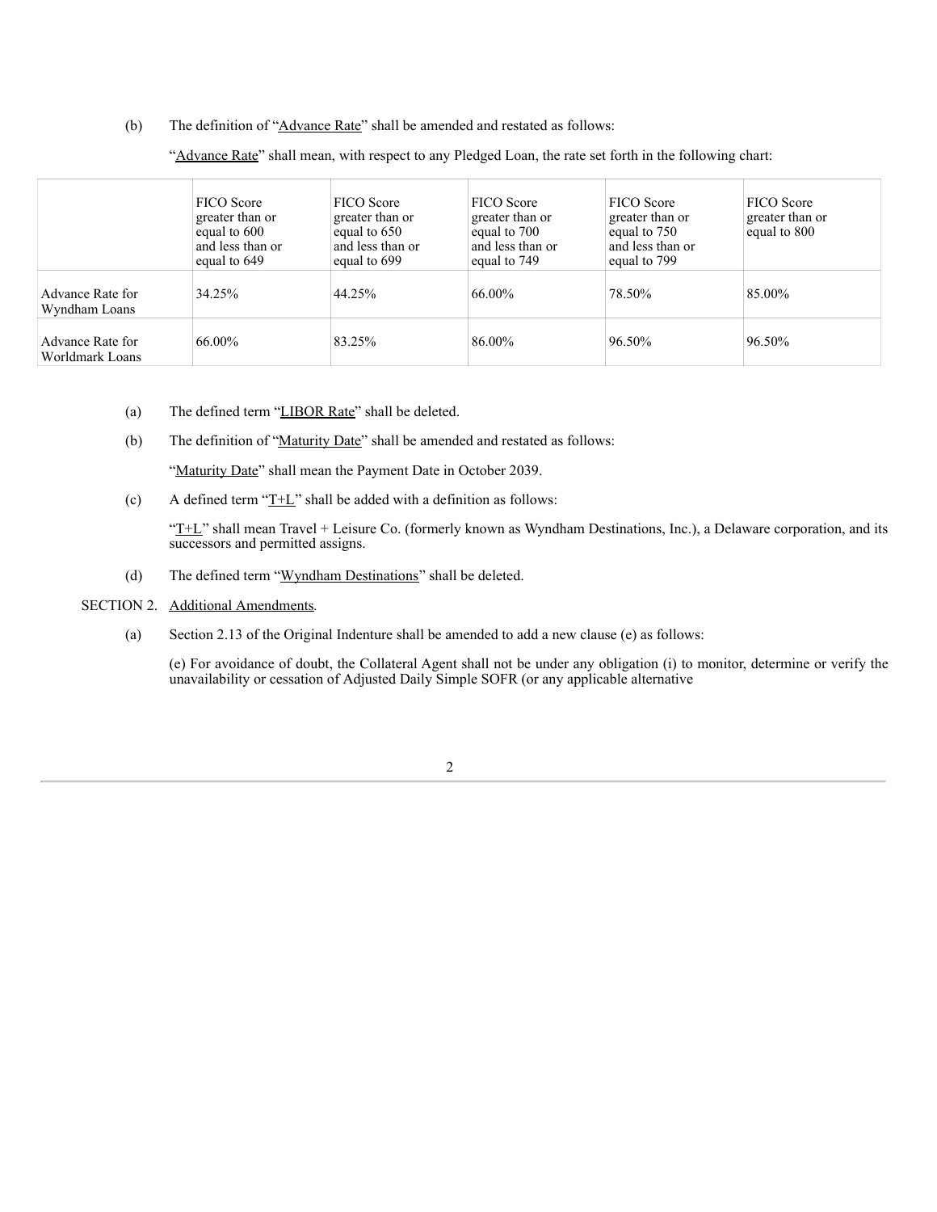# (b) The definition of "Advance Rate" shall be amended and restated as follows:

|                                     | <b>FICO</b> Score<br>greater than or<br>equal to 600<br>and less than or<br>equal to 649 | <b>FICO</b> Score<br>greater than or<br>equal to 650<br>and less than or<br>equal to 699 | FICO Score<br>greater than or<br>equal to 700<br>and less than or<br>equal to 749 | <b>FICO</b> Score<br>greater than or<br>equal to 750<br>and less than or<br>equal to 799 | <b>FICO</b> Score<br>greater than or<br>equal to 800 |
|-------------------------------------|------------------------------------------------------------------------------------------|------------------------------------------------------------------------------------------|-----------------------------------------------------------------------------------|------------------------------------------------------------------------------------------|------------------------------------------------------|
| Advance Rate for<br>Wyndham Loans   | 34.25%                                                                                   | 44.25%                                                                                   | 66.00%                                                                            | 78.50%                                                                                   | 85.00%                                               |
| Advance Rate for<br>Worldmark Loans | 66.00%                                                                                   | 83.25%                                                                                   | 86.00%                                                                            | 96.50%                                                                                   | 96.50%                                               |

"Advance Rate" shall mean, with respect to any Pledged Loan, the rate set forth in the following chart:

- (a) The defined term "LIBOR Rate" shall be deleted.
- (b) The definition of "Maturity Date" shall be amended and restated as follows:

"Maturity Date" shall mean the Payment Date in October 2039.

(c) A defined term " $T+L$ " shall be added with a definition as follows:

"T+L" shall mean Travel + Leisure Co. (formerly known as Wyndham Destinations, Inc.), a Delaware corporation, and its successors and permitted assigns.

(d) The defined term "Wyndham Destinations" shall be deleted.

# SECTION 2. Additional Amendments.

(a) Section 2.13 of the Original Indenture shall be amended to add a new clause (e) as follows:

(e) For avoidance of doubt, the Collateral Agent shall not be under any obligation (i) to monitor, determine or verify the unavailability or cessation of Adjusted Daily Simple SOFR (or any applicable alternative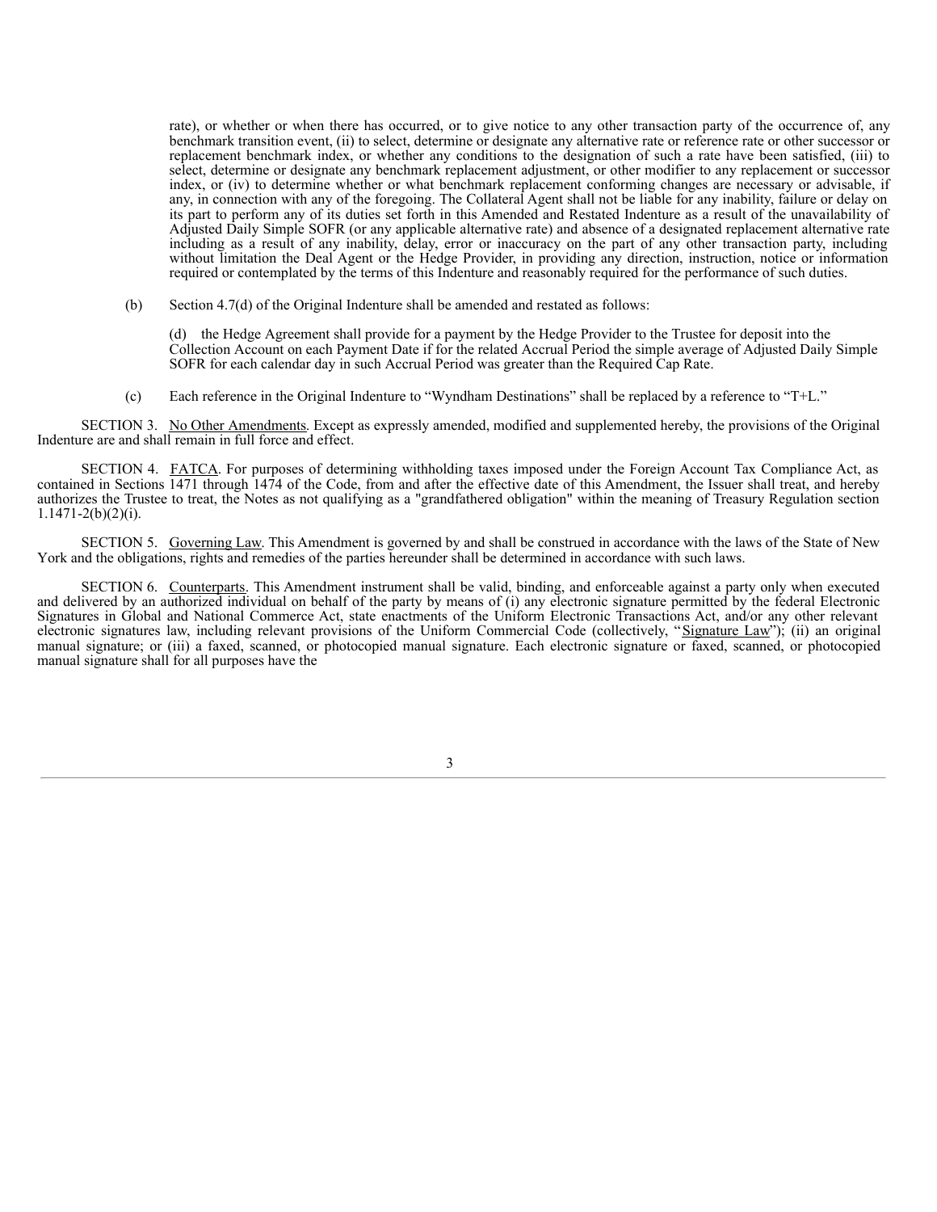<span id="page-52-0"></span>rate), or whether or when there has occurred, or to give notice to any other transaction party of the occurrence of, any benchmark transition event, (ii) to select, determine or designate any alternative rate or reference rate or other successor or replacement benchmark index, or whether any conditions to the designation of such a rate have been satisfied, (iii) to select, determine or designate any benchmark replacement adjustment, or other modifier to any replacement or successor index, or (iv) to determine whether or what benchmark replacement conforming changes are necessary or advisable, if any, in connection with any of the foregoing. The Collateral Agent shall not be liable for any inability, failure or delay on its part to perform any of its duties set forth in this Amended and Restated Indenture as a result of the unavailability of Adjusted Daily Simple SOFR (or any applicable alternative rate) and absence of a designated replacement alternative rate including as a result of any inability, delay, error or inaccuracy on the part of any other transaction party, including without limitation the Deal Agent or the Hedge Provider, in providing any direction, instruction, notice or information required or contemplated by the terms of this Indenture and reasonably required for the performance of such duties.

(b) Section 4.7(d) of the Original Indenture shall be amended and restated as follows:

(d) the Hedge Agreement shall provide for a payment by the Hedge Provider to the Trustee for deposit into the Collection Account on each Payment Date if for the related Accrual Period the simple average of Adjusted Daily Simple SOFR for each calendar day in such Accrual Period was greater than the Required Cap Rate.

(c) Each reference in the Original Indenture to "Wyndham Destinations" shall be replaced by a reference to "T+L."

SECTION 3. No Other Amendments. Except as expressly amended, modified and supplemented hereby, the provisions of the Original Indenture are and shall remain in full force and effect.

SECTION 4. FATCA. For purposes of determining withholding taxes imposed under the Foreign Account Tax Compliance Act, as contained in Sections 1471 through 1474 of the Code, from and after the effective date of this Amendment, the Issuer shall treat, and hereby authorizes the Trustee to treat, the Notes as not qualifying as a "grandfathered obligation" within the meaning of Treasury Regulation section 1.1471-2(b)(2)(i).

SECTION 5. Governing Law. This Amendment is governed by and shall be construed in accordance with the laws of the State of New York and the obligations, rights and remedies of the parties hereunder shall be determined in accordance with such laws.

SECTION 6. Counterparts. This Amendment instrument shall be valid, binding, and enforceable against a party only when executed and delivered by an authorized individual on behalf of the party by means of (i) any electronic signature permitted by the federal Electronic Signatures in Global and National Commerce Act, state enactments of the Uniform Electronic Transactions Act, and/or any other relevant electronic signatures law, including relevant provisions of the Uniform Commercial Code (collectively, "Signature Law"); (ii) an original manual signature; or (iii) a faxed, scanned, or photocopied manual signature. Each electronic signature or faxed, scanned, or photocopied manual signature shall for all purposes have the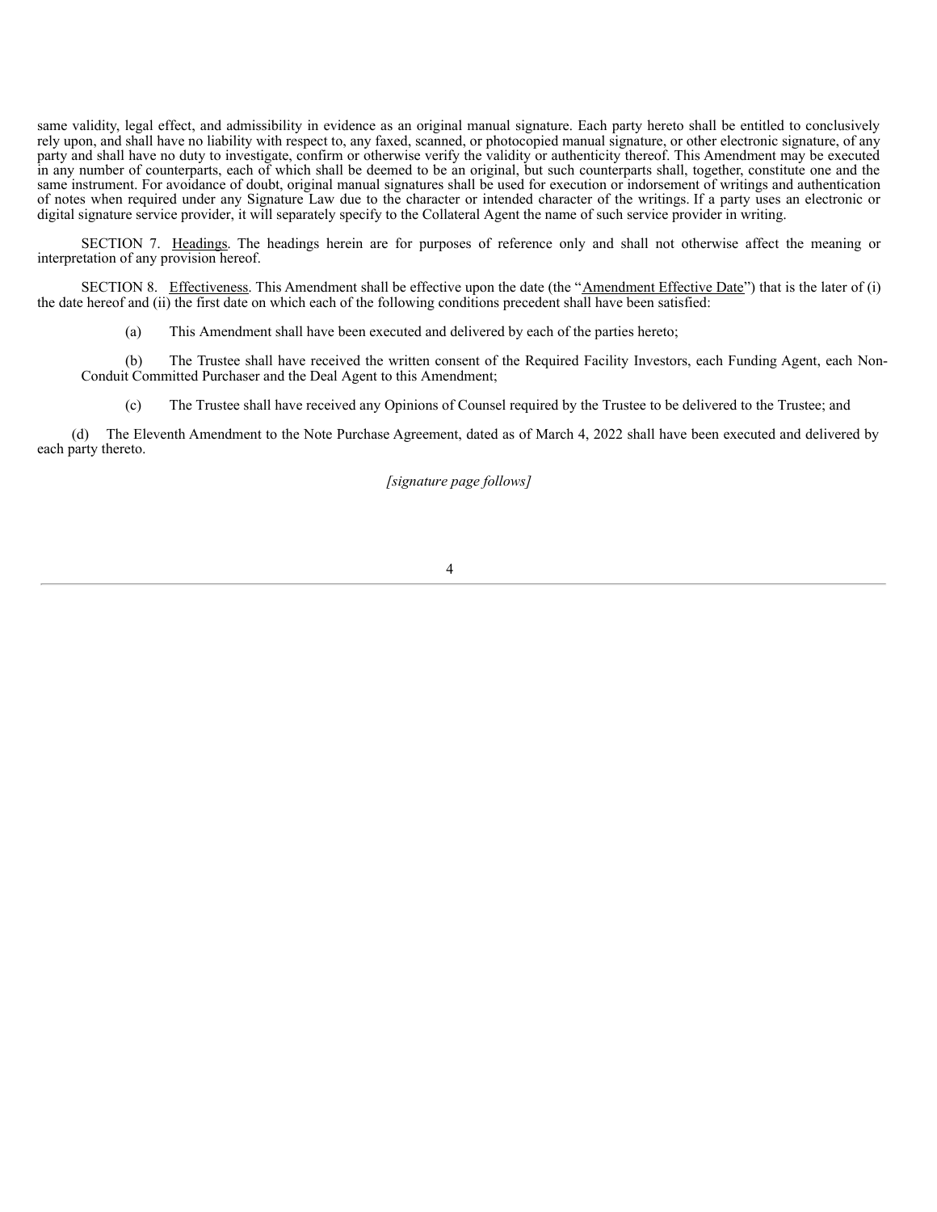same validity, legal effect, and admissibility in evidence as an original manual signature. Each party hereto shall be entitled to conclusively rely upon, and shall have no liability with respect to, any faxed, scanned, or photocopied manual signature, or other electronic signature, of any party and shall have no duty to investigate, confirm or otherwise verify the validity or authenticity thereof. This Amendment may be executed in any number of counterparts, each of which shall be deemed to be an original, but such counterparts shall, together, constitute one and the same instrument. For avoidance of doubt, original manual signatures shall be used for execution or indorsement of writings and authentication of notes when required under any Signature Law due to the character or intended character of the writings. If a party uses an electronic or digital signature service provider, it will separately specify to the Collateral Agent the name of such service provider in writing.

SECTION 7. Headings. The headings herein are for purposes of reference only and shall not otherwise affect the meaning or interpretation of any provision hereof.

SECTION 8. Effectiveness. This Amendment shall be effective upon the date (the "Amendment Effective Date") that is the later of (i) the date hereof and (ii) the first date on which each of the following conditions precedent shall have been satisfied:

(a) This Amendment shall have been executed and delivered by each of the parties hereto;

(b) The Trustee shall have received the written consent of the Required Facility Investors, each Funding Agent, each Non-Conduit Committed Purchaser and the Deal Agent to this Amendment;

(c) The Trustee shall have received any Opinions of Counsel required by the Trustee to be delivered to the Trustee; and

(d) The Eleventh Amendment to the Note Purchase Agreement, dated as of March 4, 2022 shall have been executed and delivered by each party thereto.

*[signature page follows]*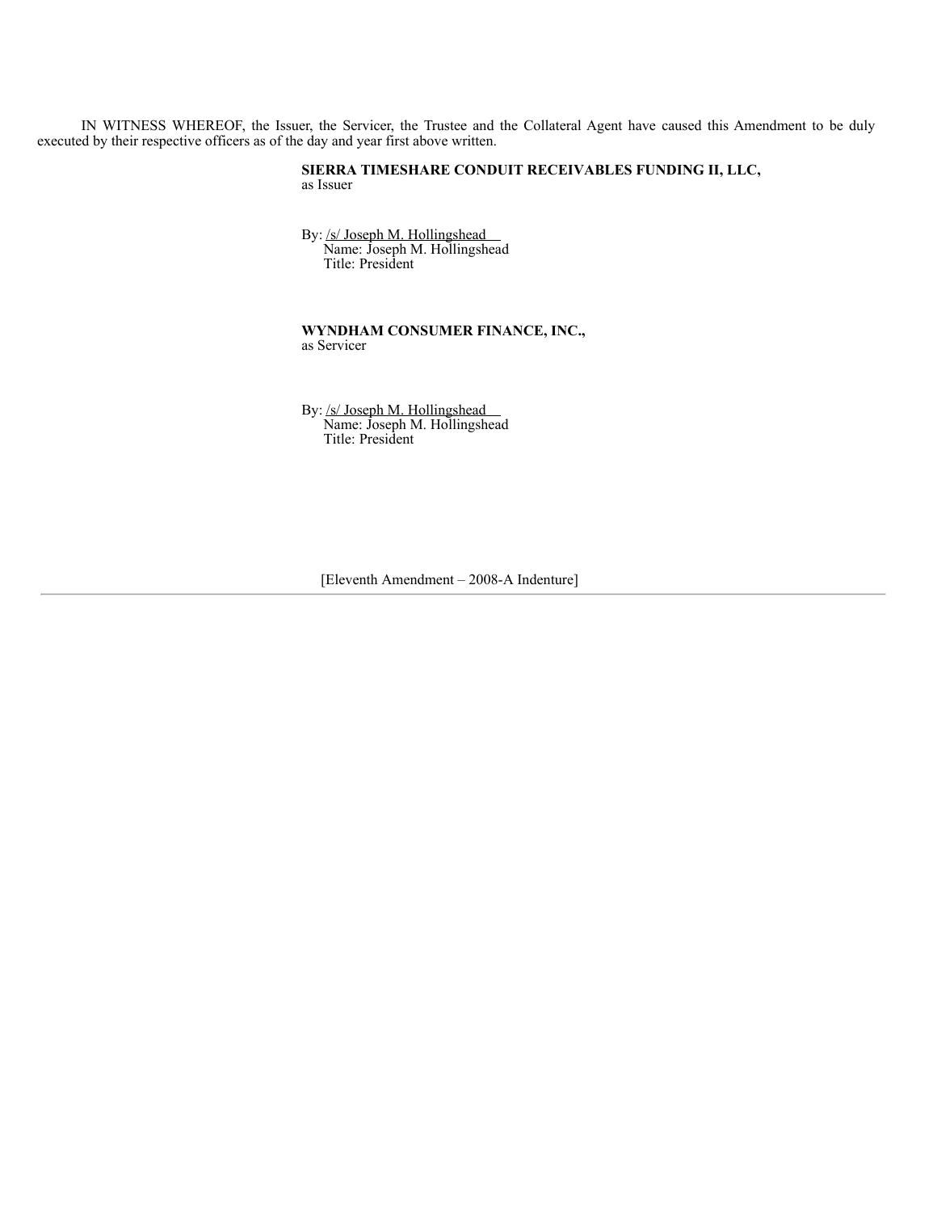IN WITNESS WHEREOF, the Issuer, the Servicer, the Trustee and the Collateral Agent have caused this Amendment to be duly executed by their respective officers as of the day and year first above written.

> **SIERRA TIMESHARE CONDUIT RECEIVABLES FUNDING II, LLC,** as Issuer

By: /s/ Joseph M. Hollingshead Name: Joseph M. Hollingshead Title: President

**WYNDHAM CONSUMER FINANCE, INC.,** as Servicer

By: /s/ Joseph M. Hollingshead Name: Joseph M. Hollingshead Title: President

[Eleventh Amendment – 2008-A Indenture]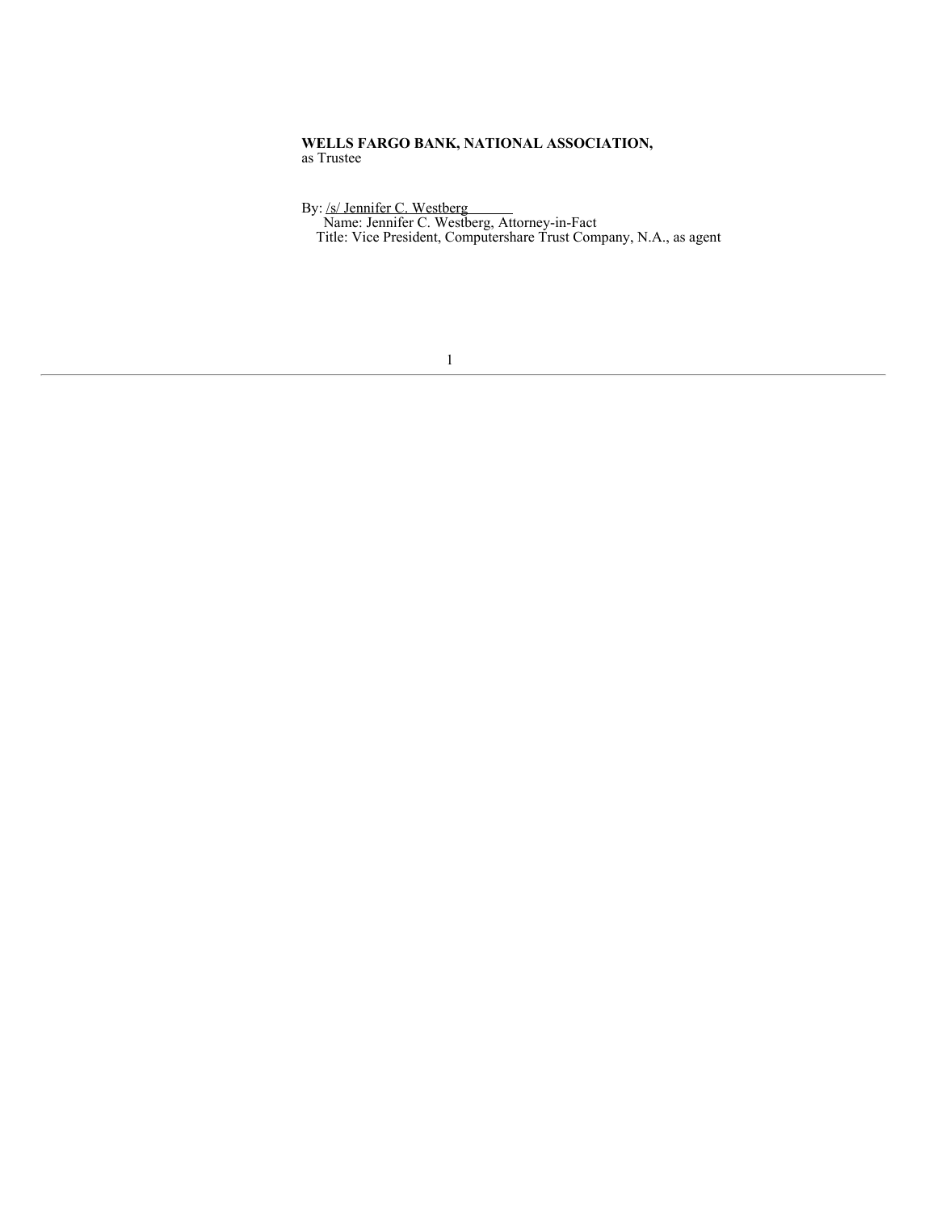# **WELLS FARGO BANK, NATIONAL ASSOCIATION,** as Trustee

By: /s/ Jennifer C. Westberg

Name: Jennifer C. Westberg, Attorney-in-Fact

Title: Vice President, Computershare Trust Company, N.A., as agent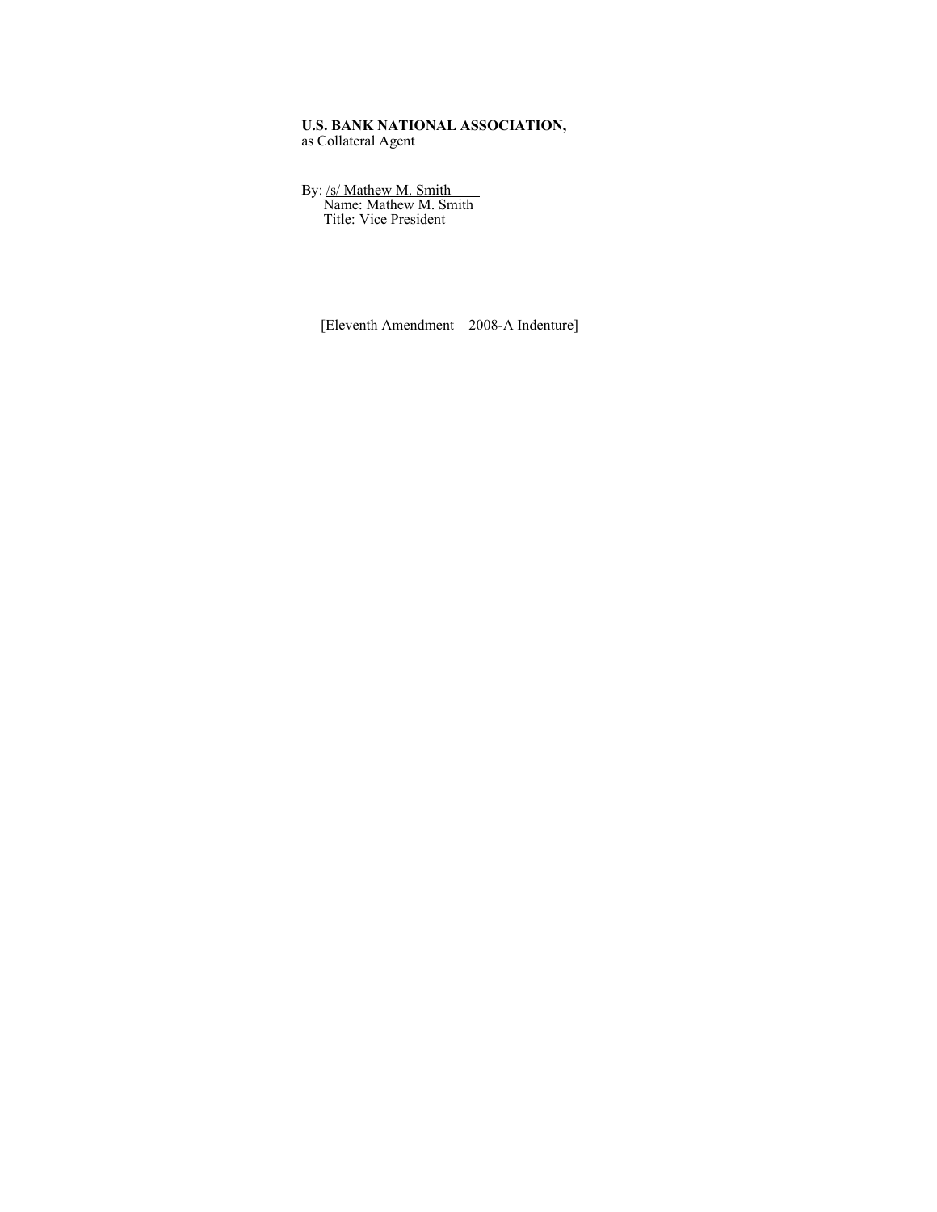# **U.S. BANK NATIONAL ASSOCIATION,** as Collateral Agent

By: /s/ Mathew M. Smith Name: Mathew M. Smith Title: Vice President

[Eleventh Amendment – 2008-A Indenture]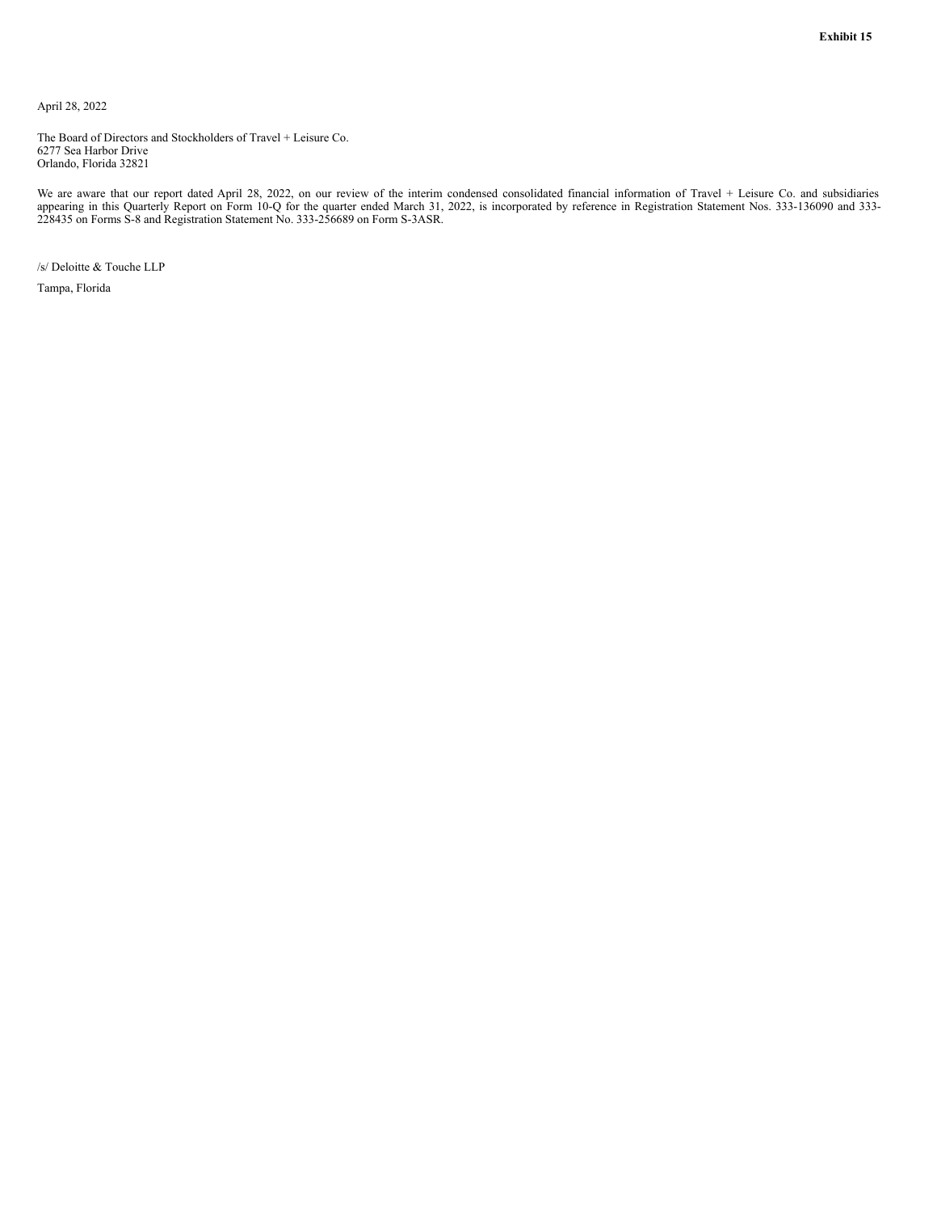<span id="page-57-0"></span>April 28, 2022

The Board of Directors and Stockholders of Travel + Leisure Co. 6277 Sea Harbor Drive Orlando, Florida 32821

We are aware that our report dated April 28, 2022, on our review of the interim condensed consolidated financial information of Travel + Leisure Co. and subsidiaries appearing in this Quarterly Report on Form 10-Q for the quarter ended March 31, 2022, is incorporated by reference in Registration Statement Nos. 333-136090 and 333-228435 on Forms S-8 and Registration Statement No. 333-256689 on Form S-3ASR.

/s/ Deloitte & Touche LLP

Tampa, Florida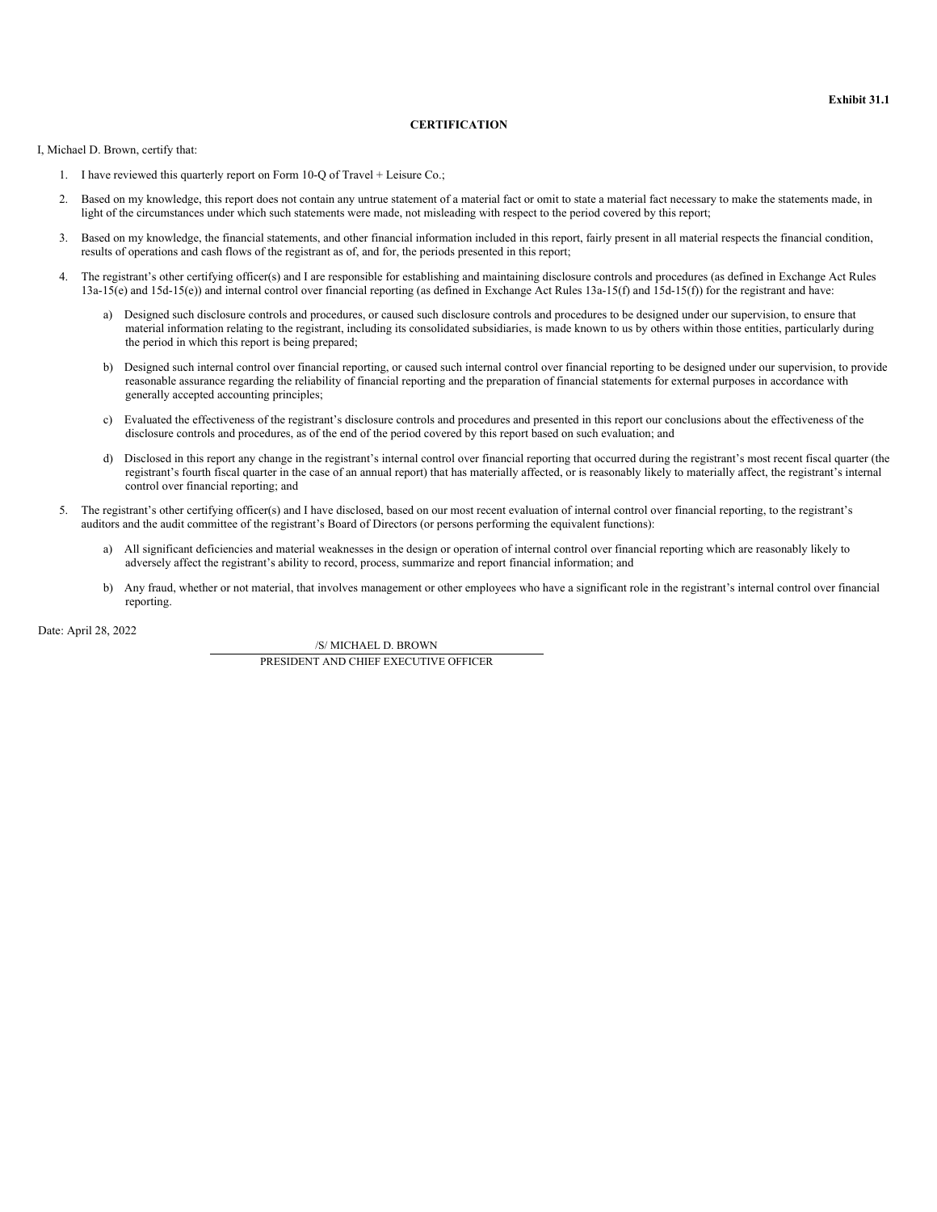### **CERTIFICATION**

<span id="page-58-0"></span>I, Michael D. Brown, certify that:

- 1. I have reviewed this quarterly report on Form 10-Q of Travel + Leisure Co.;
- 2. Based on my knowledge, this report does not contain any untrue statement of a material fact or omit to state a material fact necessary to make the statements made, in light of the circumstances under which such statements were made, not misleading with respect to the period covered by this report;
- 3. Based on my knowledge, the financial statements, and other financial information included in this report, fairly present in all material respects the financial condition, results of operations and cash flows of the registrant as of, and for, the periods presented in this report;
- 4. The registrant's other certifying officer(s) and I are responsible for establishing and maintaining disclosure controls and procedures (as defined in Exchange Act Rules  $13a-15(e)$  and  $15d-15(e)$ ) and internal control over financial reporting (as defined in Exchange Act Rules  $13a-15(f)$  and  $15d-15(f)$ ) for the registrant and have:
	- a) Designed such disclosure controls and procedures, or caused such disclosure controls and procedures to be designed under our supervision, to ensure that material information relating to the registrant, including its consolidated subsidiaries, is made known to us by others within those entities, particularly during the period in which this report is being prepared;
	- b) Designed such internal control over financial reporting, or caused such internal control over financial reporting to be designed under our supervision, to provide reasonable assurance regarding the reliability of financial reporting and the preparation of financial statements for external purposes in accordance with generally accepted accounting principles;
	- c) Evaluated the effectiveness of the registrant's disclosure controls and procedures and presented in this report our conclusions about the effectiveness of the disclosure controls and procedures, as of the end of the period covered by this report based on such evaluation; and
	- d) Disclosed in this report any change in the registrant's internal control over financial reporting that occurred during the registrant's most recent fiscal quarter (the registrant's fourth fiscal quarter in the case of an annual report) that has materially affected, or is reasonably likely to materially affect, the registrant's internal control over financial reporting; and
- 5. The registrant's other certifying officer(s) and I have disclosed, based on our most recent evaluation of internal control over financial reporting, to the registrant's auditors and the audit committee of the registrant's Board of Directors (or persons performing the equivalent functions):
	- a) All significant deficiencies and material weaknesses in the design or operation of internal control over financial reporting which are reasonably likely to adversely affect the registrant's ability to record, process, summarize and report financial information; and
	- b) Any fraud, whether or not material, that involves management or other employees who have a significant role in the registrant's internal control over financial reporting.

Date: April 28, 2022

/S/ MICHAEL D. BROWN PRESIDENT AND CHIEF EXECUTIVE OFFICER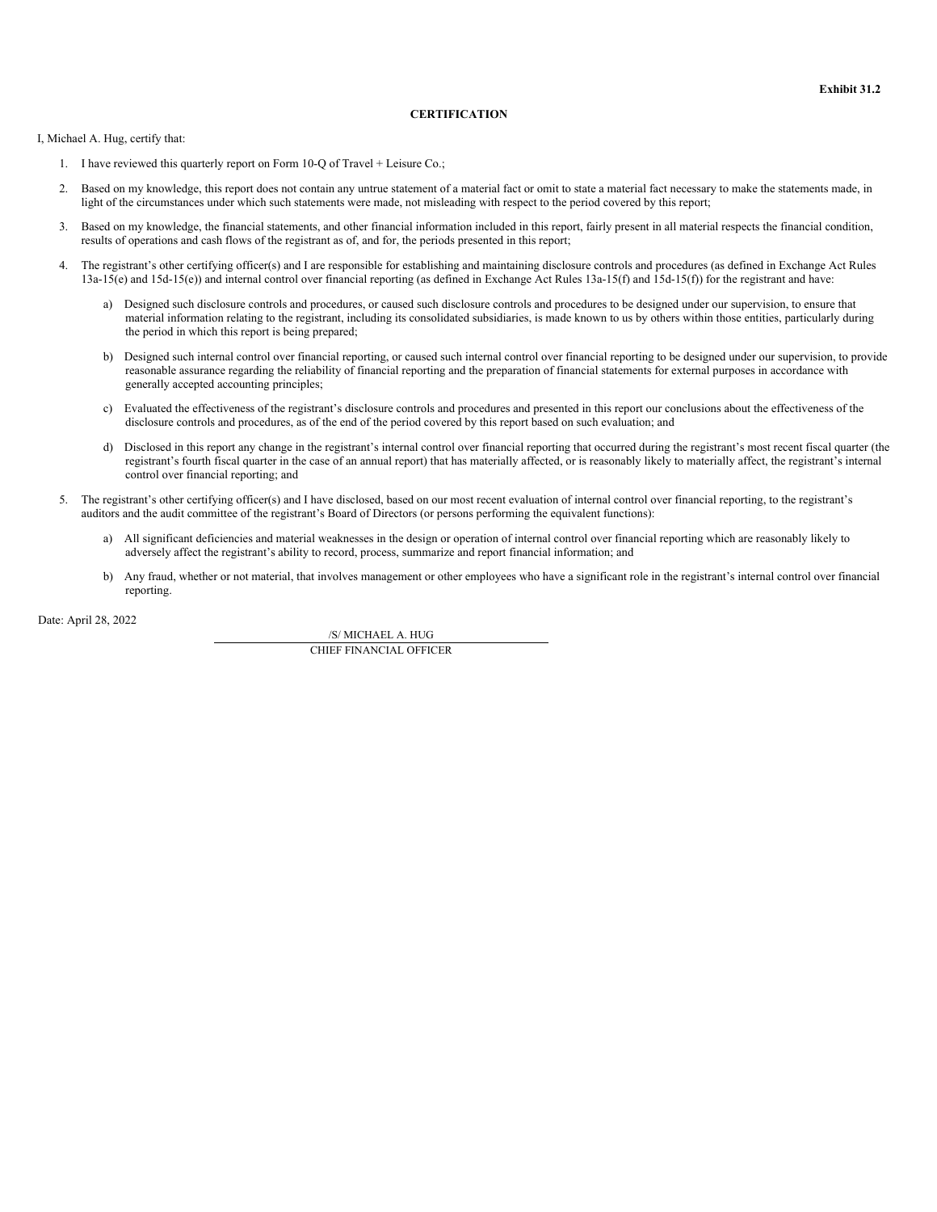### **CERTIFICATION**

<span id="page-59-0"></span>I, Michael A. Hug, certify that:

- 1. I have reviewed this quarterly report on Form 10-Q of Travel + Leisure Co.;
- 2. Based on my knowledge, this report does not contain any untrue statement of a material fact or omit to state a material fact necessary to make the statements made, in light of the circumstances under which such statements were made, not misleading with respect to the period covered by this report;
- 3. Based on my knowledge, the financial statements, and other financial information included in this report, fairly present in all material respects the financial condition, results of operations and cash flows of the registrant as of, and for, the periods presented in this report;
- 4. The registrant's other certifying officer(s) and I are responsible for establishing and maintaining disclosure controls and procedures (as defined in Exchange Act Rules 13a-15(e) and 15d-15(e)) and internal control over financial reporting (as defined in Exchange Act Rules 13a-15(f) and 15d-15(f)) for the registrant and have:
	- a) Designed such disclosure controls and procedures, or caused such disclosure controls and procedures to be designed under our supervision, to ensure that material information relating to the registrant, including its consolidated subsidiaries, is made known to us by others within those entities, particularly during the period in which this report is being prepared;
	- b) Designed such internal control over financial reporting, or caused such internal control over financial reporting to be designed under our supervision, to provide reasonable assurance regarding the reliability of financial reporting and the preparation of financial statements for external purposes in accordance with generally accepted accounting principles;
	- c) Evaluated the effectiveness of the registrant's disclosure controls and procedures and presented in this report our conclusions about the effectiveness of the disclosure controls and procedures, as of the end of the period covered by this report based on such evaluation; and
	- d) Disclosed in this report any change in the registrant's internal control over financial reporting that occurred during the registrant's most recent fiscal quarter (the registrant's fourth fiscal quarter in the case of an annual report) that has materially affected, or is reasonably likely to materially affect, the registrant's internal control over financial reporting; and
- 5. The registrant's other certifying officer(s) and I have disclosed, based on our most recent evaluation of internal control over financial reporting, to the registrant's auditors and the audit committee of the registrant's Board of Directors (or persons performing the equivalent functions):
	- a) All significant deficiencies and material weaknesses in the design or operation of internal control over financial reporting which are reasonably likely to adversely affect the registrant's ability to record, process, summarize and report financial information; and
	- b) Any fraud, whether or not material, that involves management or other employees who have a significant role in the registrant's internal control over financial reporting.

Date: April 28, 2022

/S/ MICHAEL A. HUG CHIEF FINANCIAL OFFICER